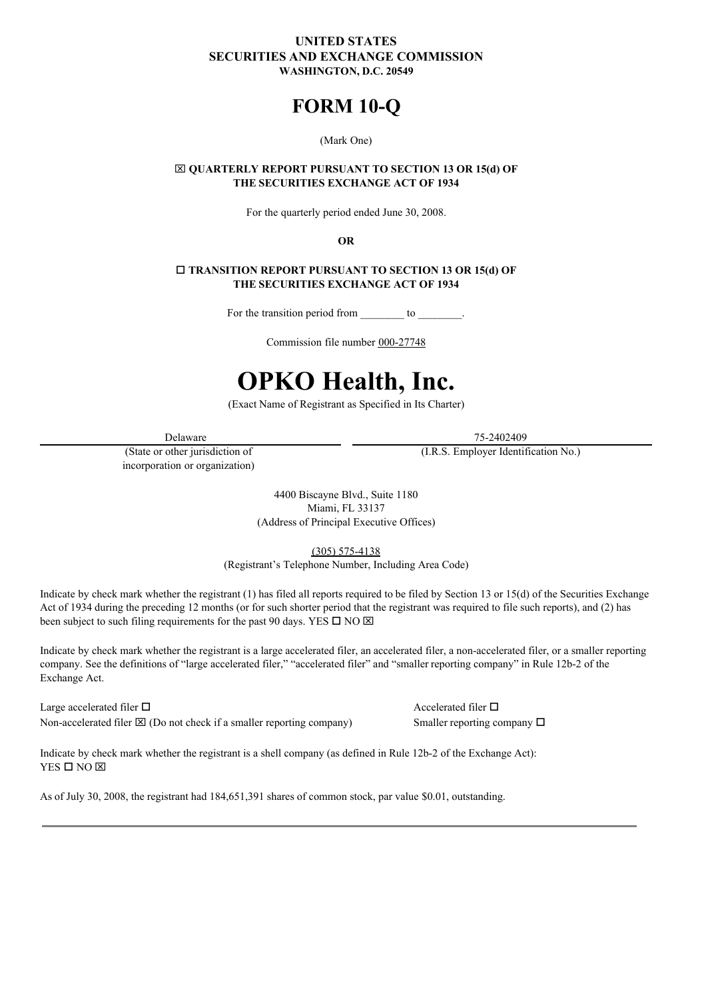# **UNITED STATES SECURITIES AND EXCHANGE COMMISSION WASHINGTON, D.C. 20549**

# **FORM 10-Q**

#### (Mark One)

## x **QUARTERLY REPORT PURSUANT TO SECTION 13 OR 15(d) OF THE SECURITIES EXCHANGE ACT OF 1934**

For the quarterly period ended June 30, 2008.

**OR**

# o **TRANSITION REPORT PURSUANT TO SECTION 13 OR 15(d) OF THE SECURITIES EXCHANGE ACT OF 1934**

For the transition period from to

Commission file number 000-27748

# **OPKO Health, Inc.**

(Exact Name of Registrant as Specified in Its Charter)

(State or other jurisdiction of incorporation or organization)

Delaware 75-2402409 (I.R.S. Employer Identification No.)

> 4400 Biscayne Blvd., Suite 1180 Miami, FL 33137 (Address of Principal Executive Offices)

> > (305) 575-4138

(Registrant's Telephone Number, Including Area Code)

Indicate by check mark whether the registrant (1) has filed all reports required to be filed by Section 13 or 15(d) of the Securities Exchange Act of 1934 during the preceding 12 months (or for such shorter period that the registrant was required to file such reports), and (2) has been subject to such filing requirements for the past 90 days. YES  $\square$  NO  $\square$ 

Indicate by check mark whether the registrant is a large accelerated filer, an accelerated filer, a non-accelerated filer, or a smaller reporting company. See the definitions of "large accelerated filer," "accelerated filer" and "smaller reporting company" in Rule 12b-2 of the Exchange Act.

Large accelerated filer  $\Box$  Accelerated filer  $\Box$ Non-accelerated filer  $\boxtimes$  (Do not check if a smaller reporting company) Smaller reporting company  $\square$ 

Indicate by check mark whether the registrant is a shell company (as defined in Rule 12b-2 of the Exchange Act):  $YES$   $\square$   $NO$   $\overline{\times}$ 

As of July 30, 2008, the registrant had 184,651,391 shares of common stock, par value \$0.01, outstanding.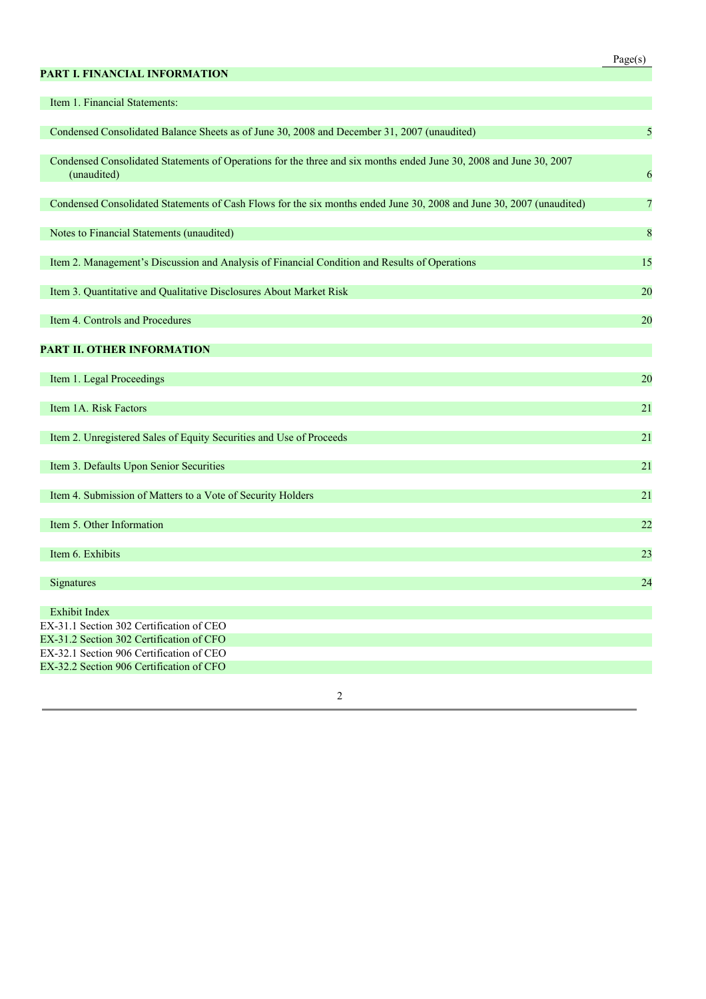# **PART I. FINANCIAL INFORMATION**

| Τ |  |
|---|--|
|   |  |

| Item 1. Financial Statements:                                                                                                     |                |
|-----------------------------------------------------------------------------------------------------------------------------------|----------------|
| Condensed Consolidated Balance Sheets as of June 30, 2008 and December 31, 2007 (unaudited)                                       | 5              |
|                                                                                                                                   |                |
| Condensed Consolidated Statements of Operations for the three and six months ended June 30, 2008 and June 30, 2007<br>(unaudited) | 6              |
|                                                                                                                                   |                |
| Condensed Consolidated Statements of Cash Flows for the six months ended June 30, 2008 and June 30, 2007 (unaudited)              | $\overline{7}$ |
| Notes to Financial Statements (unaudited)                                                                                         | 8              |
|                                                                                                                                   |                |
| Item 2. Management's Discussion and Analysis of Financial Condition and Results of Operations                                     | 15             |
| Item 3. Quantitative and Qualitative Disclosures About Market Risk                                                                | 20             |
| Item 4. Controls and Procedures                                                                                                   | 20             |
|                                                                                                                                   |                |
| PART II. OTHER INFORMATION                                                                                                        |                |
| Item 1. Legal Proceedings                                                                                                         | 20             |
|                                                                                                                                   |                |
| Item 1A. Risk Factors                                                                                                             | 21             |
| Item 2. Unregistered Sales of Equity Securities and Use of Proceeds                                                               | 21             |
| Item 3. Defaults Upon Senior Securities                                                                                           | 21             |
|                                                                                                                                   |                |
| Item 4. Submission of Matters to a Vote of Security Holders                                                                       | 21             |
| Item 5. Other Information                                                                                                         | 22             |
|                                                                                                                                   |                |
| Item 6. Exhibits                                                                                                                  | 23             |
|                                                                                                                                   |                |
| Signatures                                                                                                                        | 24             |
| <b>Exhibit Index</b>                                                                                                              |                |
| EX-31.1 Section 302 Certification of CEO                                                                                          |                |
| EX-31.2 Section 302 Certification of CFO                                                                                          |                |
| EX-32.1 Section 906 Certification of CEO                                                                                          |                |
| EX-32.2 Section 906 Certification of CFO                                                                                          |                |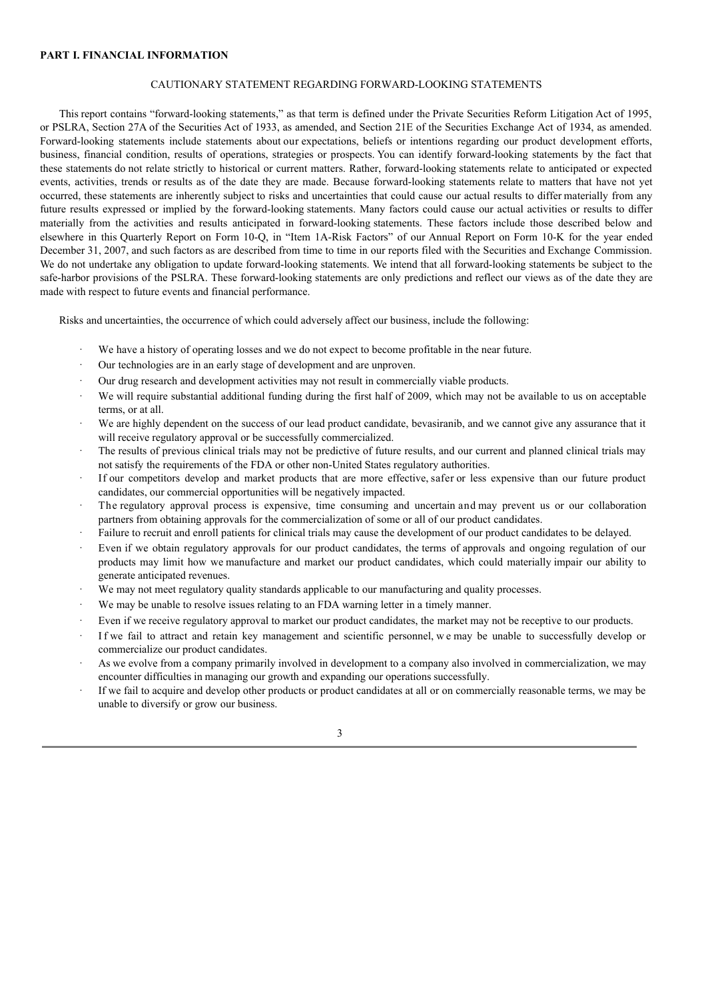#### **PART I. FINANCIAL INFORMATION**

# CAUTIONARY STATEMENT REGARDING FORWARD-LOOKING STATEMENTS

This report contains "forward-looking statements," as that term is defined under the Private Securities Reform Litigation Act of 1995, or PSLRA, Section 27A of the Securities Act of 1933, as amended, and Section 21E of the Securities Exchange Act of 1934, as amended. Forward-looking statements include statements about our expectations, beliefs or intentions regarding our product development efforts, business, financial condition, results of operations, strategies or prospects. You can identify forward-looking statements by the fact that these statements do not relate strictly to historical or current matters. Rather, forward-looking statements relate to anticipated or expected events, activities, trends or results as of the date they are made. Because forward-looking statements relate to matters that have not yet occurred, these statements are inherently subject to risks and uncertainties that could cause our actual results to differ materially from any future results expressed or implied by the forward-looking statements. Many factors could cause our actual activities or results to differ materially from the activities and results anticipated in forward-looking statements. These factors include those described below and elsewhere in this Quarterly Report on Form 10-Q, in "Item 1A-Risk Factors" of our Annual Report on Form 10-K for the year ended December 31, 2007, and such factors as are described from time to time in our reports filed with the Securities and Exchange Commission. We do not undertake any obligation to update forward-looking statements. We intend that all forward-looking statements be subject to the safe-harbor provisions of the PSLRA. These forward-looking statements are only predictions and reflect our views as of the date they are made with respect to future events and financial performance.

Risks and uncertainties, the occurrence of which could adversely affect our business, include the following:

- We have a history of operating losses and we do not expect to become profitable in the near future.
- Our technologies are in an early stage of development and are unproven.
- Our drug research and development activities may not result in commercially viable products.
- We will require substantial additional funding during the first half of 2009, which may not be available to us on acceptable terms, or at all.
- We are highly dependent on the success of our lead product candidate, bevasiranib, and we cannot give any assurance that it will receive regulatory approval or be successfully commercialized.
- The results of previous clinical trials may not be predictive of future results, and our current and planned clinical trials may not satisfy the requirements of the FDA or other non-United States regulatory authorities.
- If our competitors develop and market products that are more effective, safer or less expensive than our future product candidates, our commercial opportunities will be negatively impacted.
- · The regulatory approval process is expensive, time consuming and uncertain and may prevent us or our collaboration partners from obtaining approvals for the commercialization of some or all of our product candidates.
- · Failure to recruit and enroll patients for clinical trials may cause the development of our product candidates to be delayed.
- Even if we obtain regulatory approvals for our product candidates, the terms of approvals and ongoing regulation of our products may limit how we manufacture and market our product candidates, which could materially impair our ability to generate anticipated revenues.
- We may not meet regulatory quality standards applicable to our manufacturing and quality processes.
- We may be unable to resolve issues relating to an FDA warning letter in a timely manner.
- Even if we receive regulatory approval to market our product candidates, the market may not be receptive to our products.
- If we fail to attract and retain key management and scientific personnel, we may be unable to successfully develop or commercialize our product candidates.
- As we evolve from a company primarily involved in development to a company also involved in commercialization, we may encounter difficulties in managing our growth and expanding our operations successfully.
- If we fail to acquire and develop other products or product candidates at all or on commercially reasonable terms, we may be unable to diversify or grow our business.

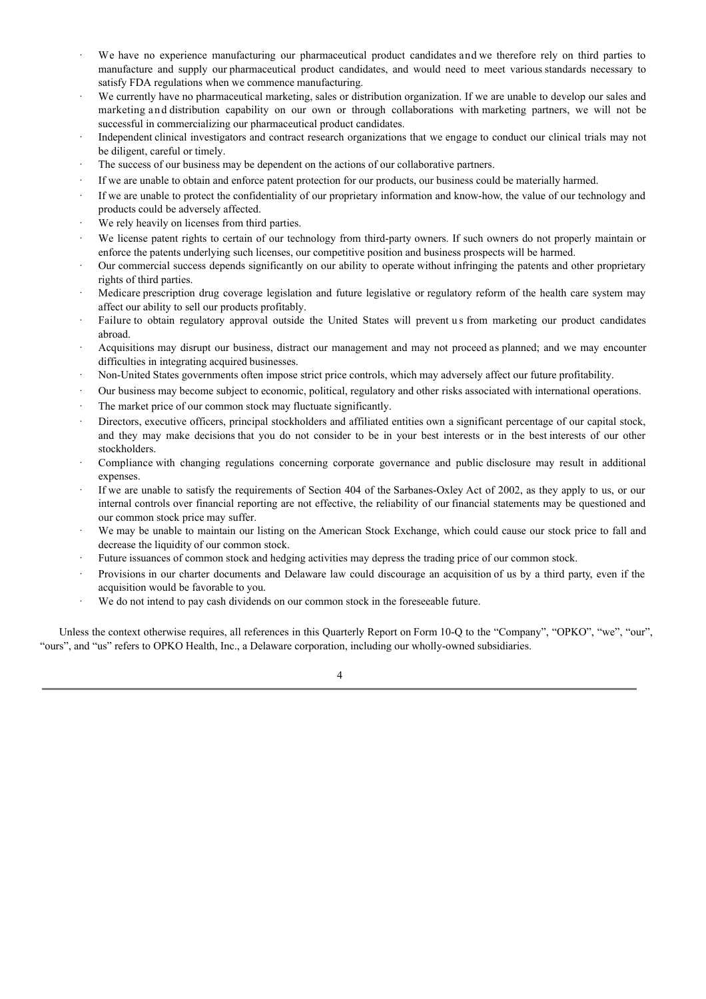- We have no experience manufacturing our pharmaceutical product candidates and we therefore rely on third parties to manufacture and supply our pharmaceutical product candidates, and would need to meet various standards necessary to satisfy FDA regulations when we commence manufacturing.
- We currently have no pharmaceutical marketing, sales or distribution organization. If we are unable to develop our sales and marketing and distribution capability on our own or through collaborations with marketing partners, we will not be successful in commercializing our pharmaceutical product candidates.
- Independent clinical investigators and contract research organizations that we engage to conduct our clinical trials may not be diligent, careful or timely.
- The success of our business may be dependent on the actions of our collaborative partners.
- If we are unable to obtain and enforce patent protection for our products, our business could be materially harmed.
- If we are unable to protect the confidentiality of our proprietary information and know-how, the value of our technology and products could be adversely affected.
- We rely heavily on licenses from third parties.
- We license patent rights to certain of our technology from third-party owners. If such owners do not properly maintain or enforce the patents underlying such licenses, our competitive position and business prospects will be harmed.
- Our commercial success depends significantly on our ability to operate without infringing the patents and other proprietary rights of third parties.
- Medicare prescription drug coverage legislation and future legislative or regulatory reform of the health care system may affect our ability to sell our products profitably.
- Failure to obtain regulatory approval outside the United States will prevent us from marketing our product candidates abroad.
- · Acquisitions may disrupt our business, distract our management and may not proceed as planned; and we may encounter difficulties in integrating acquired businesses.
- · Non-United States governments often impose strict price controls, which may adversely affect our future profitability.
- · Our business may become subject to economic, political, regulatory and other risks associated with international operations.
- The market price of our common stock may fluctuate significantly.
- Directors, executive officers, principal stockholders and affiliated entities own a significant percentage of our capital stock, and they may make decisions that you do not consider to be in your best interests or in the best interests of our other stockholders.
- · Compliance with changing regulations concerning corporate governance and public disclosure may result in additional expenses.
- If we are unable to satisfy the requirements of Section 404 of the Sarbanes-Oxley Act of 2002, as they apply to us, or our internal controls over financial reporting are not effective, the reliability of our financial statements may be questioned and our common stock price may suffer.
- We may be unable to maintain our listing on the American Stock Exchange, which could cause our stock price to fall and decrease the liquidity of our common stock.
- Future issuances of common stock and hedging activities may depress the trading price of our common stock.
- Provisions in our charter documents and Delaware law could discourage an acquisition of us by a third party, even if the acquisition would be favorable to you.
- · We do not intend to pay cash dividends on our common stock in the foreseeable future.

Unless the context otherwise requires, all references in this Quarterly Report on Form 10-Q to the "Company", "OPKO", "we", "our", "ours", and "us" refers to OPKO Health, Inc., a Delaware corporation, including our wholly-owned subsidiaries.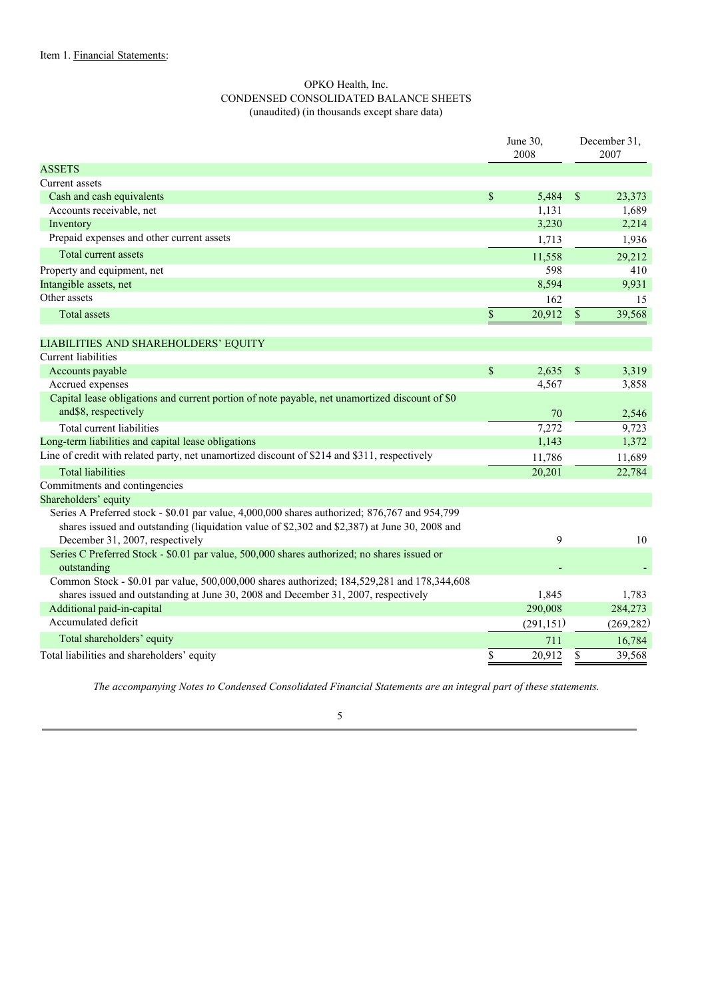# OPKO Health, Inc. CONDENSED CONSOLIDATED BALANCE SHEETS (unaudited) (in thousands except share data)

| June 30,<br>2008                                                                                                                                                                           | December 31,<br>2007 |
|--------------------------------------------------------------------------------------------------------------------------------------------------------------------------------------------|----------------------|
| <b>ASSETS</b>                                                                                                                                                                              |                      |
| Current assets                                                                                                                                                                             |                      |
| Cash and cash equivalents<br>\$<br>5,484<br>\$                                                                                                                                             | 23,373               |
| Accounts receivable, net<br>1,131                                                                                                                                                          | 1,689                |
| 3,230<br>Inventory                                                                                                                                                                         | 2,214                |
| Prepaid expenses and other current assets<br>1,713                                                                                                                                         | 1,936                |
| Total current assets<br>11,558                                                                                                                                                             | 29,212               |
| 598<br>Property and equipment, net                                                                                                                                                         | 410                  |
| Intangible assets, net<br>8,594                                                                                                                                                            | 9,931                |
| Other assets<br>162                                                                                                                                                                        | 15                   |
| \$<br>20,912<br><b>Total assets</b><br>\$                                                                                                                                                  | 39,568               |
| LIABILITIES AND SHAREHOLDERS' EQUITY                                                                                                                                                       |                      |
| <b>Current liabilities</b>                                                                                                                                                                 |                      |
| \$<br>2,635<br>Accounts payable<br>\$                                                                                                                                                      | 3,319                |
| Accrued expenses<br>4,567                                                                                                                                                                  | 3,858                |
| Capital lease obligations and current portion of note payable, net unamortized discount of \$0                                                                                             |                      |
| and\$8, respectively<br>70                                                                                                                                                                 | 2,546                |
| Total current liabilities<br>7,272                                                                                                                                                         | 9,723                |
| Long-term liabilities and capital lease obligations<br>1,143                                                                                                                               | 1,372                |
| Line of credit with related party, net unamortized discount of \$214 and \$311, respectively<br>11,786                                                                                     | 11,689               |
| <b>Total liabilities</b><br>20,201                                                                                                                                                         | 22,784               |
| Commitments and contingencies                                                                                                                                                              |                      |
| Shareholders' equity                                                                                                                                                                       |                      |
| Series A Preferred stock - \$0.01 par value, 4,000,000 shares authorized; 876,767 and 954,799                                                                                              |                      |
| shares issued and outstanding (liquidation value of \$2,302 and \$2,387) at June 30, 2008 and                                                                                              |                      |
| 9<br>December 31, 2007, respectively                                                                                                                                                       | 10                   |
| Series C Preferred Stock - \$0.01 par value, 500,000 shares authorized; no shares issued or                                                                                                |                      |
| outstanding                                                                                                                                                                                |                      |
| Common Stock - \$0.01 par value, 500,000,000 shares authorized; 184,529,281 and 178,344,608<br>shares issued and outstanding at June 30, 2008 and December 31, 2007, respectively<br>1,845 | 1,783                |
| 290,008<br>Additional paid-in-capital                                                                                                                                                      | 284,273              |
| Accumulated deficit<br>(291, 151)                                                                                                                                                          | (269, 282)           |
| Total shareholders' equity<br>711                                                                                                                                                          | 16,784               |
| \$<br>20,912<br>\$<br>Total liabilities and shareholders' equity                                                                                                                           | 39,568               |

*The accompanying Notes to Condensed Consolidated Financial Statements are an integral part of these statements*.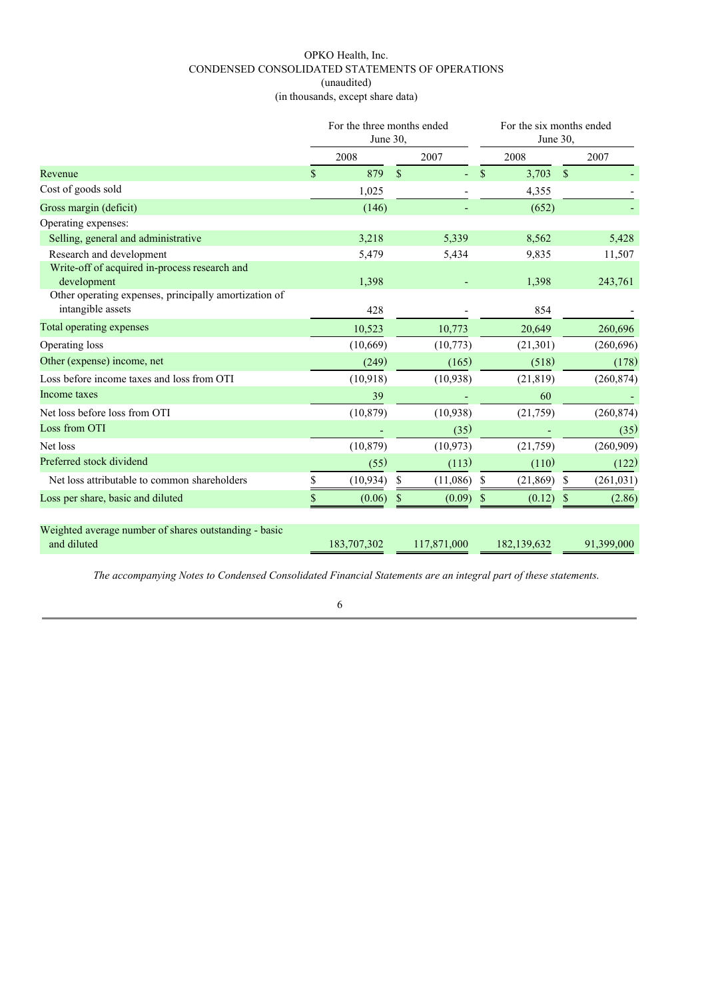# OPKO Health, Inc. CONDENSED CONSOLIDATED STATEMENTS OF OPERATIONS (unaudited) (in thousands, except share data)

|                                                                            | For the three months ended<br>June 30, |             |               | For the six months ended<br>June 30, |    |             |               |            |
|----------------------------------------------------------------------------|----------------------------------------|-------------|---------------|--------------------------------------|----|-------------|---------------|------------|
|                                                                            |                                        | 2008        |               | 2007                                 |    | 2008        |               | 2007       |
| Revenue                                                                    | \$                                     | 879         | $\mathcal{S}$ |                                      | \$ | 3,703       | $\mathcal{S}$ |            |
| Cost of goods sold                                                         |                                        | 1,025       |               |                                      |    | 4,355       |               |            |
| Gross margin (deficit)                                                     |                                        | (146)       |               |                                      |    | (652)       |               |            |
| Operating expenses:                                                        |                                        |             |               |                                      |    |             |               |            |
| Selling, general and administrative                                        |                                        | 3,218       |               | 5,339                                |    | 8,562       |               | 5,428      |
| Research and development                                                   |                                        | 5,479       |               | 5,434                                |    | 9,835       |               | 11,507     |
| Write-off of acquired in-process research and<br>development               |                                        | 1,398       |               |                                      |    | 1,398       |               | 243,761    |
| Other operating expenses, principally amortization of<br>intangible assets |                                        | 428         |               |                                      |    | 854         |               |            |
| Total operating expenses                                                   |                                        | 10,523      |               | 10,773                               |    | 20,649      |               | 260,696    |
| Operating loss                                                             |                                        | (10,669)    |               | (10, 773)                            |    | (21,301)    |               | (260, 696) |
| Other (expense) income, net                                                |                                        | (249)       |               | (165)                                |    | (518)       |               | (178)      |
| Loss before income taxes and loss from OTI                                 |                                        | (10, 918)   |               | (10,938)                             |    | (21, 819)   |               | (260, 874) |
| Income taxes                                                               |                                        | 39          |               |                                      |    | 60          |               |            |
| Net loss before loss from OTI                                              |                                        | (10, 879)   |               | (10, 938)                            |    | (21,759)    |               | (260, 874) |
| Loss from OTI                                                              |                                        |             |               | (35)                                 |    |             |               | (35)       |
| Net loss                                                                   |                                        | (10, 879)   |               | (10, 973)                            |    | (21, 759)   |               | (260,909)  |
| Preferred stock dividend                                                   |                                        | (55)        |               | (113)                                |    | (110)       |               | (122)      |
| Net loss attributable to common shareholders                               | \$                                     | (10, 934)   |               | (11,086)                             | -S | (21, 869)   | \$.           | (261, 031) |
| Loss per share, basic and diluted                                          | \$                                     | (0.06)      |               | (0.09)                               | S  | (0.12)      | S             | (2.86)     |
| Weighted average number of shares outstanding - basic<br>and diluted       |                                        | 183,707,302 |               | 117,871,000                          |    | 182,139,632 |               | 91,399,000 |

*The accompanying Notes to Condensed Consolidated Financial Statements are an integral part of these statements*.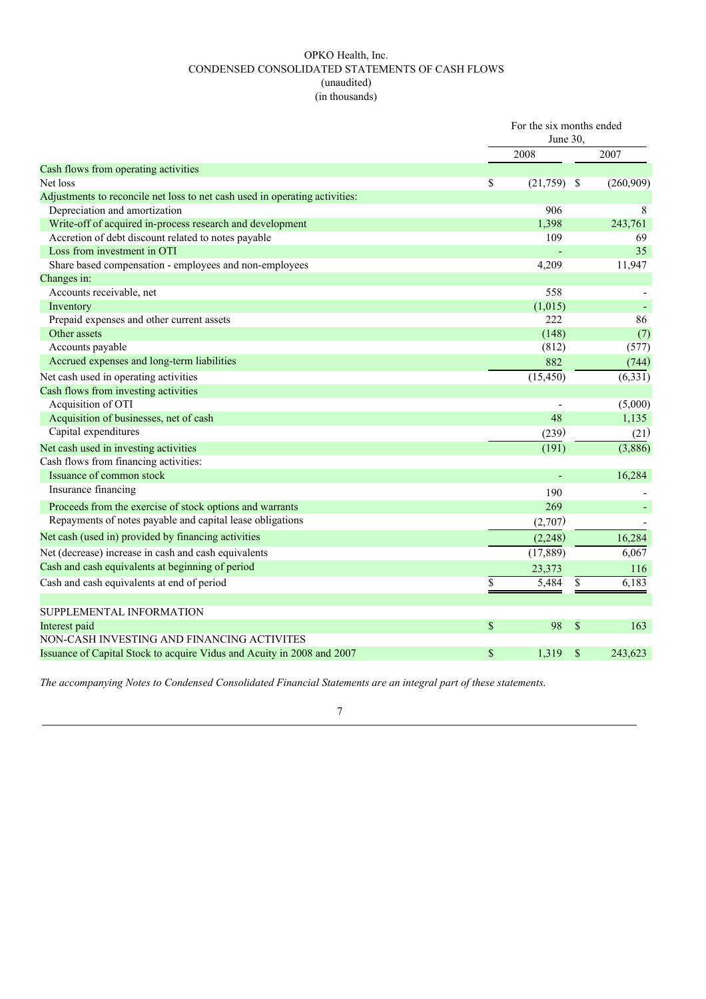# OPKO Health, Inc. CONDENSED CONSOLIDATED STATEMENTS OF CASH FLOWS (unaudited) (in thousands)

|                                                                             | For the six months ended<br>June $30$ . |              |           |
|-----------------------------------------------------------------------------|-----------------------------------------|--------------|-----------|
|                                                                             | 2008                                    |              | 2007      |
| Cash flows from operating activities                                        |                                         |              |           |
| Net loss                                                                    | \$<br>$(21,759)$ \$                     |              | (260,909) |
| Adjustments to reconcile net loss to net cash used in operating activities: |                                         |              |           |
| Depreciation and amortization                                               | 906                                     |              | 8         |
| Write-off of acquired in-process research and development                   | 1,398                                   |              | 243,761   |
| Accretion of debt discount related to notes payable                         | 109                                     |              | 69        |
| Loss from investment in OTI                                                 |                                         |              | 35        |
| Share based compensation - employees and non-employees                      | 4,209                                   |              | 11,947    |
| Changes in:                                                                 |                                         |              |           |
| Accounts receivable, net                                                    | 558                                     |              |           |
| Inventory                                                                   | (1,015)                                 |              |           |
| Prepaid expenses and other current assets                                   | 222                                     |              | 86        |
| Other assets                                                                | (148)                                   |              | (7)       |
| Accounts payable                                                            | (812)                                   |              | (577)     |
| Accrued expenses and long-term liabilities                                  | 882                                     |              | (744)     |
| Net cash used in operating activities                                       | (15, 450)                               |              | (6, 331)  |
| Cash flows from investing activities                                        |                                         |              |           |
| Acquisition of OTI                                                          |                                         |              | (5,000)   |
| Acquisition of businesses, net of cash                                      | 48                                      |              | 1,135     |
| Capital expenditures                                                        | (239)                                   |              | (21)      |
| Net cash used in investing activities                                       | (191)                                   |              | (3,886)   |
| Cash flows from financing activities:                                       |                                         |              |           |
| Issuance of common stock                                                    |                                         |              | 16,284    |
| Insurance financing                                                         | 190                                     |              |           |
| Proceeds from the exercise of stock options and warrants                    | 269                                     |              |           |
| Repayments of notes payable and capital lease obligations                   | (2,707)                                 |              |           |
| Net cash (used in) provided by financing activities                         | (2,248)                                 |              | 16,284    |
| Net (decrease) increase in cash and cash equivalents                        | (17, 889)                               |              | 6,067     |
| Cash and cash equivalents at beginning of period                            | 23,373                                  |              | 116       |
| Cash and cash equivalents at end of period                                  | \$<br>5,484                             | \$           | 6,183     |
|                                                                             |                                         |              |           |
| SUPPLEMENTAL INFORMATION<br>Interest paid                                   | \$<br>98                                | $\mathbb{S}$ | 163       |
| NON-CASH INVESTING AND FINANCING ACTIVITES                                  |                                         |              |           |
| Issuance of Capital Stock to acquire Vidus and Acuity in 2008 and 2007      | \$<br>1,319                             | \$           | 243,623   |
|                                                                             |                                         |              |           |

*The accompanying Notes to Condensed Consolidated Financial Statements are an integral part of these statements*.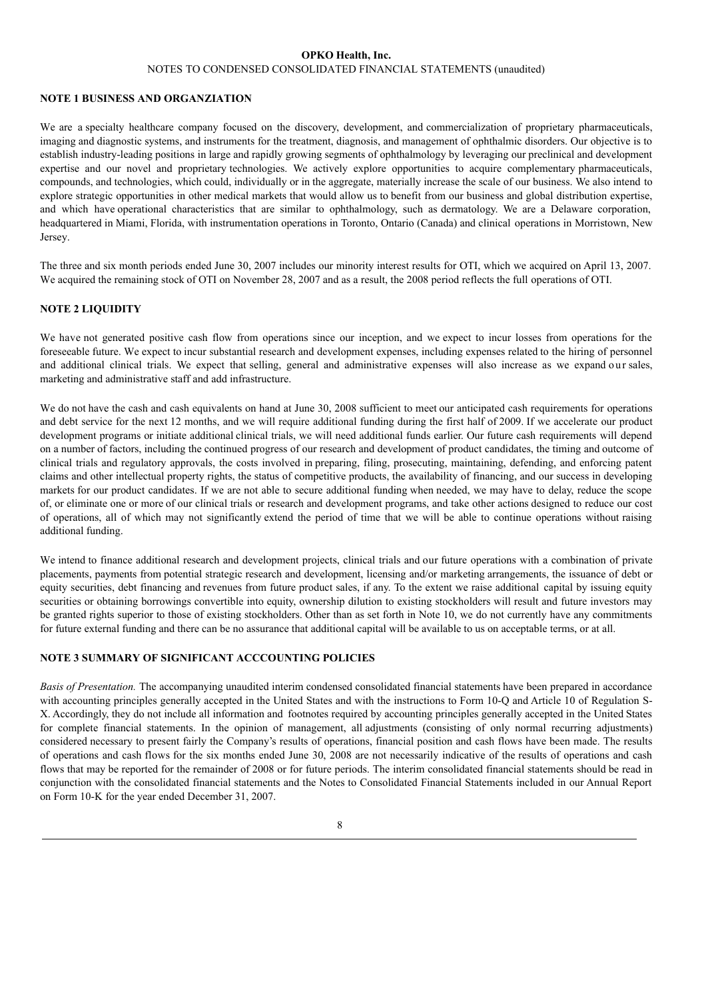#### **OPKO Health, Inc.**

#### NOTES TO CONDENSED CONSOLIDATED FINANCIAL STATEMENTS (unaudited)

#### **NOTE 1 BUSINESS AND ORGANZIATION**

We are a specialty healthcare company focused on the discovery, development, and commercialization of proprietary pharmaceuticals, imaging and diagnostic systems, and instruments for the treatment, diagnosis, and management of ophthalmic disorders. Our objective is to establish industry-leading positions in large and rapidly growing segments of ophthalmology by leveraging our preclinical and development expertise and our novel and proprietary technologies. We actively explore opportunities to acquire complementary pharmaceuticals, compounds, and technologies, which could, individually or in the aggregate, materially increase the scale of our business. We also intend to explore strategic opportunities in other medical markets that would allow us to benefit from our business and global distribution expertise, and which have operational characteristics that are similar to ophthalmology, such as dermatology. We are a Delaware corporation, headquartered in Miami, Florida, with instrumentation operations in Toronto, Ontario (Canada) and clinical operations in Morristown, New Jersey.

The three and six month periods ended June 30, 2007 includes our minority interest results for OTI, which we acquired on April 13, 2007. We acquired the remaining stock of OTI on November 28, 2007 and as a result, the 2008 period reflects the full operations of OTI.

#### **NOTE 2 LIQUIDITY**

We have not generated positive cash flow from operations since our inception, and we expect to incur losses from operations for the foreseeable future. We expect to incur substantial research and development expenses, including expenses related to the hiring of personnel and additional clinical trials. We expect that selling, general and administrative expenses will also increase as we expand our sales, marketing and administrative staff and add infrastructure.

We do not have the cash and cash equivalents on hand at June 30, 2008 sufficient to meet our anticipated cash requirements for operations and debt service for the next 12 months, and we will require additional funding during the first half of 2009. If we accelerate our product development programs or initiate additional clinical trials, we will need additional funds earlier. Our future cash requirements will depend on a number of factors, including the continued progress of our research and development of product candidates, the timing and outcome of clinical trials and regulatory approvals, the costs involved in preparing, filing, prosecuting, maintaining, defending, and enforcing patent claims and other intellectual property rights, the status of competitive products, the availability of financing, and our success in developing markets for our product candidates. If we are not able to secure additional funding when needed, we may have to delay, reduce the scope of, or eliminate one or more of our clinical trials or research and development programs, and take other actions designed to reduce our cost of operations, all of which may not significantly extend the period of time that we will be able to continue operations without raising additional funding.

We intend to finance additional research and development projects, clinical trials and our future operations with a combination of private placements, payments from potential strategic research and development, licensing and/or marketing arrangements, the issuance of debt or equity securities, debt financing and revenues from future product sales, if any. To the extent we raise additional capital by issuing equity securities or obtaining borrowings convertible into equity, ownership dilution to existing stockholders will result and future investors may be granted rights superior to those of existing stockholders. Other than as set forth in Note 10, we do not currently have any commitments for future external funding and there can be no assurance that additional capital will be available to us on acceptable terms, or at all.

# **NOTE 3 SUMMARY OF SIGNIFICANT ACCCOUNTING POLICIES**

*Basis of Presentation.* The accompanying unaudited interim condensed consolidated financial statements have been prepared in accordance with accounting principles generally accepted in the United States and with the instructions to Form 10-Q and Article 10 of Regulation S-X. Accordingly, they do not include all information and footnotes required by accounting principles generally accepted in the United States for complete financial statements. In the opinion of management, all adjustments (consisting of only normal recurring adjustments) considered necessary to present fairly the Company's results of operations, financial position and cash flows have been made. The results of operations and cash flows for the six months ended June 30, 2008 are not necessarily indicative of the results of operations and cash flows that may be reported for the remainder of 2008 or for future periods. The interim consolidated financial statements should be read in conjunction with the consolidated financial statements and the Notes to Consolidated Financial Statements included in our Annual Report on Form 10-K for the year ended December 31, 2007.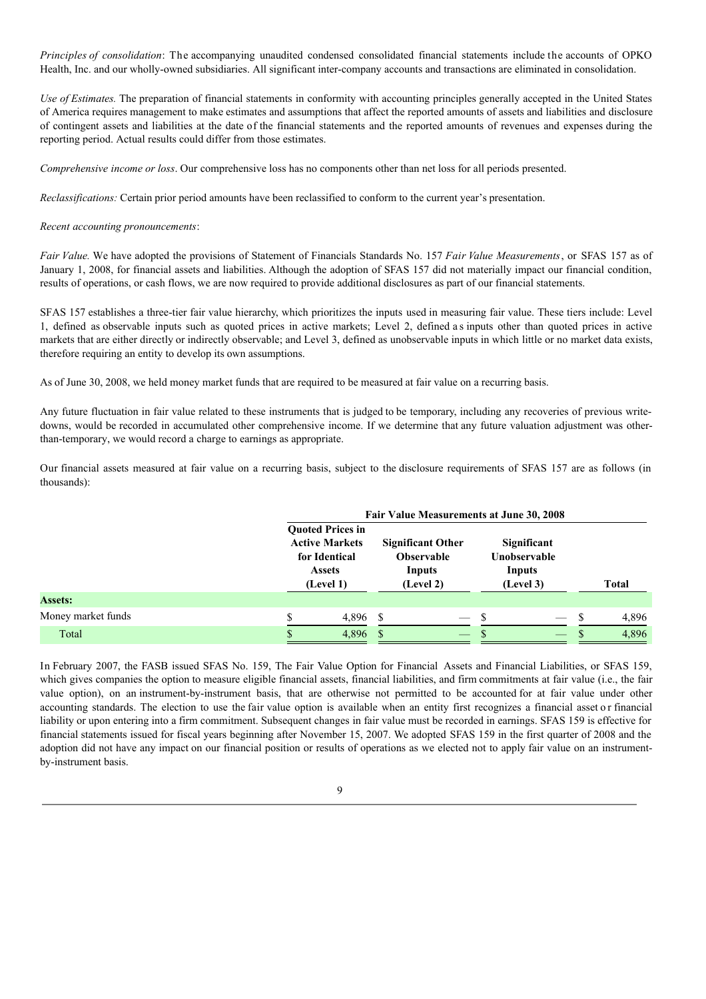*Principles of consolidation*: The accompanying unaudited condensed consolidated financial statements include the accounts of OPKO Health, Inc. and our wholly-owned subsidiaries. All significant inter-company accounts and transactions are eliminated in consolidation.

*Use of Estimates.* The preparation of financial statements in conformity with accounting principles generally accepted in the United States of America requires management to make estimates and assumptions that affect the reported amounts of assets and liabilities and disclosure of contingent assets and liabilities at the date of the financial statements and the reported amounts of revenues and expenses during the reporting period. Actual results could differ from those estimates.

*Comprehensive income or loss*. Our comprehensive loss has no components other than net loss for all periods presented.

*Reclassifications:* Certain prior period amounts have been reclassified to conform to the current year's presentation.

#### *Recent accounting pronouncements*:

*Fair Value.* We have adopted the provisions of Statement of Financials Standards No. 157 *Fair Value Measurements*, or SFAS 157 as of January 1, 2008, for financial assets and liabilities. Although the adoption of SFAS 157 did not materially impact our financial condition, results of operations, or cash flows, we are now required to provide additional disclosures as part of our financial statements.

SFAS 157 establishes a three-tier fair value hierarchy, which prioritizes the inputs used in measuring fair value. These tiers include: Level 1, defined as observable inputs such as quoted prices in active markets; Level 2, defined a s inputs other than quoted prices in active markets that are either directly or indirectly observable; and Level 3, defined as unobservable inputs in which little or no market data exists, therefore requiring an entity to develop its own assumptions.

As of June 30, 2008, we held money market funds that are required to be measured at fair value on a recurring basis.

Any future fluctuation in fair value related to these instruments that is judged to be temporary, including any recoveries of previous writedowns, would be recorded in accumulated other comprehensive income. If we determine that any future valuation adjustment was otherthan-temporary, we would record a charge to earnings as appropriate.

Our financial assets measured at fair value on a recurring basis, subject to the disclosure requirements of SFAS 157 are as follows (in thousands):

|                    | Fair Value Measurements at June 30, 2008 |                                                                                                                                                                         |      |  |                     |                             |              |              |
|--------------------|------------------------------------------|-------------------------------------------------------------------------------------------------------------------------------------------------------------------------|------|--|---------------------|-----------------------------|--------------|--------------|
|                    |                                          | <b>Ouoted Prices in</b><br><b>Active Markets</b><br><b>Significant Other</b><br><b>Observable</b><br>for Identical<br>Inputs<br><b>Assets</b><br>(Level 2)<br>(Level 1) |      |  | Inputs<br>(Level 3) | Significant<br>Unobservable |              | <b>Total</b> |
| <b>Assets:</b>     |                                          |                                                                                                                                                                         |      |  |                     |                             |              |              |
| Money market funds |                                          | 4,896                                                                                                                                                                   | - \$ |  | -S                  |                             | $\mathbf{s}$ | 4,896        |
| Total              |                                          | 4,896                                                                                                                                                                   |      |  |                     |                             | -S           | 4,896        |

In February 2007, the FASB issued SFAS No. 159, The Fair Value Option for Financial Assets and Financial Liabilities, or SFAS 159, which gives companies the option to measure eligible financial assets, financial liabilities, and firm commitments at fair value (i.e., the fair value option), on an instrument-by-instrument basis, that are otherwise not permitted to be accounted for at fair value under other accounting standards. The election to use the fair value option is available when an entity first recognizes a financial asset or financial liability or upon entering into a firm commitment. Subsequent changes in fair value must be recorded in earnings. SFAS 159 is effective for financial statements issued for fiscal years beginning after November 15, 2007. We adopted SFAS 159 in the first quarter of 2008 and the adoption did not have any impact on our financial position or results of operations as we elected not to apply fair value on an instrumentby-instrument basis.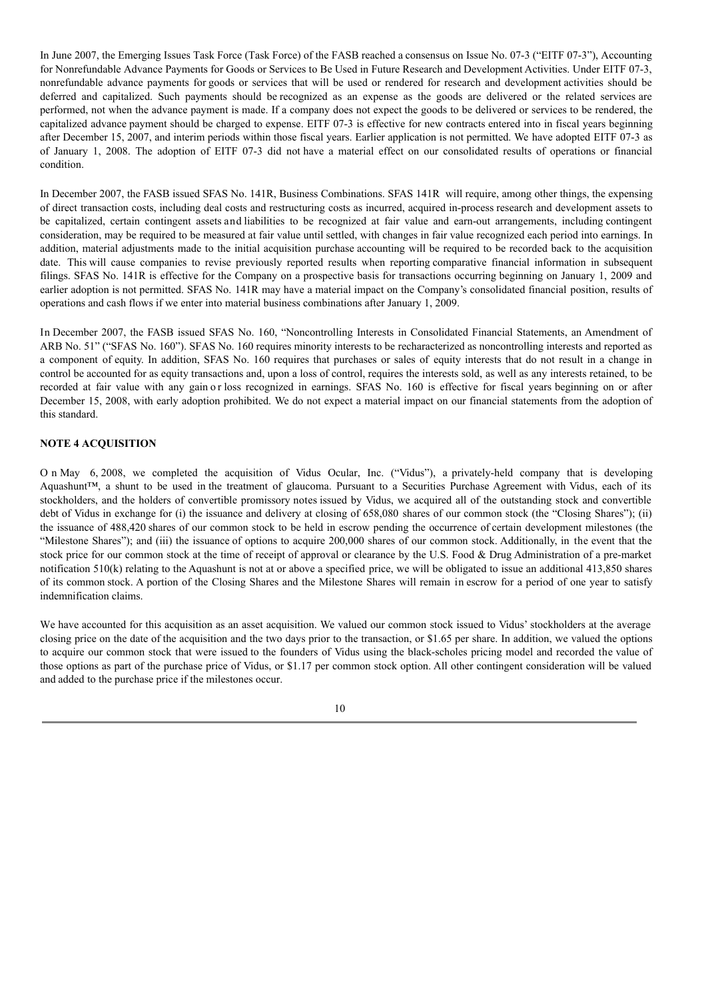In June 2007, the Emerging Issues Task Force (Task Force) of the FASB reached a consensus on Issue No. 07-3 ("EITF 07-3"), Accounting for Nonrefundable Advance Payments for Goods or Services to Be Used in Future Research and Development Activities. Under EITF 07-3, nonrefundable advance payments for goods or services that will be used or rendered for research and development activities should be deferred and capitalized. Such payments should be recognized as an expense as the goods are delivered or the related services are performed, not when the advance payment is made. If a company does not expect the goods to be delivered or services to be rendered, the capitalized advance payment should be charged to expense. EITF 07-3 is effective for new contracts entered into in fiscal years beginning after December 15, 2007, and interim periods within those fiscal years. Earlier application is not permitted. We have adopted EITF 07-3 as of January 1, 2008. The adoption of EITF 07-3 did not have a material effect on our consolidated results of operations or financial condition.

In December 2007, the FASB issued SFAS No. 141R, Business Combinations. SFAS 141R will require, among other things, the expensing of direct transaction costs, including deal costs and restructuring costs as incurred, acquired in-process research and development assets to be capitalized, certain contingent assets and liabilities to be recognized at fair value and earn-out arrangements, including contingent consideration, may be required to be measured at fair value until settled, with changes in fair value recognized each period into earnings. In addition, material adjustments made to the initial acquisition purchase accounting will be required to be recorded back to the acquisition date. This will cause companies to revise previously reported results when reporting comparative financial information in subsequent filings. SFAS No. 141R is effective for the Company on a prospective basis for transactions occurring beginning on January 1, 2009 and earlier adoption is not permitted. SFAS No. 141R may have a material impact on the Company's consolidated financial position, results of operations and cash flows if we enter into material business combinations after January 1, 2009.

In December 2007, the FASB issued SFAS No. 160, "Noncontrolling Interests in Consolidated Financial Statements, an Amendment of ARB No. 51" ("SFAS No. 160"). SFAS No. 160 requires minority interests to be recharacterized as noncontrolling interests and reported as a component of equity. In addition, SFAS No. 160 requires that purchases or sales of equity interests that do not result in a change in control be accounted for as equity transactions and, upon a loss of control, requires the interests sold, as well as any interests retained, to be recorded at fair value with any gain or loss recognized in earnings. SFAS No. 160 is effective for fiscal years beginning on or after December 15, 2008, with early adoption prohibited. We do not expect a material impact on our financial statements from the adoption of this standard.

# **NOTE 4 ACQUISITION**

O n May 6, 2008, we completed the acquisition of Vidus Ocular, Inc. ("Vidus"), a privately-held company that is developing Aquashunt™, a shunt to be used in the treatment of glaucoma. Pursuant to a Securities Purchase Agreement with Vidus, each of its stockholders, and the holders of convertible promissory notes issued by Vidus, we acquired all of the outstanding stock and convertible debt of Vidus in exchange for (i) the issuance and delivery at closing of 658,080 shares of our common stock (the "Closing Shares"); (ii) the issuance of 488,420 shares of our common stock to be held in escrow pending the occurrence of certain development milestones (the "Milestone Shares"); and (iii) the issuance of options to acquire 200,000 shares of our common stock. Additionally, in the event that the stock price for our common stock at the time of receipt of approval or clearance by the U.S. Food & Drug Administration of a pre-market notification 510(k) relating to the Aquashunt is not at or above a specified price, we will be obligated to issue an additional 413,850 shares of its common stock. A portion of the Closing Shares and the Milestone Shares will remain in escrow for a period of one year to satisfy indemnification claims.

We have accounted for this acquisition as an asset acquisition. We valued our common stock issued to Vidus' stockholders at the average closing price on the date of the acquisition and the two days prior to the transaction, or \$1.65 per share. In addition, we valued the options to acquire our common stock that were issued to the founders of Vidus using the black-scholes pricing model and recorded the value of those options as part of the purchase price of Vidus, or \$1.17 per common stock option. All other contingent consideration will be valued and added to the purchase price if the milestones occur.

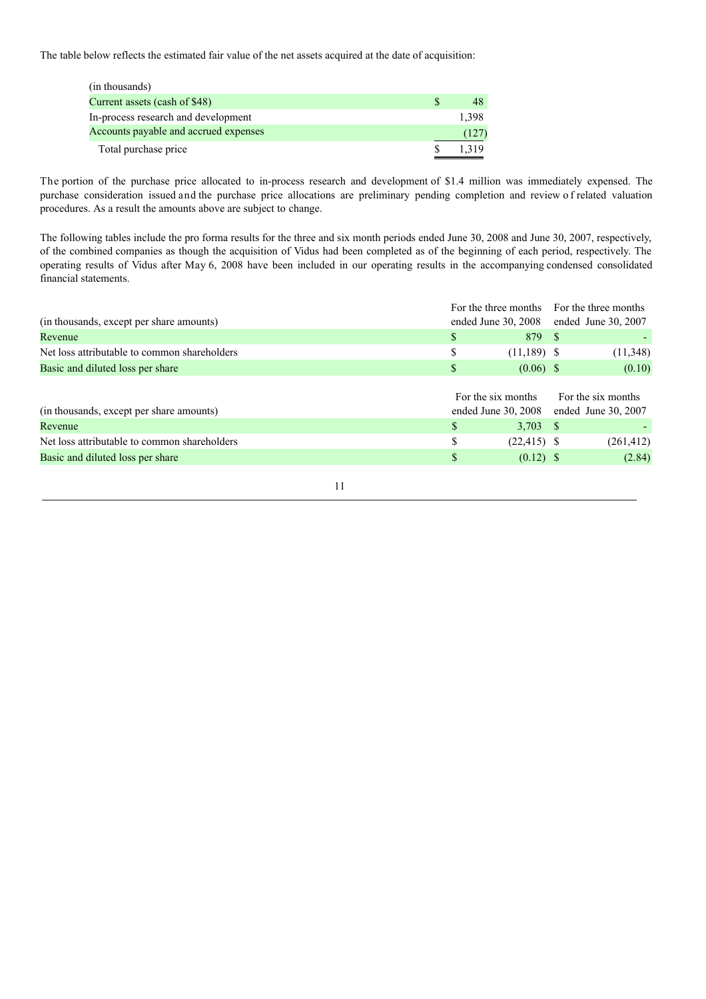The table below reflects the estimated fair value of the net assets acquired at the date of acquisition:

| (in thousands)                        |       |
|---------------------------------------|-------|
| Current assets (cash of \$48)         |       |
| In-process research and development   | 1.398 |
| Accounts payable and accrued expenses | (127) |
| Total purchase price                  | 1.319 |

The portion of the purchase price allocated to in-process research and development of \$1.4 million was immediately expensed. The purchase consideration issued and the purchase price allocations are preliminary pending completion and review of related valuation procedures. As a result the amounts above are subject to change.

The following tables include the pro forma results for the three and six month periods ended June 30, 2008 and June 30, 2007, respectively, of the combined companies as though the acquisition of Vidus had been completed as of the beginning of each period, respectively. The operating results of Vidus after May 6, 2008 have been included in our operating results in the accompanying condensed consolidated financial statements.

|                                              | For the three months For the three months |  |                       |  |
|----------------------------------------------|-------------------------------------------|--|-----------------------|--|
| (in thousands, except per share amounts)     | ended June 30, 2008                       |  | ended June 30, $2007$ |  |
| Revenue                                      | 879 S                                     |  |                       |  |
| Net loss attributable to common shareholders | $(11,189)$ \$                             |  | (11,348)              |  |
| Basic and diluted loss per share             | $(0.06)$ \$                               |  | (0.10)                |  |
|                                              |                                           |  |                       |  |
|                                              | For the six months                        |  | For the six months    |  |

|                                              | TOT THE STA HIOHUIS |                | TOI THE SIX HIOHIIIS                    |
|----------------------------------------------|---------------------|----------------|-----------------------------------------|
| (in thousands, except per share amounts)     |                     |                | ended June 30, 2008 ended June 30, 2007 |
| Revenue                                      |                     | 3.703 S        |                                         |
| Net loss attributable to common shareholders |                     | $(22, 415)$ \$ | (261, 412)                              |
| Basic and diluted loss per share             |                     | $(0.12)$ \$    | (2.84)                                  |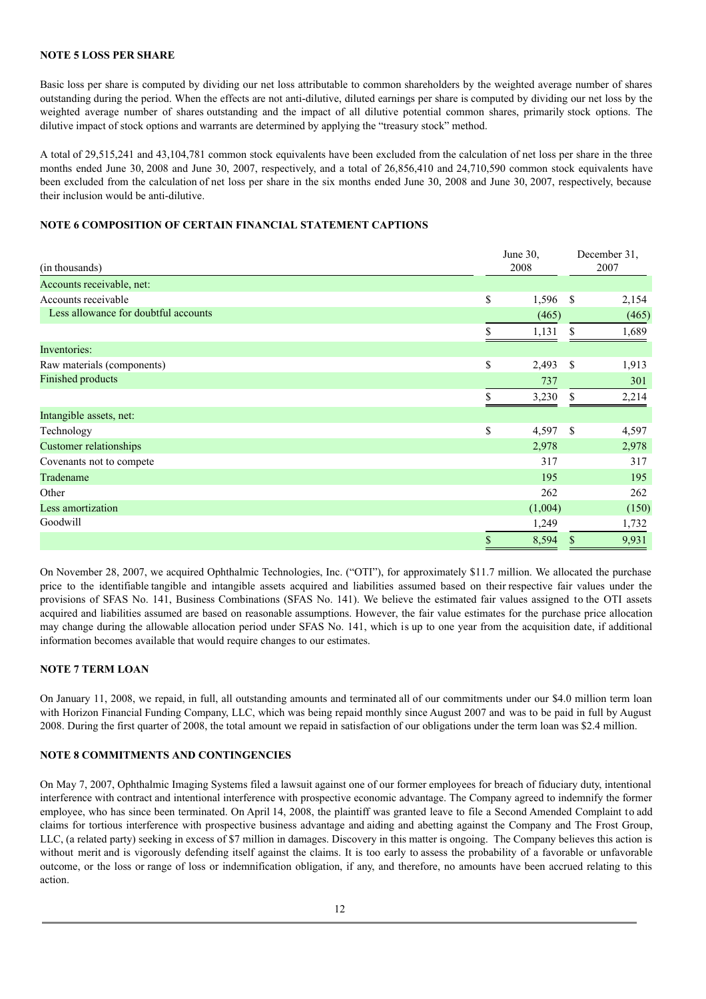# **NOTE 5 LOSS PER SHARE**

Basic loss per share is computed by dividing our net loss attributable to common shareholders by the weighted average number of shares outstanding during the period. When the effects are not anti-dilutive, diluted earnings per share is computed by dividing our net loss by the weighted average number of shares outstanding and the impact of all dilutive potential common shares, primarily stock options. The dilutive impact of stock options and warrants are determined by applying the "treasury stock" method.

A total of 29,515,241 and 43,104,781 common stock equivalents have been excluded from the calculation of net loss per share in the three months ended June 30, 2008 and June 30, 2007, respectively, and a total of 26,856,410 and 24,710,590 common stock equivalents have been excluded from the calculation of net loss per share in the six months ended June 30, 2008 and June 30, 2007, respectively, because their inclusion would be anti-dilutive.

# **NOTE 6 COMPOSITION OF CERTAIN FINANCIAL STATEMENT CAPTIONS**

| (in thousands)                       | June 30,<br>2008 |         |               | December 31,<br>2007 |
|--------------------------------------|------------------|---------|---------------|----------------------|
| Accounts receivable, net:            |                  |         |               |                      |
| Accounts receivable                  | \$               | 1,596   | <sup>\$</sup> | 2,154                |
| Less allowance for doubtful accounts |                  | (465)   |               | (465)                |
|                                      | S                | 1,131   | \$            | 1,689                |
| Inventories:                         |                  |         |               |                      |
| Raw materials (components)           | \$               | 2,493   | \$            | 1,913                |
| Finished products                    |                  | 737     |               | 301                  |
|                                      |                  | 3,230   | \$            | 2,214                |
| Intangible assets, net:              |                  |         |               |                      |
| Technology                           | \$               | 4,597   | \$            | 4,597                |
| <b>Customer relationships</b>        |                  | 2,978   |               | 2,978                |
| Covenants not to compete             |                  | 317     |               | 317                  |
| Tradename                            |                  | 195     |               | 195                  |
| Other                                |                  | 262     |               | 262                  |
| Less amortization                    |                  | (1,004) |               | (150)                |
| Goodwill                             |                  | 1,249   |               | 1,732                |
|                                      | \$               | 8,594   | \$            | 9,931                |

On November 28, 2007, we acquired Ophthalmic Technologies, Inc. ("OTI"), for approximately \$11.7 million. We allocated the purchase price to the identifiable tangible and intangible assets acquired and liabilities assumed based on their respective fair values under the provisions of SFAS No. 141, Business Combinations (SFAS No. 141). We believe the estimated fair values assigned to the OTI assets acquired and liabilities assumed are based on reasonable assumptions. However, the fair value estimates for the purchase price allocation may change during the allowable allocation period under SFAS No. 141, which is up to one year from the acquisition date, if additional information becomes available that would require changes to our estimates.

# **NOTE 7 TERM LOAN**

On January 11, 2008, we repaid, in full, all outstanding amounts and terminated all of our commitments under our \$4.0 million term loan with Horizon Financial Funding Company, LLC, which was being repaid monthly since August 2007 and was to be paid in full by August 2008. During the first quarter of 2008, the total amount we repaid in satisfaction of our obligations under the term loan was \$2.4 million.

#### **NOTE 8 COMMITMENTS AND CONTINGENCIES**

On May 7, 2007, Ophthalmic Imaging Systems filed a lawsuit against one of our former employees for breach of fiduciary duty, intentional interference with contract and intentional interference with prospective economic advantage. The Company agreed to indemnify the former employee, who has since been terminated. On April 14, 2008, the plaintiff was granted leave to file a Second Amended Complaint to add claims for tortious interference with prospective business advantage and aiding and abetting against the Company and The Frost Group, LLC, (a related party) seeking in excess of \$7 million in damages. Discovery in this matter is ongoing. The Company believes this action is without merit and is vigorously defending itself against the claims. It is too early to assess the probability of a favorable or unfavorable outcome, or the loss or range of loss or indemnification obligation, if any, and therefore, no amounts have been accrued relating to this action.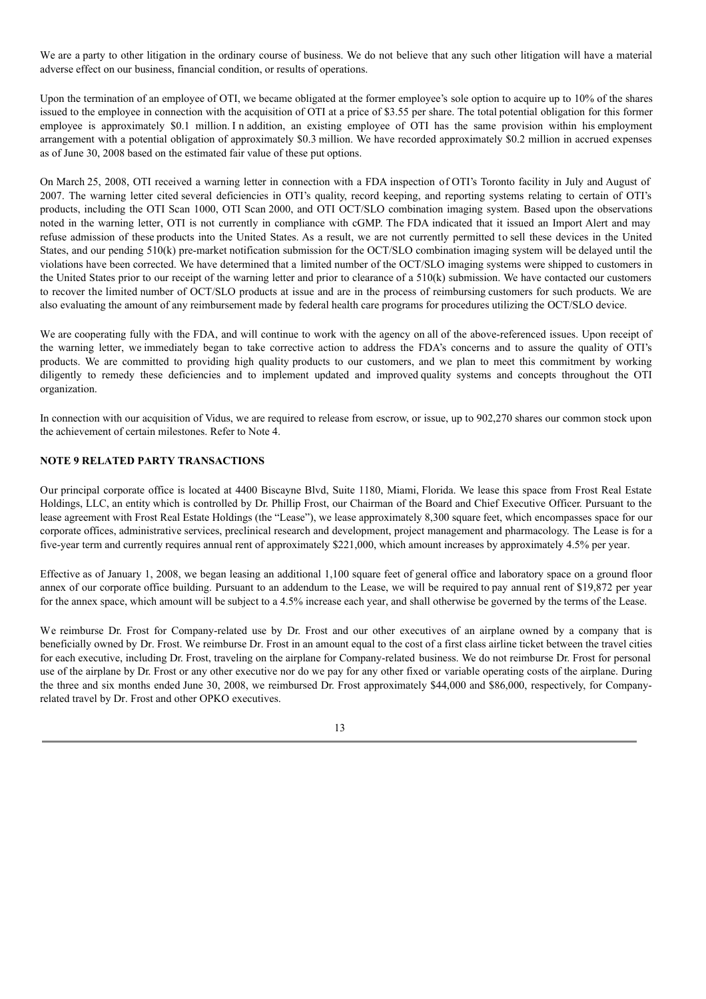We are a party to other litigation in the ordinary course of business. We do not believe that any such other litigation will have a material adverse effect on our business, financial condition, or results of operations.

Upon the termination of an employee of OTI, we became obligated at the former employee's sole option to acquire up to 10% of the shares issued to the employee in connection with the acquisition of OTI at a price of \$3.55 per share. The total potential obligation for this former employee is approximately \$0.1 million. I n addition, an existing employee of OTI has the same provision within his employment arrangement with a potential obligation of approximately \$0.3 million. We have recorded approximately \$0.2 million in accrued expenses as of June 30, 2008 based on the estimated fair value of these put options.

On March 25, 2008, OTI received a warning letter in connection with a FDA inspection of OTI's Toronto facility in July and August of 2007. The warning letter cited several deficiencies in OTI's quality, record keeping, and reporting systems relating to certain of OTI's products, including the OTI Scan 1000, OTI Scan 2000, and OTI OCT/SLO combination imaging system. Based upon the observations noted in the warning letter, OTI is not currently in compliance with cGMP. The FDA indicated that it issued an Import Alert and may refuse admission of these products into the United States. As a result, we are not currently permitted to sell these devices in the United States, and our pending 510(k) pre-market notification submission for the OCT/SLO combination imaging system will be delayed until the violations have been corrected. We have determined that a limited number of the OCT/SLO imaging systems were shipped to customers in the United States prior to our receipt of the warning letter and prior to clearance of a 510(k) submission. We have contacted our customers to recover the limited number of OCT/SLO products at issue and are in the process of reimbursing customers for such products. We are also evaluating the amount of any reimbursement made by federal health care programs for procedures utilizing the OCT/SLO device.

We are cooperating fully with the FDA, and will continue to work with the agency on all of the above-referenced issues. Upon receipt of the warning letter, we immediately began to take corrective action to address the FDA's concerns and to assure the quality of OTI's products. We are committed to providing high quality products to our customers, and we plan to meet this commitment by working diligently to remedy these deficiencies and to implement updated and improved quality systems and concepts throughout the OTI organization.

In connection with our acquisition of Vidus, we are required to release from escrow, or issue, up to 902,270 shares our common stock upon the achievement of certain milestones. Refer to Note 4.

# **NOTE 9 RELATED PARTY TRANSACTIONS**

Our principal corporate office is located at 4400 Biscayne Blvd, Suite 1180, Miami, Florida. We lease this space from Frost Real Estate Holdings, LLC, an entity which is controlled by Dr. Phillip Frost, our Chairman of the Board and Chief Executive Officer. Pursuant to the lease agreement with Frost Real Estate Holdings (the "Lease"), we lease approximately 8,300 square feet, which encompasses space for our corporate offices, administrative services, preclinical research and development, project management and pharmacology. The Lease is for a five-year term and currently requires annual rent of approximately \$221,000, which amount increases by approximately 4.5% per year.

Effective as of January 1, 2008, we began leasing an additional 1,100 square feet of general office and laboratory space on a ground floor annex of our corporate office building. Pursuant to an addendum to the Lease, we will be required to pay annual rent of \$19,872 per year for the annex space, which amount will be subject to a 4.5% increase each year, and shall otherwise be governed by the terms of the Lease.

We reimburse Dr. Frost for Company-related use by Dr. Frost and our other executives of an airplane owned by a company that is beneficially owned by Dr. Frost. We reimburse Dr. Frost in an amount equal to the cost of a first class airline ticket between the travel cities for each executive, including Dr. Frost, traveling on the airplane for Company-related business. We do not reimburse Dr. Frost for personal use of the airplane by Dr. Frost or any other executive nor do we pay for any other fixed or variable operating costs of the airplane. During the three and six months ended June 30, 2008, we reimbursed Dr. Frost approximately \$44,000 and \$86,000, respectively, for Companyrelated travel by Dr. Frost and other OPKO executives.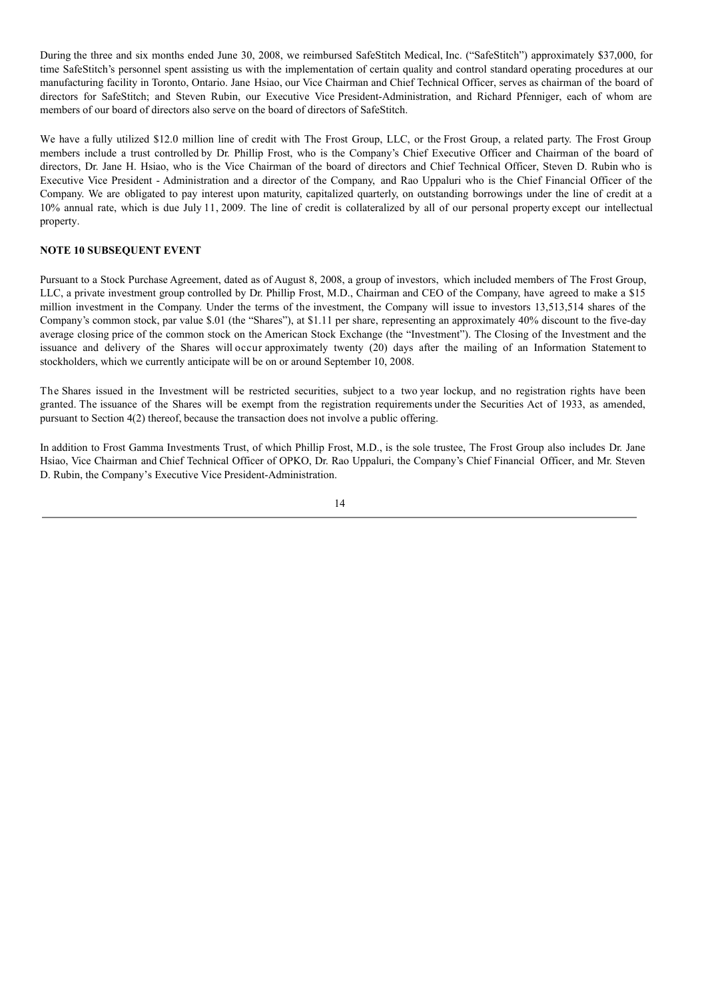During the three and six months ended June 30, 2008, we reimbursed SafeStitch Medical, Inc. ("SafeStitch") approximately \$37,000, for time SafeStitch's personnel spent assisting us with the implementation of certain quality and control standard operating procedures at our manufacturing facility in Toronto, Ontario. Jane Hsiao, our Vice Chairman and Chief Technical Officer, serves as chairman of the board of directors for SafeStitch; and Steven Rubin, our Executive Vice President-Administration, and Richard Pfenniger, each of whom are members of our board of directors also serve on the board of directors of SafeStitch.

We have a fully utilized \$12.0 million line of credit with The Frost Group, LLC, or the Frost Group, a related party. The Frost Group members include a trust controlled by Dr. Phillip Frost, who is the Company's Chief Executive Officer and Chairman of the board of directors, Dr. Jane H. Hsiao, who is the Vice Chairman of the board of directors and Chief Technical Officer, Steven D. Rubin who is Executive Vice President - Administration and a director of the Company, and Rao Uppaluri who is the Chief Financial Officer of the Company. We are obligated to pay interest upon maturity, capitalized quarterly, on outstanding borrowings under the line of credit at a 10% annual rate, which is due July 11, 2009. The line of credit is collateralized by all of our personal property except our intellectual property.

#### **NOTE 10 SUBSEQUENT EVENT**

Pursuant to a Stock Purchase Agreement, dated as of August 8, 2008, a group of investors, which included members of The Frost Group, LLC, a private investment group controlled by Dr. Phillip Frost, M.D., Chairman and CEO of the Company, have agreed to make a \$15 million investment in the Company. Under the terms of the investment, the Company will issue to investors 13,513,514 shares of the Company's common stock, par value \$.01 (the "Shares"), at \$1.11 per share, representing an approximately 40% discount to the five-day average closing price of the common stock on the American Stock Exchange (the "Investment"). The Closing of the Investment and the issuance and delivery of the Shares will occur approximately twenty (20) days after the mailing of an Information Statement to stockholders, which we currently anticipate will be on or around September 10, 2008.

The Shares issued in the Investment will be restricted securities, subject to a two year lockup, and no registration rights have been granted. The issuance of the Shares will be exempt from the registration requirements under the Securities Act of 1933, as amended, pursuant to Section 4(2) thereof, because the transaction does not involve a public offering.

In addition to Frost Gamma Investments Trust, of which Phillip Frost, M.D., is the sole trustee, The Frost Group also includes Dr. Jane Hsiao, Vice Chairman and Chief Technical Officer of OPKO, Dr. Rao Uppaluri, the Company's Chief Financial Officer, and Mr. Steven D. Rubin, the Company's Executive Vice President-Administration.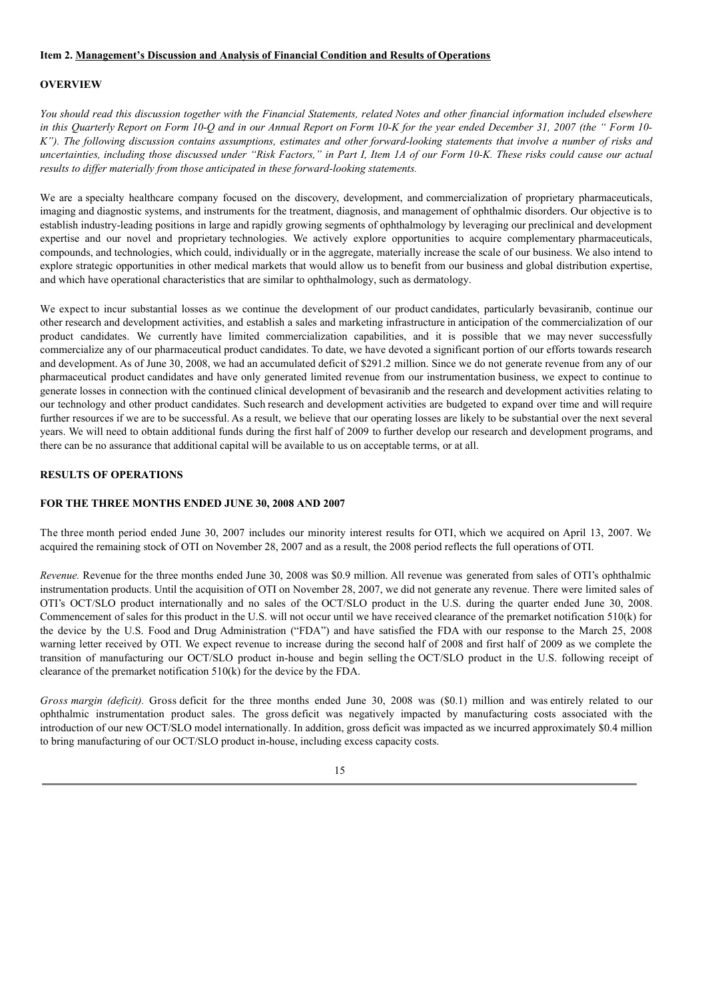#### **Item 2. Management's Discussion and Analysis of Financial Condition and Results of Operations**

### **OVERVIEW**

You should read this discussion together with the Financial Statements, related Notes and other financial information included elsewhere in this Ouarterly Report on Form 10-O and in our Annual Report on Form 10-K for the year ended December 31, 2007 (the "Form 10-K"). The following discussion contains assumptions, estimates and other forward-looking statements that involve a number of risks and uncertainties, including those discussed under "Risk Factors," in Part I, Item 1A of our Form 10-K. These risks could cause our actual *results to dif er materially from those anticipated in these forward-looking statements.*

We are a specialty healthcare company focused on the discovery, development, and commercialization of proprietary pharmaceuticals, imaging and diagnostic systems, and instruments for the treatment, diagnosis, and management of ophthalmic disorders. Our objective is to establish industry-leading positions in large and rapidly growing segments of ophthalmology by leveraging our preclinical and development expertise and our novel and proprietary technologies. We actively explore opportunities to acquire complementary pharmaceuticals, compounds, and technologies, which could, individually or in the aggregate, materially increase the scale of our business. We also intend to explore strategic opportunities in other medical markets that would allow us to benefit from our business and global distribution expertise, and which have operational characteristics that are similar to ophthalmology, such as dermatology.

We expect to incur substantial losses as we continue the development of our product candidates, particularly bevasiranib, continue our other research and development activities, and establish a sales and marketing infrastructure in anticipation of the commercialization of our product candidates. We currently have limited commercialization capabilities, and it is possible that we may never successfully commercialize any of our pharmaceutical product candidates. To date, we have devoted a significant portion of our efforts towards research and development. As of June 30, 2008, we had an accumulated deficit of \$291.2 million. Since we do not generate revenue from any of our pharmaceutical product candidates and have only generated limited revenue from our instrumentation business, we expect to continue to generate losses in connection with the continued clinical development of bevasiranib and the research and development activities relating to our technology and other product candidates. Such research and development activities are budgeted to expand over time and will require further resources if we are to be successful. As a result, we believe that our operating losses are likely to be substantial over the next several years. We will need to obtain additional funds during the first half of 2009 to further develop our research and development programs, and there can be no assurance that additional capital will be available to us on acceptable terms, or at all.

#### **RESULTS OF OPERATIONS**

#### **FOR THE THREE MONTHS ENDED JUNE 30, 2008 AND 2007**

The three month period ended June 30, 2007 includes our minority interest results for OTI, which we acquired on April 13, 2007. We acquired the remaining stock of OTI on November 28, 2007 and as a result, the 2008 period reflects the full operations of OTI.

*Revenue.* Revenue for the three months ended June 30, 2008 was \$0.9 million. All revenue was generated from sales of OTI's ophthalmic instrumentation products. Until the acquisition of OTI on November 28, 2007, we did not generate any revenue. There were limited sales of OTI's OCT/SLO product internationally and no sales of the OCT/SLO product in the U.S. during the quarter ended June 30, 2008. Commencement of sales for this product in the U.S. will not occur until we have received clearance of the premarket notification 510(k) for the device by the U.S. Food and Drug Administration ("FDA") and have satisfied the FDA with our response to the March 25, 2008 warning letter received by OTI. We expect revenue to increase during the second half of 2008 and first half of 2009 as we complete the transition of manufacturing our OCT/SLO product in-house and begin selling the OCT/SLO product in the U.S. following receipt of clearance of the premarket notification 510(k) for the device by the FDA.

*Gross margin (deficit).* Gross deficit for the three months ended June 30, 2008 was (\$0.1) million and was entirely related to our ophthalmic instrumentation product sales. The gross deficit was negatively impacted by manufacturing costs associated with the introduction of our new OCT/SLO model internationally. In addition, gross deficit was impacted as we incurred approximately \$0.4 million to bring manufacturing of our OCT/SLO product in-house, including excess capacity costs.

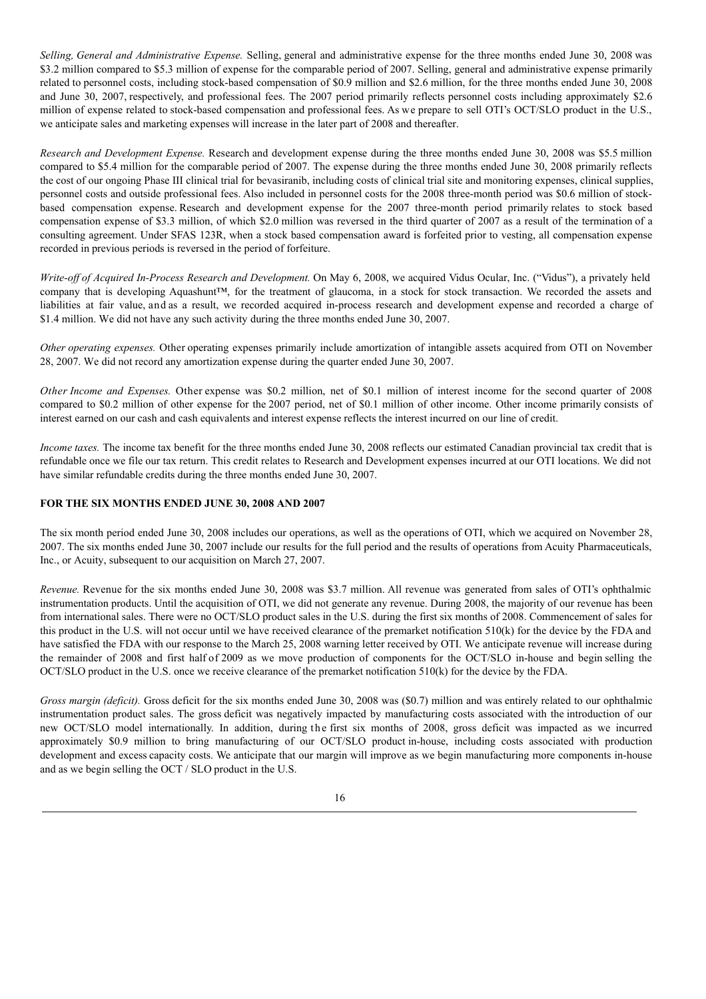*Selling, General and Administrative Expense.* Selling, general and administrative expense for the three months ended June 30, 2008 was \$3.2 million compared to \$5.3 million of expense for the comparable period of 2007. Selling, general and administrative expense primarily related to personnel costs, including stock-based compensation of \$0.9 million and \$2.6 million, for the three months ended June 30, 2008 and June 30, 2007, respectively, and professional fees. The 2007 period primarily reflects personnel costs including approximately \$2.6 million of expense related to stock-based compensation and professional fees. As we prepare to sell OTI's OCT/SLO product in the U.S., we anticipate sales and marketing expenses will increase in the later part of 2008 and thereafter.

*Research and Development Expense.* Research and development expense during the three months ended June 30, 2008 was \$5.5 million compared to \$5.4 million for the comparable period of 2007. The expense during the three months ended June 30, 2008 primarily reflects the cost of our ongoing Phase III clinical trial for bevasiranib, including costs of clinical trial site and monitoring expenses, clinical supplies, personnel costs and outside professional fees. Also included in personnel costs for the 2008 three-month period was \$0.6 million of stockbased compensation expense. Research and development expense for the 2007 three-month period primarily relates to stock based compensation expense of \$3.3 million, of which \$2.0 million was reversed in the third quarter of 2007 as a result of the termination of a consulting agreement. Under SFAS 123R, when a stock based compensation award is forfeited prior to vesting, all compensation expense recorded in previous periods is reversed in the period of forfeiture.

*Write-of of Acquired In-Process Research and Development.* On May 6, 2008, we acquired Vidus Ocular, Inc. ("Vidus"), a privately held company that is developing Aquashunt™, for the treatment of glaucoma, in a stock for stock transaction. We recorded the assets and liabilities at fair value, and as a result, we recorded acquired in-process research and development expense and recorded a charge of \$1.4 million. We did not have any such activity during the three months ended June 30, 2007.

*Other operating expenses.* Other operating expenses primarily include amortization of intangible assets acquired from OTI on November 28, 2007. We did not record any amortization expense during the quarter ended June 30, 2007.

*Other Income and Expenses.* Other expense was \$0.2 million, net of \$0.1 million of interest income for the second quarter of 2008 compared to \$0.2 million of other expense for the 2007 period, net of \$0.1 million of other income. Other income primarily consists of interest earned on our cash and cash equivalents and interest expense reflects the interest incurred on our line of credit.

*Income taxes*. The income tax benefit for the three months ended June 30, 2008 reflects our estimated Canadian provincial tax credit that is refundable once we file our tax return. This credit relates to Research and Development expenses incurred at our OTI locations. We did not have similar refundable credits during the three months ended June 30, 2007.

#### **FOR THE SIX MONTHS ENDED JUNE 30, 2008 AND 2007**

The six month period ended June 30, 2008 includes our operations, as well as the operations of OTI, which we acquired on November 28, 2007. The six months ended June 30, 2007 include our results for the full period and the results of operations from Acuity Pharmaceuticals, Inc., or Acuity, subsequent to our acquisition on March 27, 2007.

*Revenue.* Revenue for the six months ended June 30, 2008 was \$3.7 million. All revenue was generated from sales of OTI's ophthalmic instrumentation products. Until the acquisition of OTI, we did not generate any revenue. During 2008, the majority of our revenue has been from international sales. There were no OCT/SLO product sales in the U.S. during the first six months of 2008. Commencement of sales for this product in the U.S. will not occur until we have received clearance of the premarket notification 510(k) for the device by the FDA and have satisfied the FDA with our response to the March 25, 2008 warning letter received by OTI. We anticipate revenue will increase during the remainder of 2008 and first half of 2009 as we move production of components for the OCT/SLO in-house and begin selling the OCT/SLO product in the U.S. once we receive clearance of the premarket notification 510(k) for the device by the FDA.

*Gross margin (deficit).* Gross deficit for the six months ended June 30, 2008 was (\$0.7) million and was entirely related to our ophthalmic instrumentation product sales. The gross deficit was negatively impacted by manufacturing costs associated with the introduction of our new OCT/SLO model internationally. In addition, during the first six months of 2008, gross deficit was impacted as we incurred approximately \$0.9 million to bring manufacturing of our OCT/SLO product in-house, including costs associated with production development and excess capacity costs. We anticipate that our margin will improve as we begin manufacturing more components in-house and as we begin selling the OCT / SLO product in the U.S.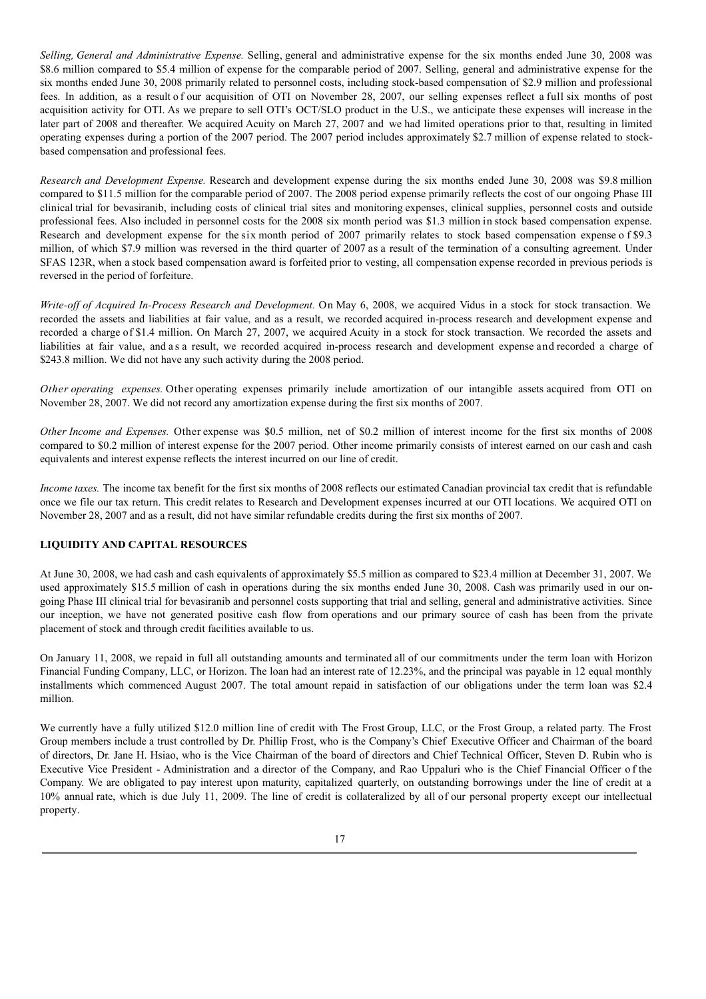*Selling, General and Administrative Expense.* Selling, general and administrative expense for the six months ended June 30, 2008 was \$8.6 million compared to \$5.4 million of expense for the comparable period of 2007. Selling, general and administrative expense for the six months ended June 30, 2008 primarily related to personnel costs, including stock-based compensation of \$2.9 million and professional fees. In addition, as a result of our acquisition of OTI on November 28, 2007, our selling expenses reflect a full six months of post acquisition activity for OTI. As we prepare to sell OTI's OCT/SLO product in the U.S., we anticipate these expenses will increase in the later part of 2008 and thereafter. We acquired Acuity on March 27, 2007 and we had limited operations prior to that, resulting in limited operating expenses during a portion of the 2007 period. The 2007 period includes approximately \$2.7 million of expense related to stockbased compensation and professional fees.

*Research and Development Expense.* Research and development expense during the six months ended June 30, 2008 was \$9.8 million compared to \$11.5 million for the comparable period of 2007. The 2008 period expense primarily reflects the cost of our ongoing Phase III clinical trial for bevasiranib, including costs of clinical trial sites and monitoring expenses, clinical supplies, personnel costs and outside professional fees. Also included in personnel costs for the 2008 six month period was \$1.3 million in stock based compensation expense. Research and development expense for the six month period of 2007 primarily relates to stock based compensation expense o f \$9.3 million, of which \$7.9 million was reversed in the third quarter of 2007 as a result of the termination of a consulting agreement. Under SFAS 123R, when a stock based compensation award is forfeited prior to vesting, all compensation expense recorded in previous periods is reversed in the period of forfeiture.

*Write-of of Acquired In-Process Research and Development.* On May 6, 2008, we acquired Vidus in a stock for stock transaction. We recorded the assets and liabilities at fair value, and as a result, we recorded acquired in-process research and development expense and recorded a charge of \$1.4 million. On March 27, 2007, we acquired Acuity in a stock for stock transaction. We recorded the assets and liabilities at fair value, and a s a result, we recorded acquired in-process research and development expense and recorded a charge of \$243.8 million. We did not have any such activity during the 2008 period.

*Other operating expenses.* Other operating expenses primarily include amortization of our intangible assets acquired from OTI on November 28, 2007. We did not record any amortization expense during the first six months of 2007.

*Other Income and Expenses.* Other expense was \$0.5 million, net of \$0.2 million of interest income for the first six months of 2008 compared to \$0.2 million of interest expense for the 2007 period. Other income primarily consists of interest earned on our cash and cash equivalents and interest expense reflects the interest incurred on our line of credit.

*Income taxes*. The income tax benefit for the first six months of 2008 reflects our estimated Canadian provincial tax credit that is refundable once we file our tax return. This credit relates to Research and Development expenses incurred at our OTI locations. We acquired OTI on November 28, 2007 and as a result, did not have similar refundable credits during the first six months of 2007.

#### **LIQUIDITY AND CAPITAL RESOURCES**

At June 30, 2008, we had cash and cash equivalents of approximately \$5.5 million as compared to \$23.4 million at December 31, 2007. We used approximately \$15.5 million of cash in operations during the six months ended June 30, 2008. Cash was primarily used in our ongoing Phase III clinical trial for bevasiranib and personnel costs supporting that trial and selling, general and administrative activities. Since our inception, we have not generated positive cash flow from operations and our primary source of cash has been from the private placement of stock and through credit facilities available to us.

On January 11, 2008, we repaid in full all outstanding amounts and terminated all of our commitments under the term loan with Horizon Financial Funding Company, LLC, or Horizon. The loan had an interest rate of 12.23%, and the principal was payable in 12 equal monthly installments which commenced August 2007. The total amount repaid in satisfaction of our obligations under the term loan was \$2.4 million.

We currently have a fully utilized \$12.0 million line of credit with The Frost Group, LLC, or the Frost Group, a related party. The Frost Group members include a trust controlled by Dr. Phillip Frost, who is the Company's Chief Executive Officer and Chairman of the board of directors, Dr. Jane H. Hsiao, who is the Vice Chairman of the board of directors and Chief Technical Officer, Steven D. Rubin who is Executive Vice President - Administration and a director of the Company, and Rao Uppaluri who is the Chief Financial Officer of the Company. We are obligated to pay interest upon maturity, capitalized quarterly, on outstanding borrowings under the line of credit at a 10% annual rate, which is due July 11, 2009. The line of credit is collateralized by all of our personal property except our intellectual property.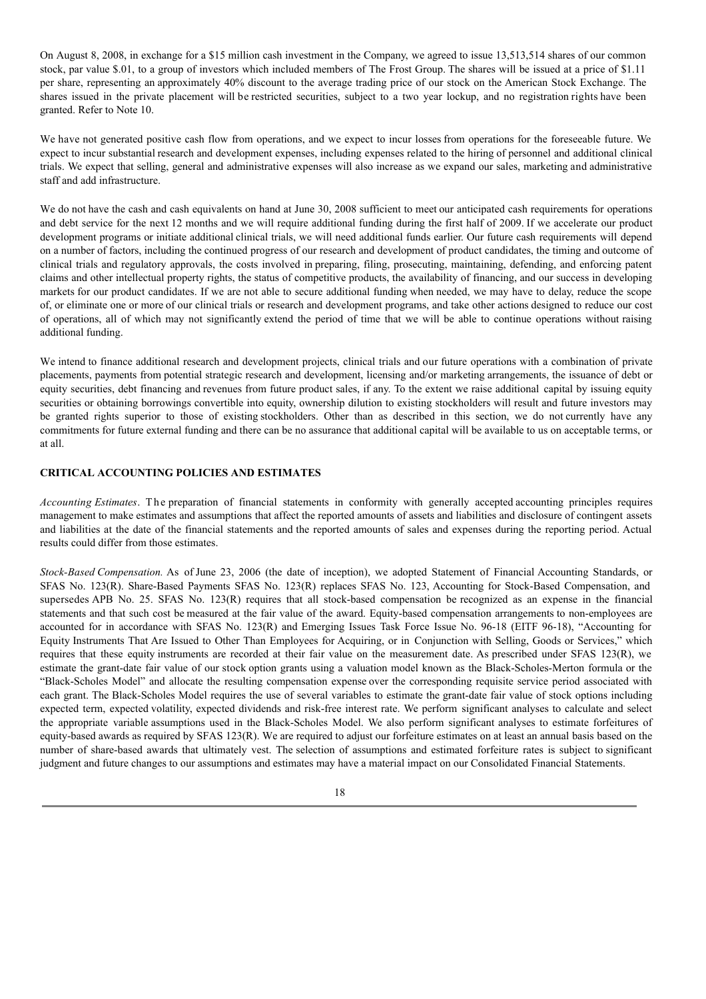On August 8, 2008, in exchange for a \$15 million cash investment in the Company, we agreed to issue 13,513,514 shares of our common stock, par value \$.01, to a group of investors which included members of The Frost Group. The shares will be issued at a price of \$1.11 per share, representing an approximately 40% discount to the average trading price of our stock on the American Stock Exchange. The shares issued in the private placement will be restricted securities, subject to a two year lockup, and no registration rights have been granted. Refer to Note 10.

We have not generated positive cash flow from operations, and we expect to incur losses from operations for the foreseeable future. We expect to incur substantial research and development expenses, including expenses related to the hiring of personnel and additional clinical trials. We expect that selling, general and administrative expenses will also increase as we expand our sales, marketing and administrative staff and add infrastructure.

We do not have the cash and cash equivalents on hand at June 30, 2008 sufficient to meet our anticipated cash requirements for operations and debt service for the next 12 months and we will require additional funding during the first half of 2009. If we accelerate our product development programs or initiate additional clinical trials, we will need additional funds earlier. Our future cash requirements will depend on a number of factors, including the continued progress of our research and development of product candidates, the timing and outcome of clinical trials and regulatory approvals, the costs involved in preparing, filing, prosecuting, maintaining, defending, and enforcing patent claims and other intellectual property rights, the status of competitive products, the availability of financing, and our success in developing markets for our product candidates. If we are not able to secure additional funding when needed, we may have to delay, reduce the scope of, or eliminate one or more of our clinical trials or research and development programs, and take other actions designed to reduce our cost of operations, all of which may not significantly extend the period of time that we will be able to continue operations without raising additional funding.

We intend to finance additional research and development projects, clinical trials and our future operations with a combination of private placements, payments from potential strategic research and development, licensing and/or marketing arrangements, the issuance of debt or equity securities, debt financing and revenues from future product sales, if any. To the extent we raise additional capital by issuing equity securities or obtaining borrowings convertible into equity, ownership dilution to existing stockholders will result and future investors may be granted rights superior to those of existing stockholders. Other than as described in this section, we do not currently have any commitments for future external funding and there can be no assurance that additional capital will be available to us on acceptable terms, or at all.

# **CRITICAL ACCOUNTING POLICIES AND ESTIMATES**

*Accounting Estimates*. The preparation of financial statements in conformity with generally accepted accounting principles requires management to make estimates and assumptions that affect the reported amounts of assets and liabilities and disclosure of contingent assets and liabilities at the date of the financial statements and the reported amounts of sales and expenses during the reporting period. Actual results could differ from those estimates.

*Stock-Based Compensation.* As of June 23, 2006 (the date of inception), we adopted Statement of Financial Accounting Standards, or SFAS No. 123(R). Share-Based Payments SFAS No. 123(R) replaces SFAS No. 123, Accounting for Stock-Based Compensation, and supersedes APB No. 25. SFAS No. 123(R) requires that all stock-based compensation be recognized as an expense in the financial statements and that such cost be measured at the fair value of the award. Equity-based compensation arrangements to non-employees are accounted for in accordance with SFAS No. 123(R) and Emerging Issues Task Force Issue No. 96-18 (EITF 96-18), "Accounting for Equity Instruments That Are Issued to Other Than Employees for Acquiring, or in Conjunction with Selling, Goods or Services," which requires that these equity instruments are recorded at their fair value on the measurement date. As prescribed under SFAS 123(R), we estimate the grant-date fair value of our stock option grants using a valuation model known as the Black-Scholes-Merton formula or the "Black-Scholes Model" and allocate the resulting compensation expense over the corresponding requisite service period associated with each grant. The Black-Scholes Model requires the use of several variables to estimate the grant-date fair value of stock options including expected term, expected volatility, expected dividends and risk-free interest rate. We perform significant analyses to calculate and select the appropriate variable assumptions used in the Black-Scholes Model. We also perform significant analyses to estimate forfeitures of equity-based awards as required by SFAS 123(R). We are required to adjust our forfeiture estimates on at least an annual basis based on the number of share-based awards that ultimately vest. The selection of assumptions and estimated forfeiture rates is subject to significant judgment and future changes to our assumptions and estimates may have a material impact on our Consolidated Financial Statements.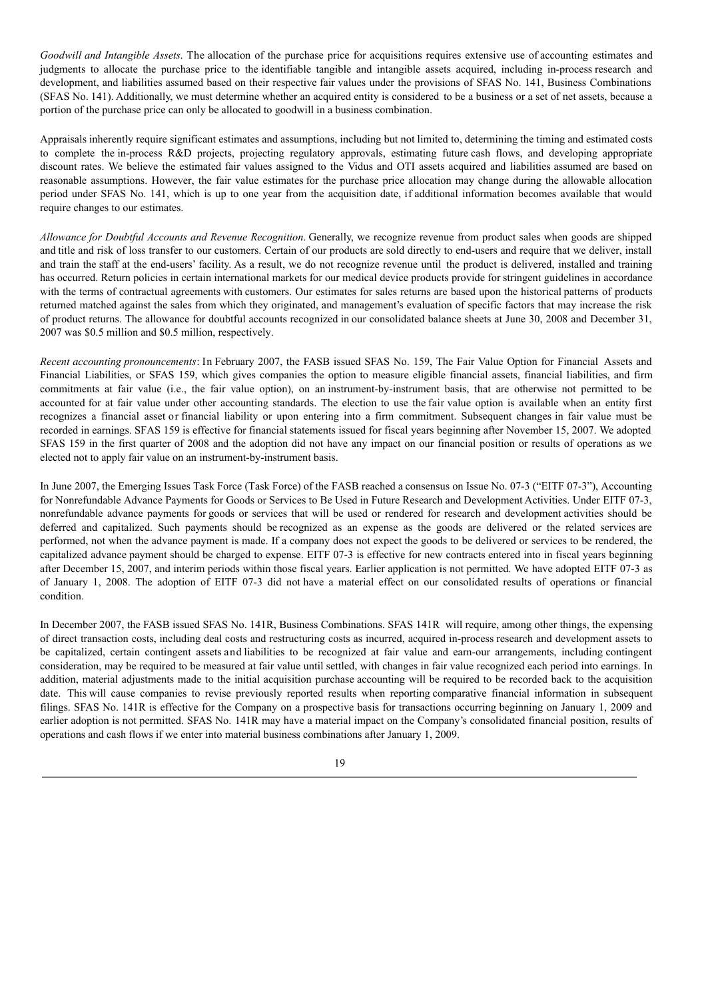*Goodwill and Intangible Assets*. The allocation of the purchase price for acquisitions requires extensive use of accounting estimates and judgments to allocate the purchase price to the identifiable tangible and intangible assets acquired, including in-process research and development, and liabilities assumed based on their respective fair values under the provisions of SFAS No. 141, Business Combinations (SFAS No. 141). Additionally, we must determine whether an acquired entity is considered to be a business or a set of net assets, because a portion of the purchase price can only be allocated to goodwill in a business combination.

Appraisals inherently require significant estimates and assumptions, including but not limited to, determining the timing and estimated costs to complete the in-process R&D projects, projecting regulatory approvals, estimating future cash flows, and developing appropriate discount rates. We believe the estimated fair values assigned to the Vidus and OTI assets acquired and liabilities assumed are based on reasonable assumptions. However, the fair value estimates for the purchase price allocation may change during the allowable allocation period under SFAS No. 141, which is up to one year from the acquisition date, if additional information becomes available that would require changes to our estimates.

*Allowance for Doubtful Accounts and Revenue Recognition*. Generally, we recognize revenue from product sales when goods are shipped and title and risk of loss transfer to our customers. Certain of our products are sold directly to end-users and require that we deliver, install and train the staff at the end-users' facility. As a result, we do not recognize revenue until the product is delivered, installed and training has occurred. Return policies in certain international markets for our medical device products provide for stringent guidelines in accordance with the terms of contractual agreements with customers. Our estimates for sales returns are based upon the historical patterns of products returned matched against the sales from which they originated, and management's evaluation of specific factors that may increase the risk of product returns. The allowance for doubtful accounts recognized in our consolidated balance sheets at June 30, 2008 and December 31, 2007 was \$0.5 million and \$0.5 million, respectively.

*Recent accounting pronouncements*: In February 2007, the FASB issued SFAS No. 159, The Fair Value Option for Financial Assets and Financial Liabilities, or SFAS 159, which gives companies the option to measure eligible financial assets, financial liabilities, and firm commitments at fair value (i.e., the fair value option), on an instrument-by-instrument basis, that are otherwise not permitted to be accounted for at fair value under other accounting standards. The election to use the fair value option is available when an entity first recognizes a financial asset or financial liability or upon entering into a firm commitment. Subsequent changes in fair value must be recorded in earnings. SFAS 159 is effective for financial statements issued for fiscal years beginning after November 15, 2007. We adopted SFAS 159 in the first quarter of 2008 and the adoption did not have any impact on our financial position or results of operations as we elected not to apply fair value on an instrument-by-instrument basis.

In June 2007, the Emerging Issues Task Force (Task Force) of the FASB reached a consensus on Issue No. 07-3 ("EITF 07-3"), Accounting for Nonrefundable Advance Payments for Goods or Services to Be Used in Future Research and Development Activities. Under EITF 07-3, nonrefundable advance payments for goods or services that will be used or rendered for research and development activities should be deferred and capitalized. Such payments should be recognized as an expense as the goods are delivered or the related services are performed, not when the advance payment is made. If a company does not expect the goods to be delivered or services to be rendered, the capitalized advance payment should be charged to expense. EITF 07-3 is effective for new contracts entered into in fiscal years beginning after December 15, 2007, and interim periods within those fiscal years. Earlier application is not permitted. We have adopted EITF 07-3 as of January 1, 2008. The adoption of EITF 07-3 did not have a material effect on our consolidated results of operations or financial condition.

In December 2007, the FASB issued SFAS No. 141R, Business Combinations. SFAS 141R will require, among other things, the expensing of direct transaction costs, including deal costs and restructuring costs as incurred, acquired in-process research and development assets to be capitalized, certain contingent assets and liabilities to be recognized at fair value and earn-our arrangements, including contingent consideration, may be required to be measured at fair value until settled, with changes in fair value recognized each period into earnings. In addition, material adjustments made to the initial acquisition purchase accounting will be required to be recorded back to the acquisition date. This will cause companies to revise previously reported results when reporting comparative financial information in subsequent filings. SFAS No. 141R is effective for the Company on a prospective basis for transactions occurring beginning on January 1, 2009 and earlier adoption is not permitted. SFAS No. 141R may have a material impact on the Company's consolidated financial position, results of operations and cash flows if we enter into material business combinations after January 1, 2009.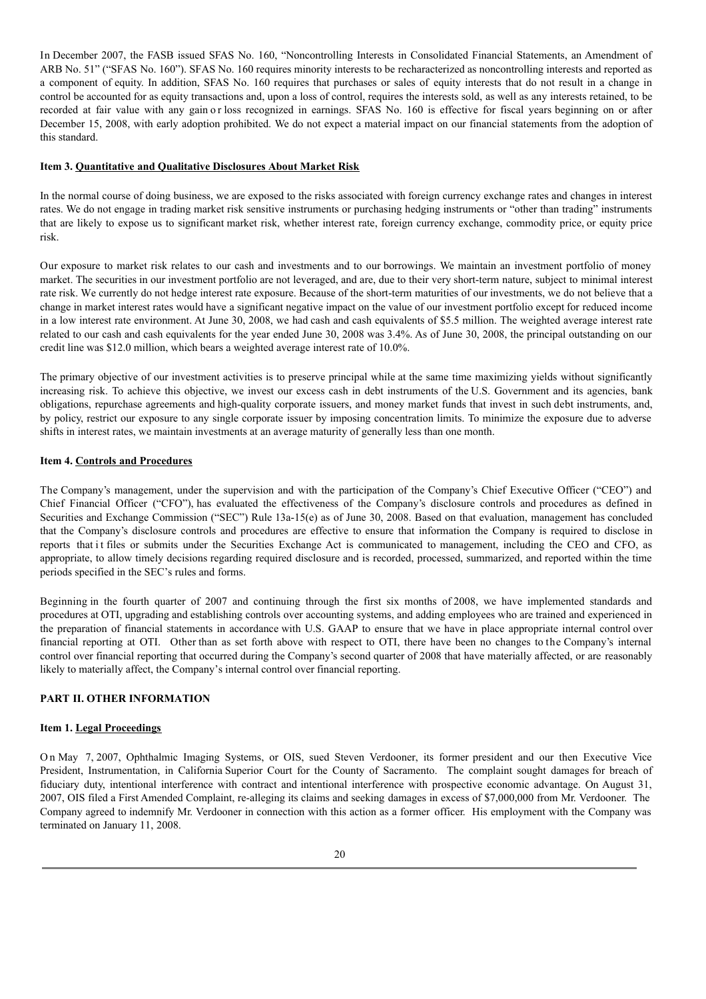In December 2007, the FASB issued SFAS No. 160, "Noncontrolling Interests in Consolidated Financial Statements, an Amendment of ARB No. 51" ("SFAS No. 160"). SFAS No. 160 requires minority interests to be recharacterized as noncontrolling interests and reported as a component of equity. In addition, SFAS No. 160 requires that purchases or sales of equity interests that do not result in a change in control be accounted for as equity transactions and, upon a loss of control, requires the interests sold, as well as any interests retained, to be recorded at fair value with any gain or loss recognized in earnings. SFAS No. 160 is effective for fiscal years beginning on or after December 15, 2008, with early adoption prohibited. We do not expect a material impact on our financial statements from the adoption of this standard.

#### **Item 3. Quantitative and Qualitative Disclosures About Market Risk**

In the normal course of doing business, we are exposed to the risks associated with foreign currency exchange rates and changes in interest rates. We do not engage in trading market risk sensitive instruments or purchasing hedging instruments or "other than trading" instruments that are likely to expose us to significant market risk, whether interest rate, foreign currency exchange, commodity price, or equity price risk.

Our exposure to market risk relates to our cash and investments and to our borrowings. We maintain an investment portfolio of money market. The securities in our investment portfolio are not leveraged, and are, due to their very short-term nature, subject to minimal interest rate risk. We currently do not hedge interest rate exposure. Because of the short-term maturities of our investments, we do not believe that a change in market interest rates would have a significant negative impact on the value of our investment portfolio except for reduced income in a low interest rate environment. At June 30, 2008, we had cash and cash equivalents of \$5.5 million. The weighted average interest rate related to our cash and cash equivalents for the year ended June 30, 2008 was 3.4%. As of June 30, 2008, the principal outstanding on our credit line was \$12.0 million, which bears a weighted average interest rate of 10.0%.

The primary objective of our investment activities is to preserve principal while at the same time maximizing yields without significantly increasing risk. To achieve this objective, we invest our excess cash in debt instruments of the U.S. Government and its agencies, bank obligations, repurchase agreements and high-quality corporate issuers, and money market funds that invest in such debt instruments, and, by policy, restrict our exposure to any single corporate issuer by imposing concentration limits. To minimize the exposure due to adverse shifts in interest rates, we maintain investments at an average maturity of generally less than one month.

#### **Item 4. Controls and Procedures**

The Company's management, under the supervision and with the participation of the Company's Chief Executive Officer ("CEO") and Chief Financial Officer ("CFO"), has evaluated the effectiveness of the Company's disclosure controls and procedures as defined in Securities and Exchange Commission ("SEC") Rule 13a-15(e) as of June 30, 2008. Based on that evaluation, management has concluded that the Company's disclosure controls and procedures are effective to ensure that information the Company is required to disclose in reports that it files or submits under the Securities Exchange Act is communicated to management, including the CEO and CFO, as appropriate, to allow timely decisions regarding required disclosure and is recorded, processed, summarized, and reported within the time periods specified in the SEC's rules and forms.

Beginning in the fourth quarter of 2007 and continuing through the first six months of 2008, we have implemented standards and procedures at OTI, upgrading and establishing controls over accounting systems, and adding employees who are trained and experienced in the preparation of financial statements in accordance with U.S. GAAP to ensure that we have in place appropriate internal control over financial reporting at OTI. Other than as set forth above with respect to OTI, there have been no changes to the Company's internal control over financial reporting that occurred during the Company's second quarter of 2008 that have materially affected, or are reasonably likely to materially affect, the Company's internal control over financial reporting.

#### **PART II. OTHER INFORMATION**

#### **Item 1. Legal Proceedings**

O n May 7, 2007, Ophthalmic Imaging Systems, or OIS, sued Steven Verdooner, its former president and our then Executive Vice President, Instrumentation, in California Superior Court for the County of Sacramento. The complaint sought damages for breach of fiduciary duty, intentional interference with contract and intentional interference with prospective economic advantage. On August 31, 2007, OIS filed a First Amended Complaint, re-alleging its claims and seeking damages in excess of \$7,000,000 from Mr. Verdooner. The Company agreed to indemnify Mr. Verdooner in connection with this action as a former officer. His employment with the Company was terminated on January 11, 2008.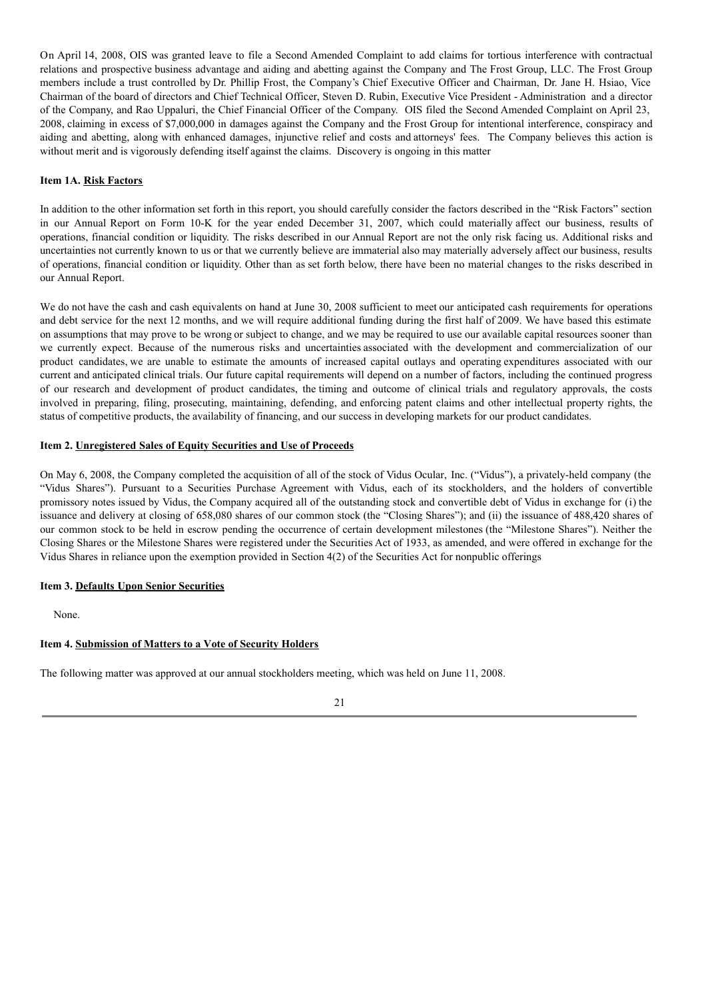On April 14, 2008, OIS was granted leave to file a Second Amended Complaint to add claims for tortious interference with contractual relations and prospective business advantage and aiding and abetting against the Company and The Frost Group, LLC. The Frost Group members include a trust controlled by Dr. Phillip Frost, the Company's Chief Executive Officer and Chairman, Dr. Jane H. Hsiao, Vice Chairman of the board of directors and Chief Technical Officer, Steven D. Rubin, Executive Vice President - Administration and a director of the Company, and Rao Uppaluri, the Chief Financial Officer of the Company. OIS filed the Second Amended Complaint on April 23, 2008, claiming in excess of \$7,000,000 in damages against the Company and the Frost Group for intentional interference, conspiracy and aiding and abetting, along with enhanced damages, injunctive relief and costs and attorneys' fees. The Company believes this action is without merit and is vigorously defending itself against the claims. Discovery is ongoing in this matter

#### **Item 1A. Risk Factors**

In addition to the other information set forth in this report, you should carefully consider the factors described in the "Risk Factors" section in our Annual Report on Form 10-K for the year ended December 31, 2007, which could materially affect our business, results of operations, financial condition or liquidity. The risks described in our Annual Report are not the only risk facing us. Additional risks and uncertainties not currently known to us or that we currently believe are immaterial also may materially adversely affect our business, results of operations, financial condition or liquidity. Other than as set forth below, there have been no material changes to the risks described in our Annual Report.

We do not have the cash and cash equivalents on hand at June 30, 2008 sufficient to meet our anticipated cash requirements for operations and debt service for the next 12 months, and we will require additional funding during the first half of 2009. We have based this estimate on assumptions that may prove to be wrong or subject to change, and we may be required to use our available capital resources sooner than we currently expect. Because of the numerous risks and uncertainties associated with the development and commercialization of our product candidates, we are unable to estimate the amounts of increased capital outlays and operating expenditures associated with our current and anticipated clinical trials. Our future capital requirements will depend on a number of factors, including the continued progress of our research and development of product candidates, the timing and outcome of clinical trials and regulatory approvals, the costs involved in preparing, filing, prosecuting, maintaining, defending, and enforcing patent claims and other intellectual property rights, the status of competitive products, the availability of financing, and our success in developing markets for our product candidates.

#### **Item 2. Unregistered Sales of Equity Securities and Use of Proceeds**

On May 6, 2008, the Company completed the acquisition of all of the stock of Vidus Ocular, Inc. ("Vidus"), a privately-held company (the "Vidus Shares"). Pursuant to a Securities Purchase Agreement with Vidus, each of its stockholders, and the holders of convertible promissory notes issued by Vidus, the Company acquired all of the outstanding stock and convertible debt of Vidus in exchange for (i) the issuance and delivery at closing of 658,080 shares of our common stock (the "Closing Shares"); and (ii) the issuance of 488,420 shares of our common stock to be held in escrow pending the occurrence of certain development milestones (the "Milestone Shares"). Neither the Closing Shares or the Milestone Shares were registered under the Securities Act of 1933, as amended, and were offered in exchange for the Vidus Shares in reliance upon the exemption provided in Section 4(2) of the Securities Act for nonpublic offerings

#### **Item 3. Defaults Upon Senior Securities**

None.

# **Item 4. Submission of Matters to a Vote of Security Holders**

The following matter was approved at our annual stockholders meeting, which was held on June 11, 2008.

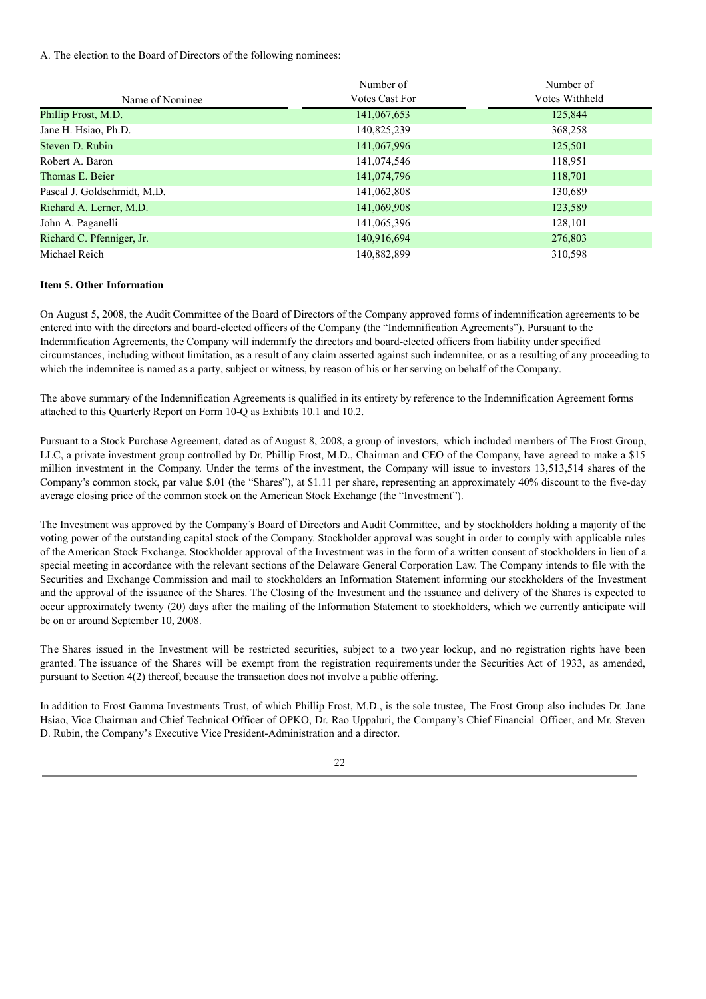A. The election to the Board of Directors of the following nominees:

|                             | Number of      | Number of      |
|-----------------------------|----------------|----------------|
| Name of Nominee             | Votes Cast For | Votes Withheld |
| Phillip Frost, M.D.         | 141,067,653    | 125,844        |
| Jane H. Hsiao, Ph.D.        | 140,825,239    | 368,258        |
| Steven D. Rubin             | 141,067,996    | 125,501        |
| Robert A. Baron             | 141,074,546    | 118,951        |
| Thomas E. Beier             | 141,074,796    | 118,701        |
| Pascal J. Goldschmidt, M.D. | 141,062,808    | 130,689        |
| Richard A. Lerner, M.D.     | 141,069,908    | 123,589        |
| John A. Paganelli           | 141,065,396    | 128,101        |
| Richard C. Pfenniger, Jr.   | 140,916,694    | 276,803        |
| Michael Reich               | 140,882,899    | 310,598        |

#### **Item 5. Other Information**

On August 5, 2008, the Audit Committee of the Board of Directors of the Company approved forms of indemnification agreements to be entered into with the directors and board-elected officers of the Company (the "Indemnification Agreements"). Pursuant to the Indemnification Agreements, the Company will indemnify the directors and board-elected officers from liability under specified circumstances, including without limitation, as a result of any claim asserted against such indemnitee, or as a resulting of any proceeding to which the indemnitee is named as a party, subject or witness, by reason of his or her serving on behalf of the Company.

The above summary of the Indemnification Agreements is qualified in its entirety by reference to the Indemnification Agreement forms attached to this Quarterly Report on Form 10-Q as Exhibits 10.1 and 10.2.

Pursuant to a Stock Purchase Agreement, dated as of August 8, 2008, a group of investors, which included members of The Frost Group, LLC, a private investment group controlled by Dr. Phillip Frost, M.D., Chairman and CEO of the Company, have agreed to make a \$15 million investment in the Company. Under the terms of the investment, the Company will issue to investors 13,513,514 shares of the Company's common stock, par value \$.01 (the "Shares"), at \$1.11 per share, representing an approximately 40% discount to the five-day average closing price of the common stock on the American Stock Exchange (the "Investment").

The Investment was approved by the Company's Board of Directors and Audit Committee, and by stockholders holding a majority of the voting power of the outstanding capital stock of the Company. Stockholder approval was sought in order to comply with applicable rules of the American Stock Exchange. Stockholder approval of the Investment was in the form of a written consent of stockholders in lieu of a special meeting in accordance with the relevant sections of the Delaware General Corporation Law. The Company intends to file with the Securities and Exchange Commission and mail to stockholders an Information Statement informing our stockholders of the Investment and the approval of the issuance of the Shares. The Closing of the Investment and the issuance and delivery of the Shares is expected to occur approximately twenty (20) days after the mailing of the Information Statement to stockholders, which we currently anticipate will be on or around September 10, 2008.

The Shares issued in the Investment will be restricted securities, subject to a two year lockup, and no registration rights have been granted. The issuance of the Shares will be exempt from the registration requirements under the Securities Act of 1933, as amended, pursuant to Section 4(2) thereof, because the transaction does not involve a public offering.

In addition to Frost Gamma Investments Trust, of which Phillip Frost, M.D., is the sole trustee, The Frost Group also includes Dr. Jane Hsiao, Vice Chairman and Chief Technical Officer of OPKO, Dr. Rao Uppaluri, the Company's Chief Financial Officer, and Mr. Steven D. Rubin, the Company's Executive Vice President-Administration and a director.

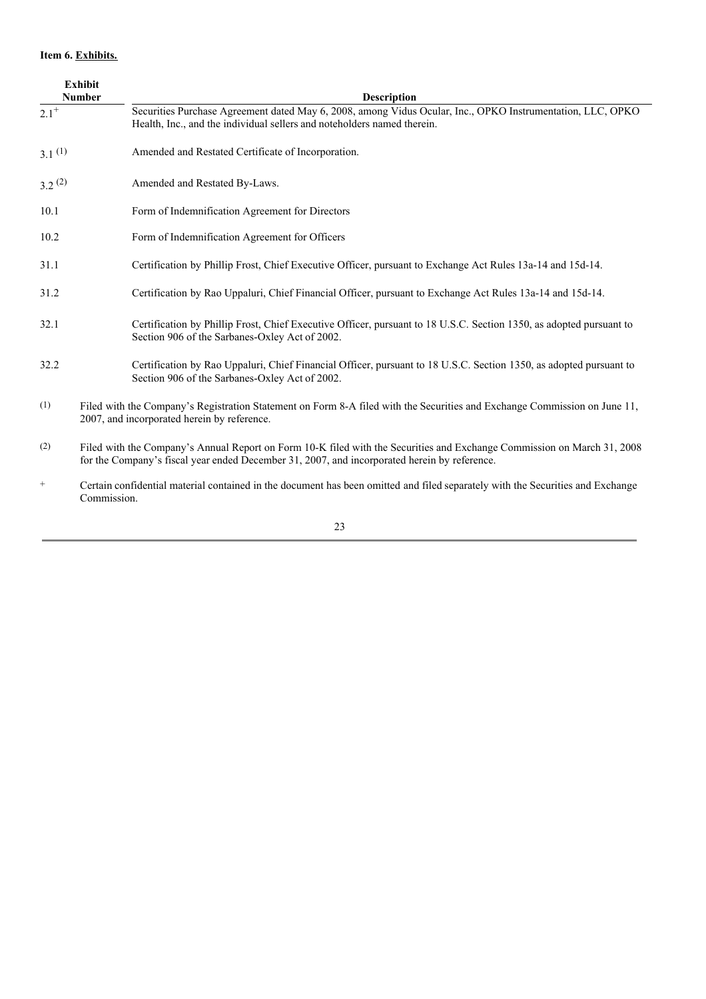# **Item 6. Exhibits.**

|                    | <b>Exhibit</b><br><b>Number</b> | <b>Description</b>                                                                                                                                                                                                      |
|--------------------|---------------------------------|-------------------------------------------------------------------------------------------------------------------------------------------------------------------------------------------------------------------------|
| $2.1^{+}$          |                                 | Securities Purchase Agreement dated May 6, 2008, among Vidus Ocular, Inc., OPKO Instrumentation, LLC, OPKO<br>Health, Inc., and the individual sellers and noteholders named therein.                                   |
| 3.1 <sup>(1)</sup> |                                 | Amended and Restated Certificate of Incorporation.                                                                                                                                                                      |
| $3.2^{(2)}$        |                                 | Amended and Restated By-Laws.                                                                                                                                                                                           |
| 10.1               |                                 | Form of Indemnification Agreement for Directors                                                                                                                                                                         |
| 10.2               |                                 | Form of Indemnification Agreement for Officers                                                                                                                                                                          |
| 31.1               |                                 | Certification by Phillip Frost, Chief Executive Officer, pursuant to Exchange Act Rules 13a-14 and 15d-14.                                                                                                              |
| 31.2               |                                 | Certification by Rao Uppaluri, Chief Financial Officer, pursuant to Exchange Act Rules 13a-14 and 15d-14.                                                                                                               |
| 32.1               |                                 | Certification by Phillip Frost, Chief Executive Officer, pursuant to 18 U.S.C. Section 1350, as adopted pursuant to<br>Section 906 of the Sarbanes-Oxley Act of 2002.                                                   |
| 32.2               |                                 | Certification by Rao Uppaluri, Chief Financial Officer, pursuant to 18 U.S.C. Section 1350, as adopted pursuant to<br>Section 906 of the Sarbanes-Oxley Act of 2002.                                                    |
| (1)                |                                 | Filed with the Company's Registration Statement on Form 8-A filed with the Securities and Exchange Commission on June 11,<br>2007, and incorporated herein by reference.                                                |
| (2)                |                                 | Filed with the Company's Annual Report on Form 10-K filed with the Securities and Exchange Commission on March 31, 2008<br>for the Company's fiscal year ended December 31, 2007, and incorporated herein by reference. |

+ Certain confidential material contained in the document has been omitted and filed separately with the Securities and Exchange Commission.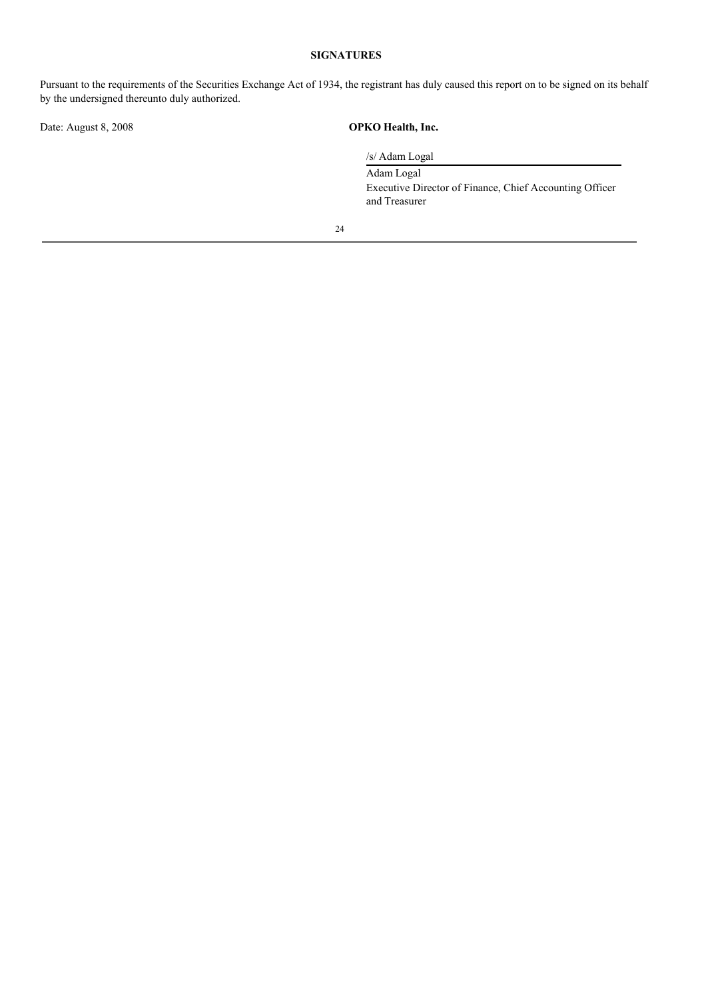# **SIGNATURES**

Pursuant to the requirements of the Securities Exchange Act of 1934, the registrant has duly caused this report on to be signed on its behalf by the undersigned thereunto duly authorized.

Date: August 8, 2008 **OPKO Health, Inc.**

/s/ Adam Logal Adam Logal Executive Director of Finance, Chief Accounting Officer and Treasurer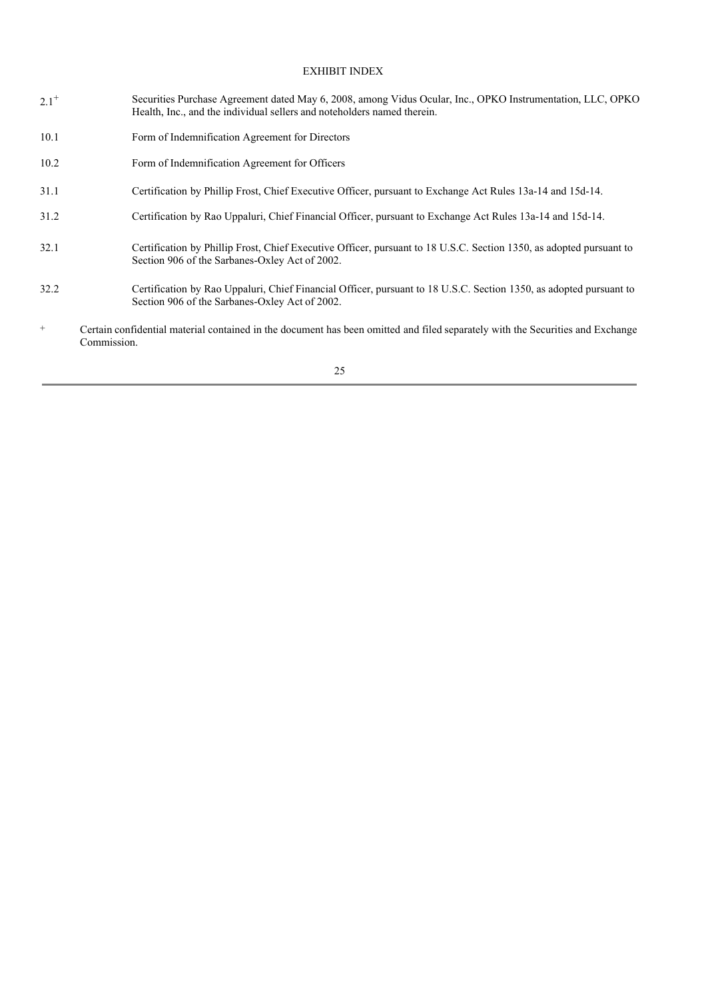# EXHIBIT INDEX

- $2.1^{+}$ Securities Purchase Agreement dated May 6, 2008, among Vidus Ocular, Inc., OPKO Instrumentation, LLC, OPKO Health, Inc., and the individual sellers and noteholders named therein.
- 10.1 Form of Indemnification Agreement for Directors
- 10.2 Form of Indemnification Agreement for Officers
- 31.1 Certification by Phillip Frost, Chief Executive Officer, pursuant to Exchange Act Rules 13a-14 and 15d-14.
- 31.2 Certification by Rao Uppaluri, Chief Financial Officer, pursuant to Exchange Act Rules 13a-14 and 15d-14.
- 32.1 Certification by Phillip Frost, Chief Executive Officer, pursuant to 18 U.S.C. Section 1350, as adopted pursuant to Section 906 of the Sarbanes-Oxley Act of 2002.
- 32.2 Certification by Rao Uppaluri, Chief Financial Officer, pursuant to 18 U.S.C. Section 1350, as adopted pursuant to Section 906 of the Sarbanes-Oxley Act of 2002.
- + Certain confidential material contained in the document has been omitted and filed separately with the Securities and Exchange Commission.

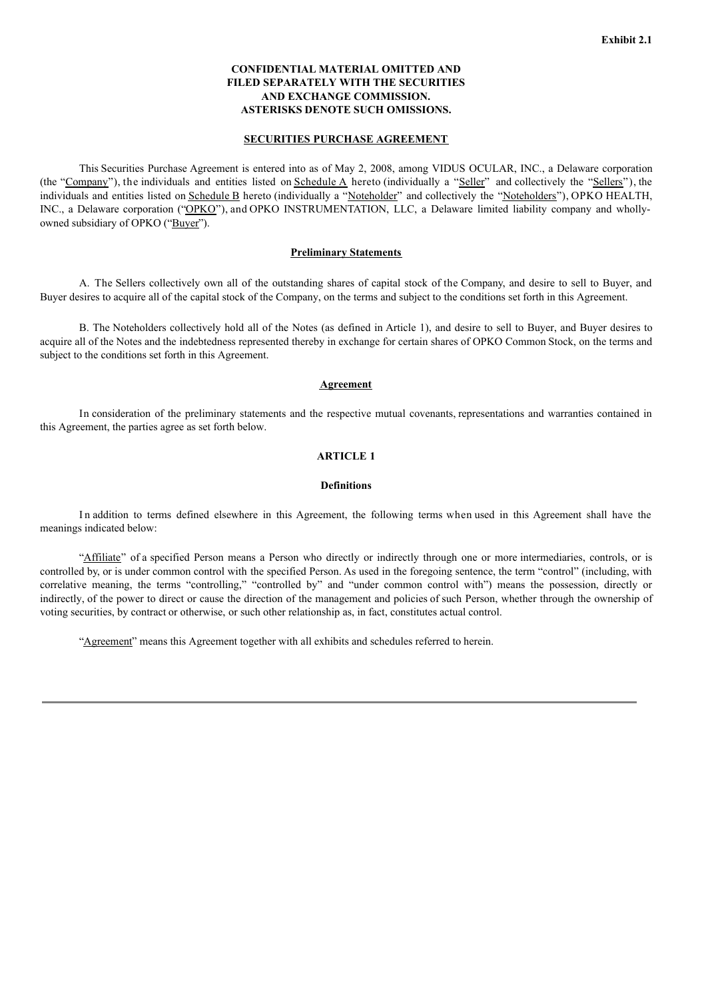### **CONFIDENTIAL MATERIAL OMITTED AND FILED SEPARATELY WITH THE SECURITIES AND EXCHANGE COMMISSION. ASTERISKS DENOTE SUCH OMISSIONS.**

#### **SECURITIES PURCHASE AGREEMENT**

This Securities Purchase Agreement is entered into as of May 2, 2008, among VIDUS OCULAR, INC., a Delaware corporation (the "Company"), the individuals and entities listed on  $S$ chedule  $A$  hereto (individually a "Seller" and collectively the "Sellers"), the individuals and entities listed on Schedule B hereto (individually a "Noteholder" and collectively the "Noteholders"), OPKO HEALTH, INC., a Delaware corporation ("OPKO"), and OPKO INSTRUMENTATION, LLC, a Delaware limited liability company and whollyowned subsidiary of OPKO ("Buyer").

#### **Preliminary Statements**

A. The Sellers collectively own all of the outstanding shares of capital stock of the Company, and desire to sell to Buyer, and Buyer desires to acquire all of the capital stock of the Company, on the terms and subject to the conditions set forth in this Agreement.

B. The Noteholders collectively hold all of the Notes (as defined in Article 1), and desire to sell to Buyer, and Buyer desires to acquire all of the Notes and the indebtedness represented thereby in exchange for certain shares of OPKO Common Stock, on the terms and subject to the conditions set forth in this Agreement.

#### **Agreement**

In consideration of the preliminary statements and the respective mutual covenants, representations and warranties contained in this Agreement, the parties agree as set forth below.

#### **ARTICLE 1**

#### **Definitions**

In addition to terms defined elsewhere in this Agreement, the following terms when used in this Agreement shall have the meanings indicated below:

"Affiliate" of a specified Person means a Person who directly or indirectly through one or more intermediaries, controls, or is controlled by, or is under common control with the specified Person. As used in the foregoing sentence, the term "control" (including, with correlative meaning, the terms "controlling," "controlled by" and "under common control with") means the possession, directly or indirectly, of the power to direct or cause the direction of the management and policies of such Person, whether through the ownership of voting securities, by contract or otherwise, or such other relationship as, in fact, constitutes actual control.

"Agreement" means this Agreement together with all exhibits and schedules referred to herein.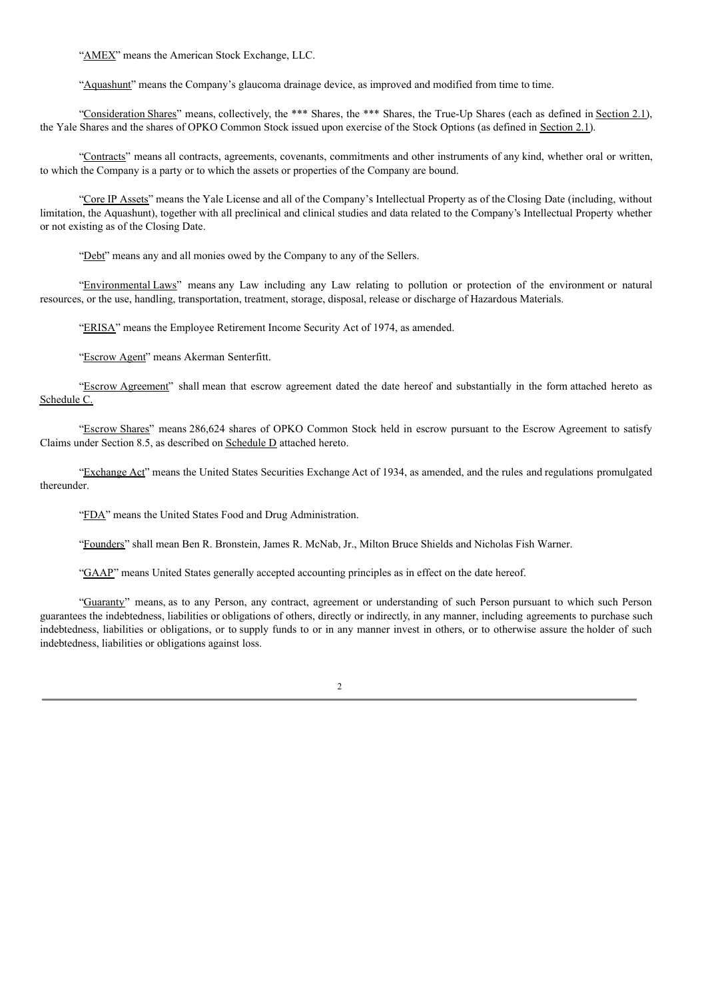"AMEX" means the American Stock Exchange, LLC.

"Aquashunt" means the Company's glaucoma drainage device, as improved and modified from time to time.

"Consideration Shares" means, collectively, the \*\*\* Shares, the \*\*\* Shares, the True-Up Shares (each as defined in Section 2.1), the Yale Shares and the shares of OPKO Common Stock issued upon exercise of the Stock Options (as defined in Section 2.1).

"Contracts" means all contracts, agreements, covenants, commitments and other instruments of any kind, whether oral or written, to which the Company is a party or to which the assets or properties of the Company are bound.

"Core IP Assets" means the Yale License and all of the Company's Intellectual Property as of the Closing Date (including, without limitation, the Aquashunt), together with all preclinical and clinical studies and data related to the Company's Intellectual Property whether or not existing as of the Closing Date.

"Debt" means any and all monies owed by the Company to any of the Sellers.

"Environmental Laws" means any Law including any Law relating to pollution or protection of the environment or natural resources, or the use, handling, transportation, treatment, storage, disposal, release or discharge of Hazardous Materials.

"ERISA" means the Employee Retirement Income Security Act of 1974, as amended.

"Escrow Agent" means Akerman Senterfitt.

"Escrow Agreement" shall mean that escrow agreement dated the date hereof and substantially in the form attached hereto as Schedule C.

"Escrow Shares" means 286,624 shares of OPKO Common Stock held in escrow pursuant to the Escrow Agreement to satisfy Claims under Section 8.5, as described on Schedule D attached hereto.

"Exchange Act" means the United States Securities Exchange Act of 1934, as amended, and the rules and regulations promulgated thereunder.

"FDA" means the United States Food and Drug Administration.

"Founders" shall mean Ben R. Bronstein, James R. McNab, Jr., Milton Bruce Shields and Nicholas Fish Warner.

"GAAP" means United States generally accepted accounting principles as in effect on the date hereof.

"Guaranty" means, as to any Person, any contract, agreement or understanding of such Person pursuant to which such Person guarantees the indebtedness, liabilities or obligations of others, directly or indirectly, in any manner, including agreements to purchase such indebtedness, liabilities or obligations, or to supply funds to or in any manner invest in others, or to otherwise assure the holder of such indebtedness, liabilities or obligations against loss.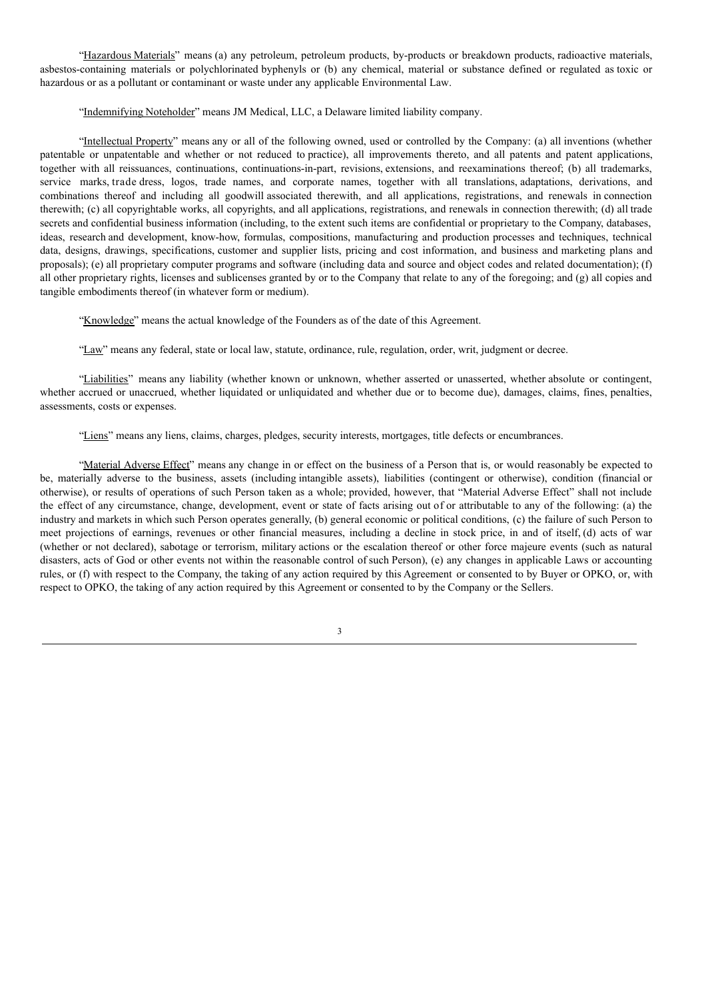"Hazardous Materials" means (a) any petroleum, petroleum products, by-products or breakdown products, radioactive materials, asbestos-containing materials or polychlorinated byphenyls or (b) any chemical, material or substance defined or regulated as toxic or hazardous or as a pollutant or contaminant or waste under any applicable Environmental Law.

"Indemnifying Noteholder" means JM Medical, LLC, a Delaware limited liability company.

"Intellectual Property" means any or all of the following owned, used or controlled by the Company: (a) all inventions (whether patentable or unpatentable and whether or not reduced to practice), all improvements thereto, and all patents and patent applications, together with all reissuances, continuations, continuations-in-part, revisions, extensions, and reexaminations thereof; (b) all trademarks, service marks, trade dress, logos, trade names, and corporate names, together with all translations, adaptations, derivations, and combinations thereof and including all goodwill associated therewith, and all applications, registrations, and renewals in connection therewith; (c) all copyrightable works, all copyrights, and all applications, registrations, and renewals in connection therewith; (d) all trade secrets and confidential business information (including, to the extent such items are confidential or proprietary to the Company, databases, ideas, research and development, know-how, formulas, compositions, manufacturing and production processes and techniques, technical data, designs, drawings, specifications, customer and supplier lists, pricing and cost information, and business and marketing plans and proposals); (e) all proprietary computer programs and software (including data and source and object codes and related documentation); (f) all other proprietary rights, licenses and sublicenses granted by or to the Company that relate to any of the foregoing; and (g) all copies and tangible embodiments thereof (in whatever form or medium).

"Knowledge" means the actual knowledge of the Founders as of the date of this Agreement.

"Law" means any federal, state or local law, statute, ordinance, rule, regulation, order, writ, judgment or decree.

"Liabilities" means any liability (whether known or unknown, whether asserted or unasserted, whether absolute or contingent, whether accrued or unaccrued, whether liquidated or unliquidated and whether due or to become due), damages, claims, fines, penalties, assessments, costs or expenses.

"Liens" means any liens, claims, charges, pledges, security interests, mortgages, title defects or encumbrances.

"Material Adverse Effect" means any change in or effect on the business of a Person that is, or would reasonably be expected to be, materially adverse to the business, assets (including intangible assets), liabilities (contingent or otherwise), condition (financial or otherwise), or results of operations of such Person taken as a whole; provided, however, that "Material Adverse Effect" shall not include the effect of any circumstance, change, development, event or state of facts arising out of or attributable to any of the following: (a) the industry and markets in which such Person operates generally, (b) general economic or political conditions, (c) the failure of such Person to meet projections of earnings, revenues or other financial measures, including a decline in stock price, in and of itself, (d) acts of war (whether or not declared), sabotage or terrorism, military actions or the escalation thereof or other force majeure events (such as natural disasters, acts of God or other events not within the reasonable control of such Person), (e) any changes in applicable Laws or accounting rules, or (f) with respect to the Company, the taking of any action required by this Agreement or consented to by Buyer or OPKO, or, with respect to OPKO, the taking of any action required by this Agreement or consented to by the Company or the Sellers.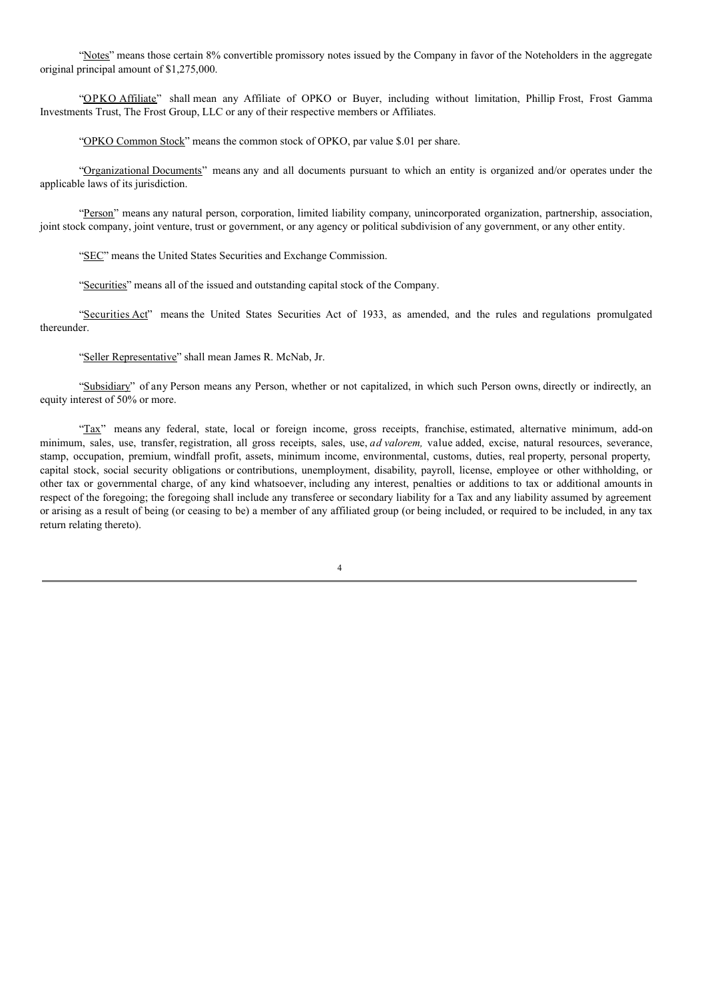"Notes" means those certain 8% convertible promissory notes issued by the Company in favor of the Noteholders in the aggregate original principal amount of \$1,275,000.

"OPKO Affiliate" shall mean any Affiliate of OPKO or Buyer, including without limitation, Phillip Frost, Frost Gamma Investments Trust, The Frost Group, LLC or any of their respective members or Affiliates.

"OPKO Common Stock" means the common stock of OPKO, par value \$.01 per share.

"Organizational Documents" means any and all documents pursuant to which an entity is organized and/or operates under the applicable laws of its jurisdiction.

"Person" means any natural person, corporation, limited liability company, unincorporated organization, partnership, association, joint stock company, joint venture, trust or government, or any agency or political subdivision of any government, or any other entity.

"SEC" means the United States Securities and Exchange Commission.

"Securities" means all of the issued and outstanding capital stock of the Company.

"Securities Act" means the United States Securities Act of 1933, as amended, and the rules and regulations promulgated thereunder.

"Seller Representative" shall mean James R. McNab, Jr.

"Subsidiary" of any Person means any Person, whether or not capitalized, in which such Person owns, directly or indirectly, an equity interest of 50% or more.

"Tax" means any federal, state, local or foreign income, gross receipts, franchise, estimated, alternative minimum, add-on minimum, sales, use, transfer, registration, all gross receipts, sales, use, *ad valorem,* value added, excise, natural resources, severance, stamp, occupation, premium, windfall profit, assets, minimum income, environmental, customs, duties, real property, personal property, capital stock, social security obligations or contributions, unemployment, disability, payroll, license, employee or other withholding, or other tax or governmental charge, of any kind whatsoever, including any interest, penalties or additions to tax or additional amounts in respect of the foregoing; the foregoing shall include any transferee or secondary liability for a Tax and any liability assumed by agreement or arising as a result of being (or ceasing to be) a member of any affiliated group (or being included, or required to be included, in any tax return relating thereto).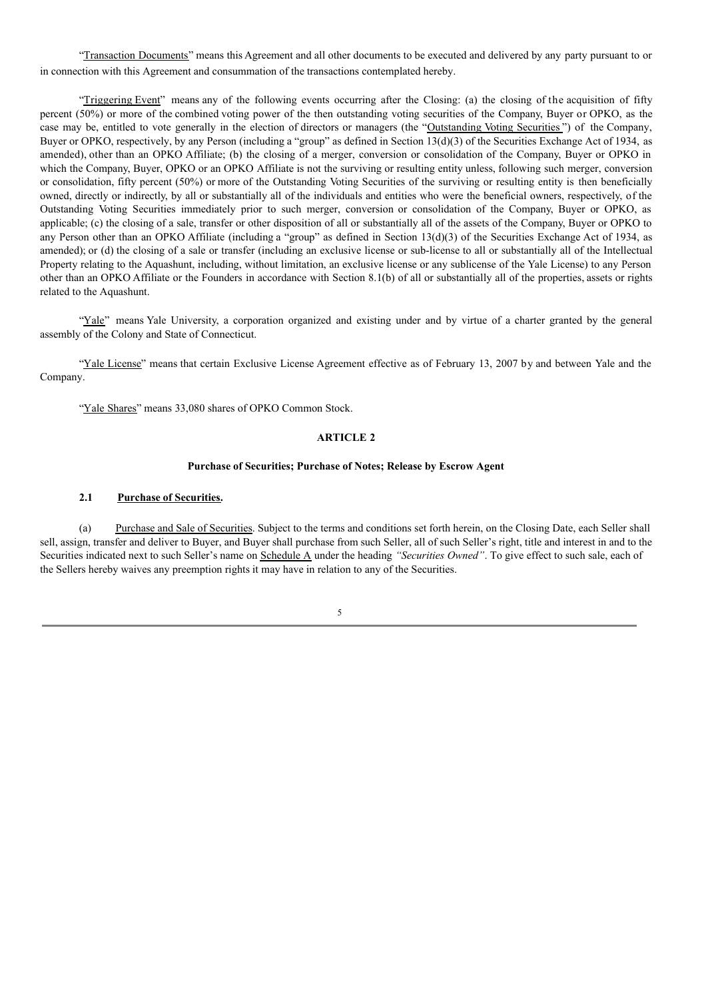"Transaction Documents" means this Agreement and all other documents to be executed and delivered by any party pursuant to or in connection with this Agreement and consummation of the transactions contemplated hereby.

"Triggering Event" means any of the following events occurring after the Closing: (a) the closing of the acquisition of fifty percent (50%) or more of the combined voting power of the then outstanding voting securities of the Company, Buyer or OPKO, as the case may be, entitled to vote generally in the election of directors or managers (the "Outstanding Voting Securities") of the Company, Buyer or OPKO, respectively, by any Person (including a "group" as defined in Section 13(d)(3) of the Securities Exchange Act of 1934, as amended), other than an OPKO Affiliate; (b) the closing of a merger, conversion or consolidation of the Company, Buyer or OPKO in which the Company, Buyer, OPKO or an OPKO Affiliate is not the surviving or resulting entity unless, following such merger, conversion or consolidation, fifty percent (50%) or more of the Outstanding Voting Securities of the surviving or resulting entity is then beneficially owned, directly or indirectly, by all or substantially all of the individuals and entities who were the beneficial owners, respectively, of the Outstanding Voting Securities immediately prior to such merger, conversion or consolidation of the Company, Buyer or OPKO, as applicable; (c) the closing of a sale, transfer or other disposition of all or substantially all of the assets of the Company, Buyer or OPKO to any Person other than an OPKO Affiliate (including a "group" as defined in Section 13(d)(3) of the Securities Exchange Act of 1934, as amended); or (d) the closing of a sale or transfer (including an exclusive license or sub-license to all or substantially all of the Intellectual Property relating to the Aquashunt, including, without limitation, an exclusive license or any sublicense of the Yale License) to any Person other than an OPKO Affiliate or the Founders in accordance with Section 8.1(b) of all or substantially all of the properties, assets or rights related to the Aquashunt.

"Yale" means Yale University, a corporation organized and existing under and by virtue of a charter granted by the general assembly of the Colony and State of Connecticut.

"Yale License" means that certain Exclusive License Agreement effective as of February 13, 2007 by and between Yale and the Company.

"Yale Shares" means 33,080 shares of OPKO Common Stock.

## **ARTICLE 2**

#### **Purchase of Securities; Purchase of Notes; Release by Escrow Agent**

#### **2.1 Purchase of Securities.**

(a) Purchase and Sale of Securities. Subject to the terms and conditions set forth herein, on the Closing Date, each Seller shall sell, assign, transfer and deliver to Buyer, and Buyer shall purchase from such Seller, all of such Seller's right, title and interest in and to the Securities indicated next to such Seller's name on Schedule A under the heading *"Securities Owned"*. To give effect to such sale, each of the Sellers hereby waives any preemption rights it may have in relation to any of the Securities.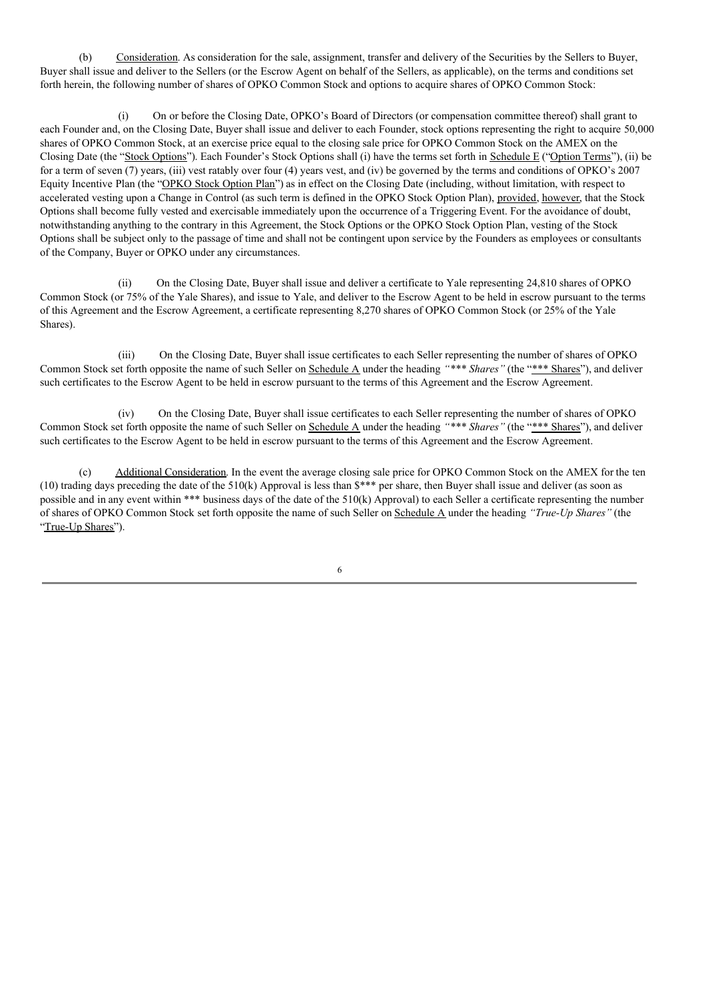(b) Consideration. As consideration for the sale, assignment, transfer and delivery of the Securities by the Sellers to Buyer, Buyer shall issue and deliver to the Sellers (or the Escrow Agent on behalf of the Sellers, as applicable), on the terms and conditions set forth herein, the following number of shares of OPKO Common Stock and options to acquire shares of OPKO Common Stock:

(i) On or before the Closing Date, OPKO's Board of Directors (or compensation committee thereof) shall grant to each Founder and, on the Closing Date, Buyer shall issue and deliver to each Founder, stock options representing the right to acquire 50,000 shares of OPKO Common Stock, at an exercise price equal to the closing sale price for OPKO Common Stock on the AMEX on the Closing Date (the "Stock Options"). Each Founder's Stock Options shall (i) have the terms set forth in Schedule E ("Option Terms"), (ii) be for a term of seven (7) years, (iii) vest ratably over four (4) years vest, and (iv) be governed by the terms and conditions of OPKO's 2007 Equity Incentive Plan (the "OPKO Stock Option Plan") as in effect on the Closing Date (including, without limitation, with respect to accelerated vesting upon a Change in Control (as such term is defined in the OPKO Stock Option Plan), provided, however, that the Stock Options shall become fully vested and exercisable immediately upon the occurrence of a Triggering Event. For the avoidance of doubt, notwithstanding anything to the contrary in this Agreement, the Stock Options or the OPKO Stock Option Plan, vesting of the Stock Options shall be subject only to the passage of time and shall not be contingent upon service by the Founders as employees or consultants of the Company, Buyer or OPKO under any circumstances.

(ii) On the Closing Date, Buyer shall issue and deliver a certificate to Yale representing 24,810 shares of OPKO Common Stock (or 75% of the Yale Shares), and issue to Yale, and deliver to the Escrow Agent to be held in escrow pursuant to the terms of this Agreement and the Escrow Agreement, a certificate representing 8,270 shares of OPKO Common Stock (or 25% of the Yale Shares).

(iii) On the Closing Date, Buyer shall issue certificates to each Seller representing the number of shares of OPKO Common Stock set forth opposite the name of such Seller on Schedule A under the heading *"\*\*\* Shares"* (the "\*\*\* Shares"), and deliver such certificates to the Escrow Agent to be held in escrow pursuant to the terms of this Agreement and the Escrow Agreement.

(iv) On the Closing Date, Buyer shall issue certificates to each Seller representing the number of shares of OPKO Common Stock set forth opposite the name of such Seller on Schedule A under the heading *"\*\*\* Shares"* (the "\*\*\* Shares"), and deliver such certificates to the Escrow Agent to be held in escrow pursuant to the terms of this Agreement and the Escrow Agreement.

Additional Consideration. In the event the average closing sale price for OPKO Common Stock on the AMEX for the ten (10) trading days preceding the date of the 510(k) Approval is less than \$\*\*\* per share, then Buyer shall issue and deliver (as soon as possible and in any event within \*\*\* business days of the date of the 510(k) Approval) to each Seller a certificate representing the number of shares of OPKO Common Stock set forth opposite the name of such Seller on Schedule A under the heading *"True-Up Shares"* (the "True-Up Shares").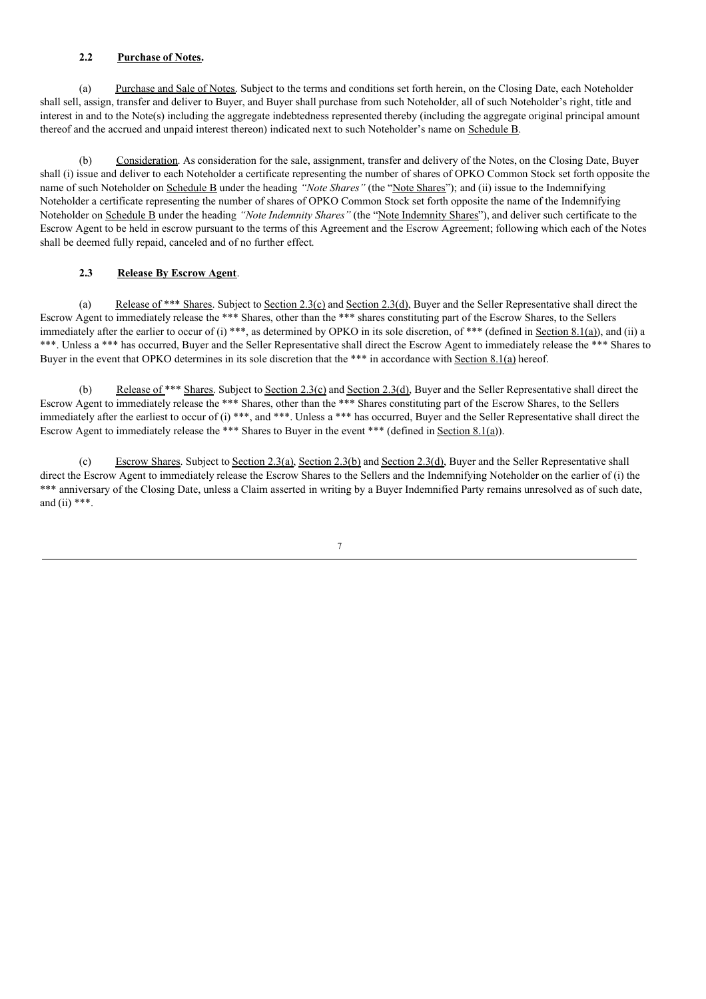# **2.2 Purchase of Notes.**

(a) Purchase and Sale of Notes. Subject to the terms and conditions set forth herein, on the Closing Date, each Noteholder shall sell, assign, transfer and deliver to Buyer, and Buyer shall purchase from such Noteholder, all of such Noteholder's right, title and interest in and to the Note(s) including the aggregate indebtedness represented thereby (including the aggregate original principal amount thereof and the accrued and unpaid interest thereon) indicated next to such Noteholder's name on Schedule B.

(b) Consideration. As consideration for the sale, assignment, transfer and delivery of the Notes, on the Closing Date, Buyer shall (i) issue and deliver to each Noteholder a certificate representing the number of shares of OPKO Common Stock set forth opposite the name of such Noteholder on Schedule B under the heading "Note Shares" (the "Note Shares"); and (ii) issue to the Indemnifying Noteholder a certificate representing the number of shares of OPKO Common Stock set forth opposite the name of the Indemnifying Noteholder on Schedule B under the heading *"Note Indemnity Shares"* (the "Note Indemnity Shares"), and deliver such certificate to the Escrow Agent to be held in escrow pursuant to the terms of this Agreement and the Escrow Agreement; following which each of the Notes shall be deemed fully repaid, canceled and of no further effect.

#### **2.3 Release By Escrow Agent**.

(a) Release of \*\*\* Shares. Subject to Section 2.3(c) and Section 2.3(d), Buyer and the Seller Representative shall direct the Escrow Agent to immediately release the \*\*\* Shares, other than the \*\*\* shares constituting part of the Escrow Shares, to the Sellers immediately after the earlier to occur of (i) \*\*\*, as determined by OPKO in its sole discretion, of \*\*\* (defined in Section 8.1(a)), and (ii) a \*\*\*. Unless a \*\*\* has occurred, Buyer and the Seller Representative shall direct the Escrow Agent to immediately release the \*\*\* Shares to Buyer in the event that OPKO determines in its sole discretion that the \*\*\* in accordance with Section 8.1(a) hereof.

(b) Release of \*\*\* Shares. Subject to Section 2.3(c) and Section 2.3(d), Buyer and the Seller Representative shall direct the Escrow Agent to immediately release the \*\*\* Shares, other than the \*\*\* Shares constituting part of the Escrow Shares, to the Sellers immediately after the earliest to occur of (i) \*\*\*, and \*\*\*. Unless a \*\*\* has occurred, Buyer and the Seller Representative shall direct the Escrow Agent to immediately release the \*\*\* Shares to Buyer in the event \*\*\* (defined in Section 8.1(a)).

(c) Escrow Shares. Subject to Section 2.3(a), Section 2.3(b) and Section 2.3(d), Buyer and the Seller Representative shall direct the Escrow Agent to immediately release the Escrow Shares to the Sellers and the Indemnifying Noteholder on the earlier of (i) the \*\*\* anniversary of the Closing Date, unless a Claim asserted in writing by a Buyer Indemnified Party remains unresolved as of such date, and (ii)  $***$ .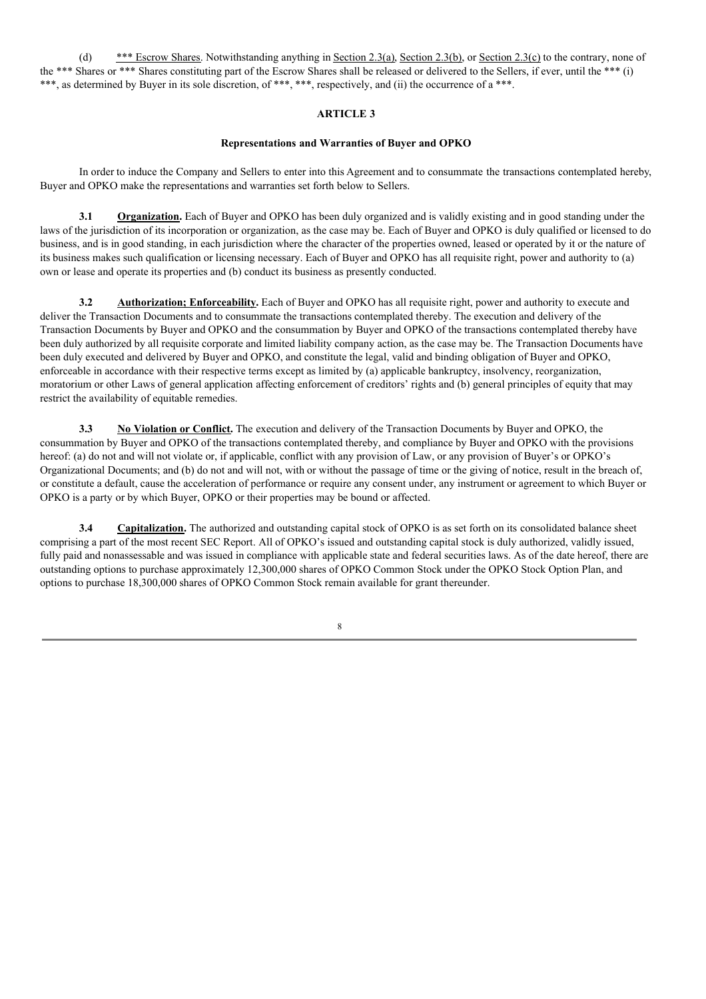(d) \*\*\* Escrow Shares. Notwithstanding anything in Section 2.3(a), Section 2.3(b), or Section 2.3(c) to the contrary, none of the \*\*\* Shares or \*\*\* Shares constituting part of the Escrow Shares shall be released or delivered to the Sellers, if ever, until the \*\*\* (i) \*\*\*, as determined by Buyer in its sole discretion, of \*\*\*, \*\*\*, respectively, and (ii) the occurrence of a \*\*\*.

# **ARTICLE 3**

#### **Representations and Warranties of Buyer and OPKO**

In order to induce the Company and Sellers to enter into this Agreement and to consummate the transactions contemplated hereby, Buyer and OPKO make the representations and warranties set forth below to Sellers.

**3.1 Organization.** Each of Buyer and OPKO has been duly organized and is validly existing and in good standing under the laws of the jurisdiction of its incorporation or organization, as the case may be. Each of Buyer and OPKO is duly qualified or licensed to do business, and is in good standing, in each jurisdiction where the character of the properties owned, leased or operated by it or the nature of its business makes such qualification or licensing necessary. Each of Buyer and OPKO has all requisite right, power and authority to (a) own or lease and operate its properties and (b) conduct its business as presently conducted.

**3.2 Authorization; Enforceability.** Each of Buyer and OPKO has all requisite right, power and authority to execute and deliver the Transaction Documents and to consummate the transactions contemplated thereby. The execution and delivery of the Transaction Documents by Buyer and OPKO and the consummation by Buyer and OPKO of the transactions contemplated thereby have been duly authorized by all requisite corporate and limited liability company action, as the case may be. The Transaction Documents have been duly executed and delivered by Buyer and OPKO, and constitute the legal, valid and binding obligation of Buyer and OPKO, enforceable in accordance with their respective terms except as limited by (a) applicable bankruptcy, insolvency, reorganization, moratorium or other Laws of general application affecting enforcement of creditors' rights and (b) general principles of equity that may restrict the availability of equitable remedies.

**3.3 No Violation or Conflict.** The execution and delivery of the Transaction Documents by Buyer and OPKO, the consummation by Buyer and OPKO of the transactions contemplated thereby, and compliance by Buyer and OPKO with the provisions hereof: (a) do not and will not violate or, if applicable, conflict with any provision of Law, or any provision of Buyer's or OPKO's Organizational Documents; and (b) do not and will not, with or without the passage of time or the giving of notice, result in the breach of, or constitute a default, cause the acceleration of performance or require any consent under, any instrument or agreement to which Buyer or OPKO is a party or by which Buyer, OPKO or their properties may be bound or affected.

**3.4 Capitalization.** The authorized and outstanding capital stock of OPKO is as set forth on its consolidated balance sheet comprising a part of the most recent SEC Report. All of OPKO's issued and outstanding capital stock is duly authorized, validly issued, fully paid and nonassessable and was issued in compliance with applicable state and federal securities laws. As of the date hereof, there are outstanding options to purchase approximately 12,300,000 shares of OPKO Common Stock under the OPKO Stock Option Plan, and options to purchase 18,300,000 shares of OPKO Common Stock remain available for grant thereunder.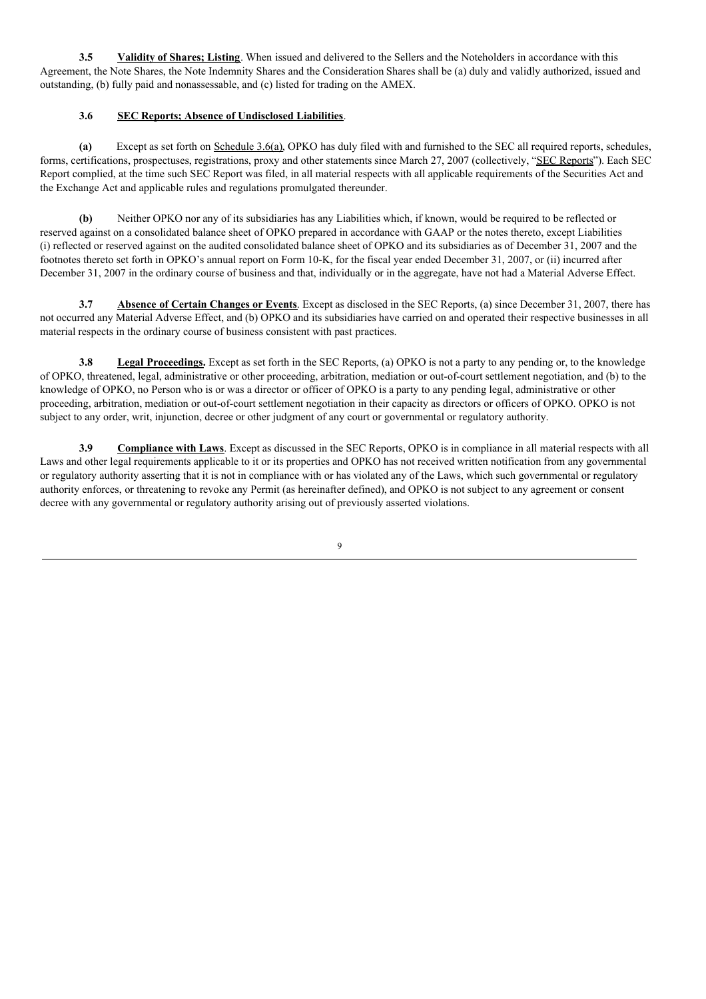**3.5 Validity of Shares; Listing**. When issued and delivered to the Sellers and the Noteholders in accordance with this Agreement, the Note Shares, the Note Indemnity Shares and the Consideration Shares shall be (a) duly and validly authorized, issued and outstanding, (b) fully paid and nonassessable, and (c) listed for trading on the AMEX.

# **3.6 SEC Reports; Absence of Undisclosed Liabilities**.

**(a)** Except as set forth on Schedule 3.6(a), OPKO has duly filed with and furnished to the SEC all required reports, schedules, forms, certifications, prospectuses, registrations, proxy and other statements since March 27, 2007 (collectively, "SEC Reports"). Each SEC Report complied, at the time such SEC Report was filed, in all material respects with all applicable requirements of the Securities Act and the Exchange Act and applicable rules and regulations promulgated thereunder.

**(b)** Neither OPKO nor any of its subsidiaries has any Liabilities which, if known, would be required to be reflected or reserved against on a consolidated balance sheet of OPKO prepared in accordance with GAAP or the notes thereto, except Liabilities (i) reflected or reserved against on the audited consolidated balance sheet of OPKO and its subsidiaries as of December 31, 2007 and the footnotes thereto set forth in OPKO's annual report on Form 10-K, for the fiscal year ended December 31, 2007, or (ii) incurred after December 31, 2007 in the ordinary course of business and that, individually or in the aggregate, have not had a Material Adverse Effect.

**3.7 Absence of Certain Changes or Events**. Except as disclosed in the SEC Reports, (a) since December 31, 2007, there has not occurred any Material Adverse Effect, and (b) OPKO and its subsidiaries have carried on and operated their respective businesses in all material respects in the ordinary course of business consistent with past practices.

**3.8 Legal Proceedings.** Except as set forth in the SEC Reports, (a) OPKO is not a party to any pending or, to the knowledge of OPKO, threatened, legal, administrative or other proceeding, arbitration, mediation or out-of-court settlement negotiation, and (b) to the knowledge of OPKO, no Person who is or was a director or officer of OPKO is a party to any pending legal, administrative or other proceeding, arbitration, mediation or out-of-court settlement negotiation in their capacity as directors or officers of OPKO. OPKO is not subject to any order, writ, injunction, decree or other judgment of any court or governmental or regulatory authority.

**3.9 Compliance with Laws**. Except as discussed in the SEC Reports, OPKO is in compliance in all material respects with all Laws and other legal requirements applicable to it or its properties and OPKO has not received written notification from any governmental or regulatory authority asserting that it is not in compliance with or has violated any of the Laws, which such governmental or regulatory authority enforces, or threatening to revoke any Permit (as hereinafter defined), and OPKO is not subject to any agreement or consent decree with any governmental or regulatory authority arising out of previously asserted violations.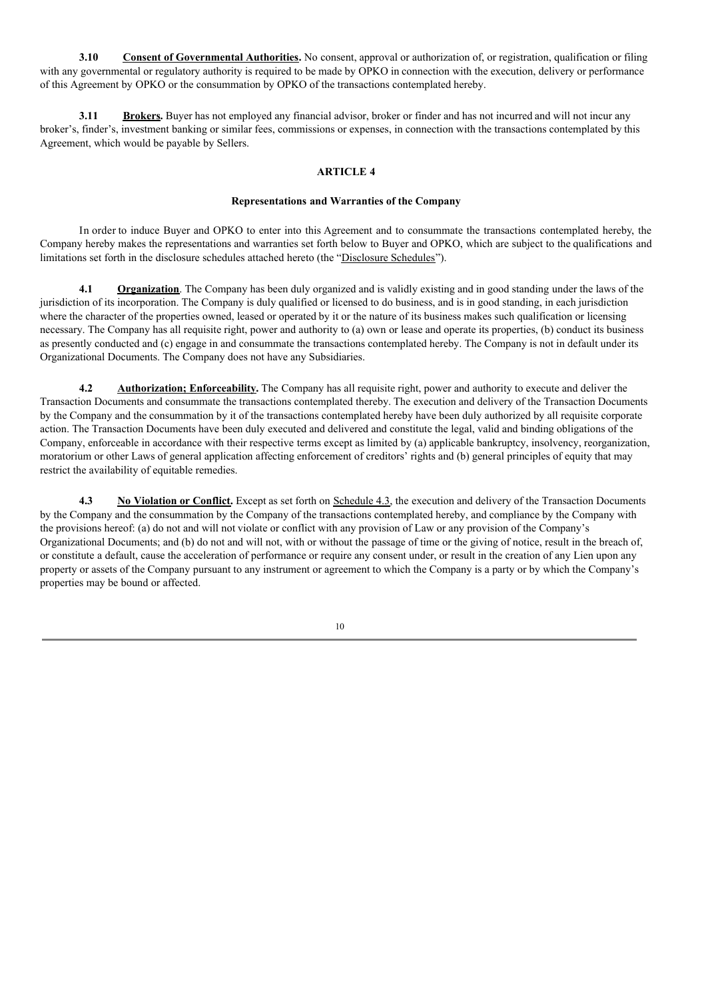**3.10 Consent of Governmental Authorities.** No consent, approval or authorization of, or registration, qualification or filing with any governmental or regulatory authority is required to be made by OPKO in connection with the execution, delivery or performance of this Agreement by OPKO or the consummation by OPKO of the transactions contemplated hereby.

**3.11 Brokers.** Buyer has not employed any financial advisor, broker or finder and has not incurred and will not incur any broker's, finder's, investment banking or similar fees, commissions or expenses, in connection with the transactions contemplated by this Agreement, which would be payable by Sellers.

#### **ARTICLE 4**

#### **Representations and Warranties of the Company**

In order to induce Buyer and OPKO to enter into this Agreement and to consummate the transactions contemplated hereby, the Company hereby makes the representations and warranties set forth below to Buyer and OPKO, which are subject to the qualifications and limitations set forth in the disclosure schedules attached hereto (the "Disclosure Schedules").

**4.1 Organization**. The Company has been duly organized and is validly existing and in good standing under the laws of the jurisdiction of its incorporation. The Company is duly qualified or licensed to do business, and is in good standing, in each jurisdiction where the character of the properties owned, leased or operated by it or the nature of its business makes such qualification or licensing necessary. The Company has all requisite right, power and authority to (a) own or lease and operate its properties, (b) conduct its business as presently conducted and (c) engage in and consummate the transactions contemplated hereby. The Company is not in default under its Organizational Documents. The Company does not have any Subsidiaries.

**4.2 Authorization; Enforceability.** The Company has all requisite right, power and authority to execute and deliver the Transaction Documents and consummate the transactions contemplated thereby. The execution and delivery of the Transaction Documents by the Company and the consummation by it of the transactions contemplated hereby have been duly authorized by all requisite corporate action. The Transaction Documents have been duly executed and delivered and constitute the legal, valid and binding obligations of the Company, enforceable in accordance with their respective terms except as limited by (a) applicable bankruptcy, insolvency, reorganization, moratorium or other Laws of general application affecting enforcement of creditors' rights and (b) general principles of equity that may restrict the availability of equitable remedies.

**4.3 No Violation or Conflict.** Except as set forth on Schedule 4.3, the execution and delivery of the Transaction Documents by the Company and the consummation by the Company of the transactions contemplated hereby, and compliance by the Company with the provisions hereof: (a) do not and will not violate or conflict with any provision of Law or any provision of the Company's Organizational Documents; and (b) do not and will not, with or without the passage of time or the giving of notice, result in the breach of, or constitute a default, cause the acceleration of performance or require any consent under, or result in the creation of any Lien upon any property or assets of the Company pursuant to any instrument or agreement to which the Company is a party or by which the Company's properties may be bound or affected.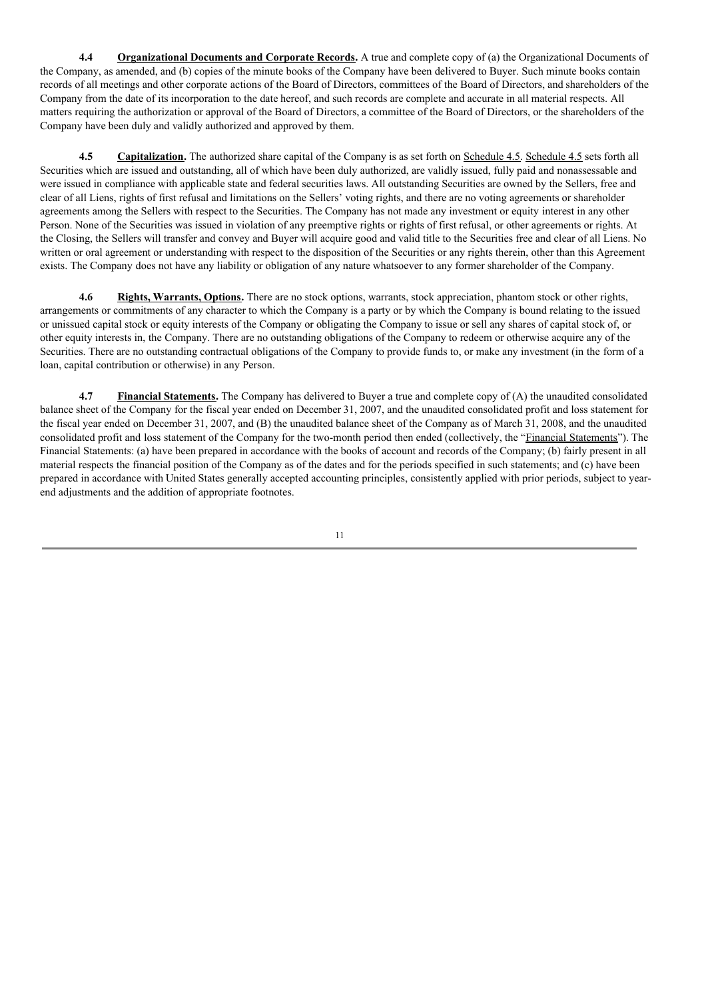**4.4 Organizational Documents and Corporate Records.** A true and complete copy of (a) the Organizational Documents of the Company, as amended, and (b) copies of the minute books of the Company have been delivered to Buyer. Such minute books contain records of all meetings and other corporate actions of the Board of Directors, committees of the Board of Directors, and shareholders of the Company from the date of its incorporation to the date hereof, and such records are complete and accurate in all material respects. All matters requiring the authorization or approval of the Board of Directors, a committee of the Board of Directors, or the shareholders of the Company have been duly and validly authorized and approved by them.

**4.5 Capitalization.** The authorized share capital of the Company is as set forth on Schedule 4.5. Schedule 4.5 sets forth all Securities which are issued and outstanding, all of which have been duly authorized, are validly issued, fully paid and nonassessable and were issued in compliance with applicable state and federal securities laws. All outstanding Securities are owned by the Sellers, free and clear of all Liens, rights of first refusal and limitations on the Sellers' voting rights, and there are no voting agreements or shareholder agreements among the Sellers with respect to the Securities. The Company has not made any investment or equity interest in any other Person. None of the Securities was issued in violation of any preemptive rights or rights of first refusal, or other agreements or rights. At the Closing, the Sellers will transfer and convey and Buyer will acquire good and valid title to the Securities free and clear of all Liens. No written or oral agreement or understanding with respect to the disposition of the Securities or any rights therein, other than this Agreement exists. The Company does not have any liability or obligation of any nature whatsoever to any former shareholder of the Company.

**4.6 Rights, Warrants, Options.** There are no stock options, warrants, stock appreciation, phantom stock or other rights, arrangements or commitments of any character to which the Company is a party or by which the Company is bound relating to the issued or unissued capital stock or equity interests of the Company or obligating the Company to issue or sell any shares of capital stock of, or other equity interests in, the Company. There are no outstanding obligations of the Company to redeem or otherwise acquire any of the Securities. There are no outstanding contractual obligations of the Company to provide funds to, or make any investment (in the form of a loan, capital contribution or otherwise) in any Person.

**4.7 Financial Statements.** The Company has delivered to Buyer a true and complete copy of (A) the unaudited consolidated balance sheet of the Company for the fiscal year ended on December 31, 2007, and the unaudited consolidated profit and loss statement for the fiscal year ended on December 31, 2007, and (B) the unaudited balance sheet of the Company as of March 31, 2008, and the unaudited consolidated profit and loss statement of the Company for the two-month period then ended (collectively, the "Financial Statements"). The Financial Statements: (a) have been prepared in accordance with the books of account and records of the Company; (b) fairly present in all material respects the financial position of the Company as of the dates and for the periods specified in such statements; and (c) have been prepared in accordance with United States generally accepted accounting principles, consistently applied with prior periods, subject to yearend adjustments and the addition of appropriate footnotes.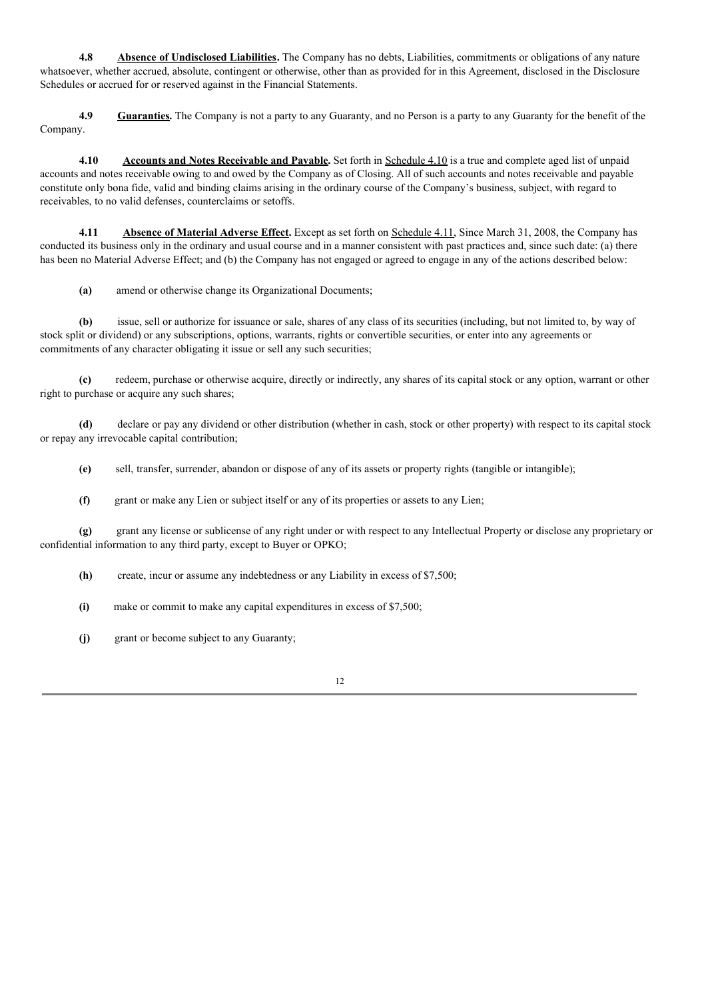**4.8 Absence of Undisclosed Liabilities.** The Company has no debts, Liabilities, commitments or obligations of any nature whatsoever, whether accrued, absolute, contingent or otherwise, other than as provided for in this Agreement, disclosed in the Disclosure Schedules or accrued for or reserved against in the Financial Statements.

**4.9 Guaranties.** The Company is not a party to any Guaranty, and no Person is a party to any Guaranty for the benefit of the Company.

**4.10 Accounts and Notes Receivable and Payable.** Set forth in Schedule 4.10 is a true and complete aged list of unpaid accounts and notes receivable owing to and owed by the Company as of Closing. All of such accounts and notes receivable and payable constitute only bona fide, valid and binding claims arising in the ordinary course of the Company's business, subject, with regard to receivables, to no valid defenses, counterclaims or setoffs.

**4.11 Absence of Material Adverse Effect.** Except as set forth on Schedule 4.11, Since March 31, 2008, the Company has conducted its business only in the ordinary and usual course and in a manner consistent with past practices and, since such date: (a) there has been no Material Adverse Effect; and (b) the Company has not engaged or agreed to engage in any of the actions described below:

**(a)** amend or otherwise change its Organizational Documents;

**(b)** issue, sell or authorize for issuance or sale, shares of any class of its securities (including, but not limited to, by way of stock split or dividend) or any subscriptions, options, warrants, rights or convertible securities, or enter into any agreements or commitments of any character obligating it issue or sell any such securities;

**(c)** redeem, purchase or otherwise acquire, directly or indirectly, any shares of its capital stock or any option, warrant or other right to purchase or acquire any such shares;

**(d)** declare or pay any dividend or other distribution (whether in cash, stock or other property) with respect to its capital stock or repay any irrevocable capital contribution;

**(e)** sell, transfer, surrender, abandon or dispose of any of its assets or property rights (tangible or intangible);

**(f)** grant or make any Lien or subject itself or any of its properties or assets to any Lien;

**(g)** grant any license or sublicense of any right under or with respect to any Intellectual Property or disclose any proprietary or confidential information to any third party, except to Buyer or OPKO;

**(h)** create, incur or assume any indebtedness or any Liability in excess of \$7,500;

**(i)** make or commit to make any capital expenditures in excess of \$7,500;

**(j)** grant or become subject to any Guaranty;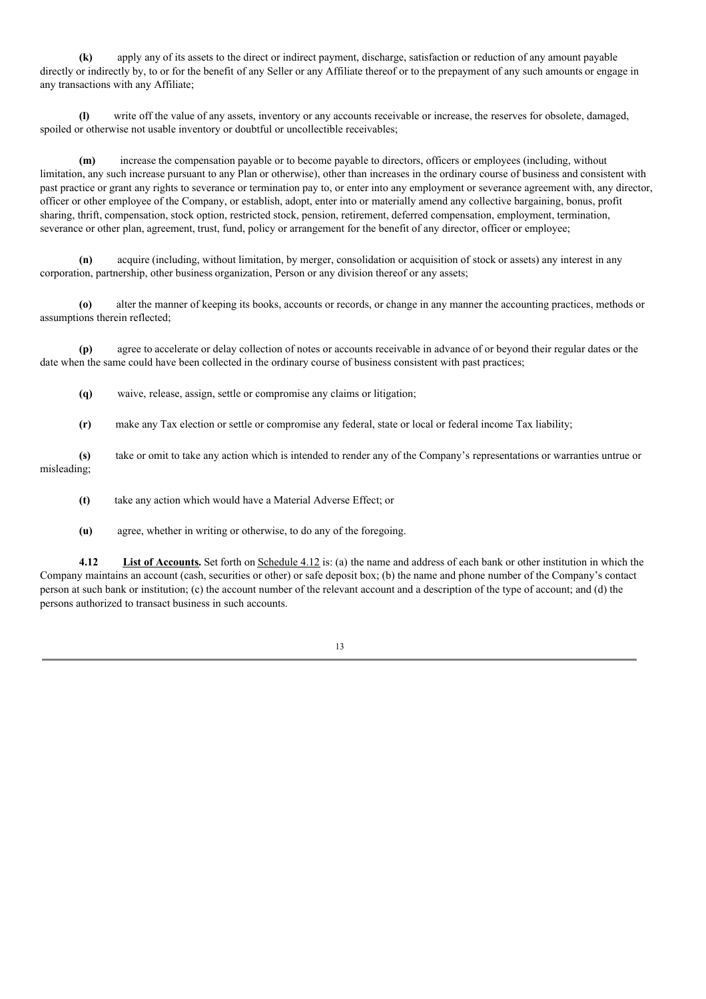**(k)** apply any of its assets to the direct or indirect payment, discharge, satisfaction or reduction of any amount payable directly or indirectly by, to or for the benefit of any Seller or any Affiliate thereof or to the prepayment of any such amounts or engage in any transactions with any Affiliate;

**(l)** write off the value of any assets, inventory or any accounts receivable or increase, the reserves for obsolete, damaged, spoiled or otherwise not usable inventory or doubtful or uncollectible receivables;

**(m)** increase the compensation payable or to become payable to directors, officers or employees (including, without limitation, any such increase pursuant to any Plan or otherwise), other than increases in the ordinary course of business and consistent with past practice or grant any rights to severance or termination pay to, or enter into any employment or severance agreement with, any director, officer or other employee of the Company, or establish, adopt, enter into or materially amend any collective bargaining, bonus, profit sharing, thrift, compensation, stock option, restricted stock, pension, retirement, deferred compensation, employment, termination, severance or other plan, agreement, trust, fund, policy or arrangement for the benefit of any director, officer or employee;

**(n)** acquire (including, without limitation, by merger, consolidation or acquisition of stock or assets) any interest in any corporation, partnership, other business organization, Person or any division thereof or any assets;

**(o)** alter the manner of keeping its books, accounts or records, or change in any manner the accounting practices, methods or assumptions therein reflected;

**(p)** agree to accelerate or delay collection of notes or accounts receivable in advance of or beyond their regular dates or the date when the same could have been collected in the ordinary course of business consistent with past practices;

**(q)** waive, release, assign, settle or compromise any claims or litigation;

**(r)** make any Tax election or settle or compromise any federal, state or local or federal income Tax liability;

**(s)** take or omit to take any action which is intended to render any of the Company's representations or warranties untrue or misleading;

**(t)** take any action which would have a Material Adverse Effect; or

**(u)** agree, whether in writing or otherwise, to do any of the foregoing.

**4.12 List of Accounts.** Set forth on Schedule 4.12 is: (a) the name and address of each bank or other institution in which the Company maintains an account (cash, securities or other) or safe deposit box; (b) the name and phone number of the Company's contact person at such bank or institution; (c) the account number of the relevant account and a description of the type of account; and (d) the persons authorized to transact business in such accounts.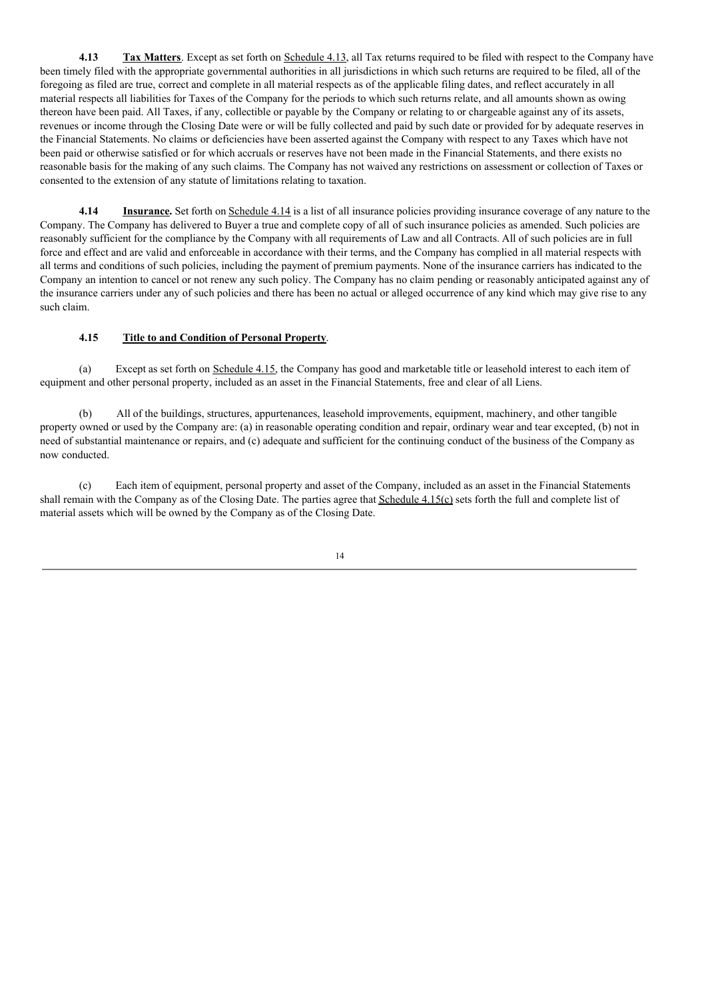**4.13 Tax Matters**. Except as set forth on Schedule 4.13, all Tax returns required to be filed with respect to the Company have been timely filed with the appropriate governmental authorities in all jurisdictions in which such returns are required to be filed, all of the foregoing as filed are true, correct and complete in all material respects as of the applicable filing dates, and reflect accurately in all material respects all liabilities for Taxes of the Company for the periods to which such returns relate, and all amounts shown as owing thereon have been paid. All Taxes, if any, collectible or payable by the Company or relating to or chargeable against any of its assets, revenues or income through the Closing Date were or will be fully collected and paid by such date or provided for by adequate reserves in the Financial Statements. No claims or deficiencies have been asserted against the Company with respect to any Taxes which have not been paid or otherwise satisfied or for which accruals or reserves have not been made in the Financial Statements, and there exists no reasonable basis for the making of any such claims. The Company has not waived any restrictions on assessment or collection of Taxes or consented to the extension of any statute of limitations relating to taxation.

**4.14 Insurance.** Set forth on Schedule 4.14 is a list of all insurance policies providing insurance coverage of any nature to the Company. The Company has delivered to Buyer a true and complete copy of all of such insurance policies as amended. Such policies are reasonably sufficient for the compliance by the Company with all requirements of Law and all Contracts. All of such policies are in full force and effect and are valid and enforceable in accordance with their terms, and the Company has complied in all material respects with all terms and conditions of such policies, including the payment of premium payments. None of the insurance carriers has indicated to the Company an intention to cancel or not renew any such policy. The Company has no claim pending or reasonably anticipated against any of the insurance carriers under any of such policies and there has been no actual or alleged occurrence of any kind which may give rise to any such claim.

# **4.15 Title to and Condition of Personal Property**.

(a) Except as set forth on Schedule 4.15, the Company has good and marketable title or leasehold interest to each item of equipment and other personal property, included as an asset in the Financial Statements, free and clear of all Liens.

(b) All of the buildings, structures, appurtenances, leasehold improvements, equipment, machinery, and other tangible property owned or used by the Company are: (a) in reasonable operating condition and repair, ordinary wear and tear excepted, (b) not in need of substantial maintenance or repairs, and (c) adequate and sufficient for the continuing conduct of the business of the Company as now conducted.

(c) Each item of equipment, personal property and asset of the Company, included as an asset in the Financial Statements shall remain with the Company as of the Closing Date. The parties agree that Schedule 4.15(c) sets forth the full and complete list of material assets which will be owned by the Company as of the Closing Date.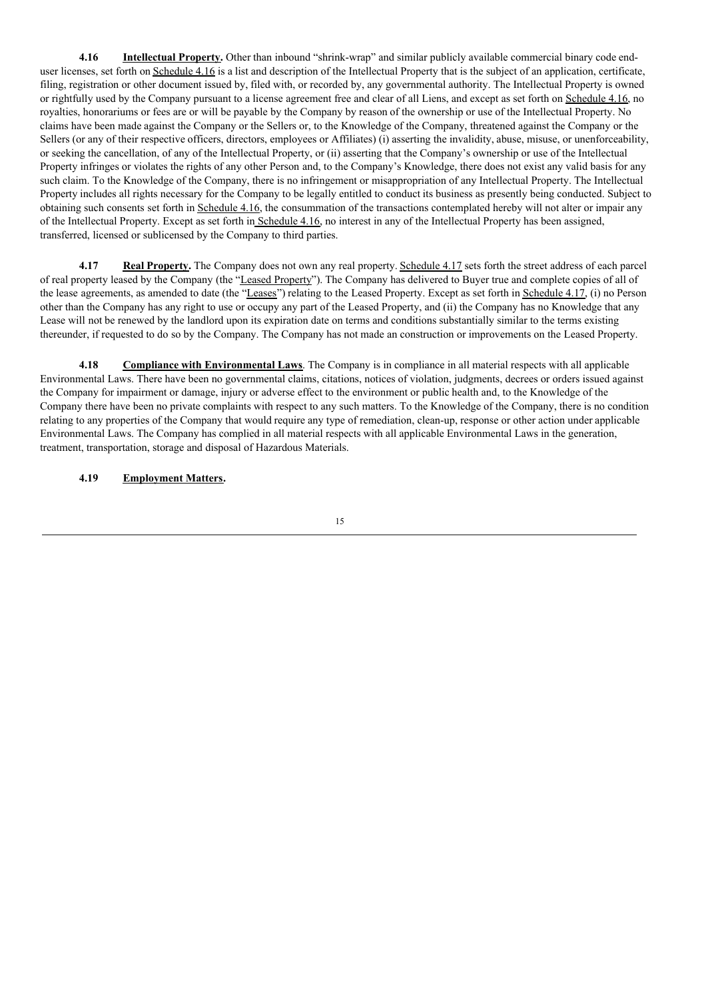**4.16 Intellectual Property.** Other than inbound "shrink-wrap" and similar publicly available commercial binary code enduser licenses, set forth on Schedule 4.16 is a list and description of the Intellectual Property that is the subject of an application, certificate, filing, registration or other document issued by, filed with, or recorded by, any governmental authority. The Intellectual Property is owned or rightfully used by the Company pursuant to a license agreement free and clear of all Liens, and except as set forth on Schedule 4.16, no royalties, honorariums or fees are or will be payable by the Company by reason of the ownership or use of the Intellectual Property. No claims have been made against the Company or the Sellers or, to the Knowledge of the Company, threatened against the Company or the Sellers (or any of their respective officers, directors, employees or Affiliates) (i) asserting the invalidity, abuse, misuse, or unenforceability, or seeking the cancellation, of any of the Intellectual Property, or (ii) asserting that the Company's ownership or use of the Intellectual Property infringes or violates the rights of any other Person and, to the Company's Knowledge, there does not exist any valid basis for any such claim. To the Knowledge of the Company, there is no infringement or misappropriation of any Intellectual Property. The Intellectual Property includes all rights necessary for the Company to be legally entitled to conduct its business as presently being conducted. Subject to obtaining such consents set forth in Schedule 4.16, the consummation of the transactions contemplated hereby will not alter or impair any of the Intellectual Property. Except as set forth in Schedule 4.16, no interest in any of the Intellectual Property has been assigned, transferred, licensed or sublicensed by the Company to third parties.

**4.17 Real Property.** The Company does not own any real property. Schedule 4.17 sets forth the street address of each parcel of real property leased by the Company (the "Leased Property"). The Company has delivered to Buyer true and complete copies of all of the lease agreements, as amended to date (the "Leases") relating to the Leased Property. Except as set forth in Schedule 4.17, (i) no Person other than the Company has any right to use or occupy any part of the Leased Property, and (ii) the Company has no Knowledge that any Lease will not be renewed by the landlord upon its expiration date on terms and conditions substantially similar to the terms existing thereunder, if requested to do so by the Company. The Company has not made an construction or improvements on the Leased Property.

**4.18 Compliance with Environmental Laws**. The Company is in compliance in all material respects with all applicable Environmental Laws. There have been no governmental claims, citations, notices of violation, judgments, decrees or orders issued against the Company for impairment or damage, injury or adverse effect to the environment or public health and, to the Knowledge of the Company there have been no private complaints with respect to any such matters. To the Knowledge of the Company, there is no condition relating to any properties of the Company that would require any type of remediation, clean-up, response or other action under applicable Environmental Laws. The Company has complied in all material respects with all applicable Environmental Laws in the generation, treatment, transportation, storage and disposal of Hazardous Materials.

# **4.19 Employment Matters.**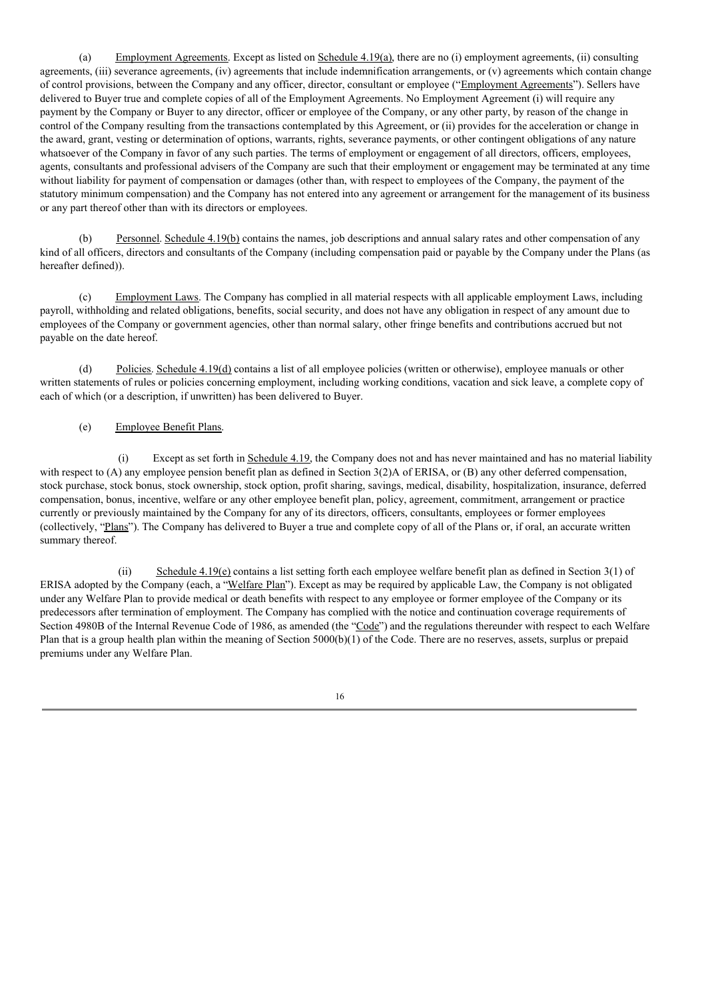(a) Employment Agreements. Except as listed on Schedule 4.19(a), there are no (i) employment agreements, (ii) consulting agreements, (iii) severance agreements, (iv) agreements that include indemnification arrangements, or (v) agreements which contain change of control provisions, between the Company and any officer, director, consultant or employee ("Employment Agreements"). Sellers have delivered to Buyer true and complete copies of all of the Employment Agreements. No Employment Agreement (i) will require any payment by the Company or Buyer to any director, officer or employee of the Company, or any other party, by reason of the change in control of the Company resulting from the transactions contemplated by this Agreement, or (ii) provides for the acceleration or change in the award, grant, vesting or determination of options, warrants, rights, severance payments, or other contingent obligations of any nature whatsoever of the Company in favor of any such parties. The terms of employment or engagement of all directors, officers, employees, agents, consultants and professional advisers of the Company are such that their employment or engagement may be terminated at any time without liability for payment of compensation or damages (other than, with respect to employees of the Company, the payment of the statutory minimum compensation) and the Company has not entered into any agreement or arrangement for the management of its business or any part thereof other than with its directors or employees.

(b) Personnel. Schedule 4.19(b) contains the names, job descriptions and annual salary rates and other compensation of any kind of all officers, directors and consultants of the Company (including compensation paid or payable by the Company under the Plans (as hereafter defined)).

(c) Employment Laws. The Company has complied in all material respects with all applicable employment Laws, including payroll, withholding and related obligations, benefits, social security, and does not have any obligation in respect of any amount due to employees of the Company or government agencies, other than normal salary, other fringe benefits and contributions accrued but not payable on the date hereof.

(d) Policies. Schedule 4.19(d) contains a list of all employee policies (written or otherwise), employee manuals or other written statements of rules or policies concerning employment, including working conditions, vacation and sick leave, a complete copy of each of which (or a description, if unwritten) has been delivered to Buyer.

# (e) Employee Benefit Plans.

(i) Except as set forth in Schedule 4.19, the Company does not and has never maintained and has no material liability with respect to (A) any employee pension benefit plan as defined in Section 3(2)A of ERISA, or (B) any other deferred compensation, stock purchase, stock bonus, stock ownership, stock option, profit sharing, savings, medical, disability, hospitalization, insurance, deferred compensation, bonus, incentive, welfare or any other employee benefit plan, policy, agreement, commitment, arrangement or practice currently or previously maintained by the Company for any of its directors, officers, consultants, employees or former employees (collectively, "Plans"). The Company has delivered to Buyer a true and complete copy of all of the Plans or, if oral, an accurate written summary thereof.

(ii) Schedule  $4.19(e)$  contains a list setting forth each employee welfare benefit plan as defined in Section 3(1) of ERISA adopted by the Company (each, a "Welfare Plan"). Except as may be required by applicable Law, the Company is not obligated under any Welfare Plan to provide medical or death benefits with respect to any employee or former employee of the Company or its predecessors after termination of employment. The Company has complied with the notice and continuation coverage requirements of Section 4980B of the Internal Revenue Code of 1986, as amended (the "Code") and the regulations thereunder with respect to each Welfare Plan that is a group health plan within the meaning of Section 5000(b)(1) of the Code. There are no reserves, assets, surplus or prepaid premiums under any Welfare Plan.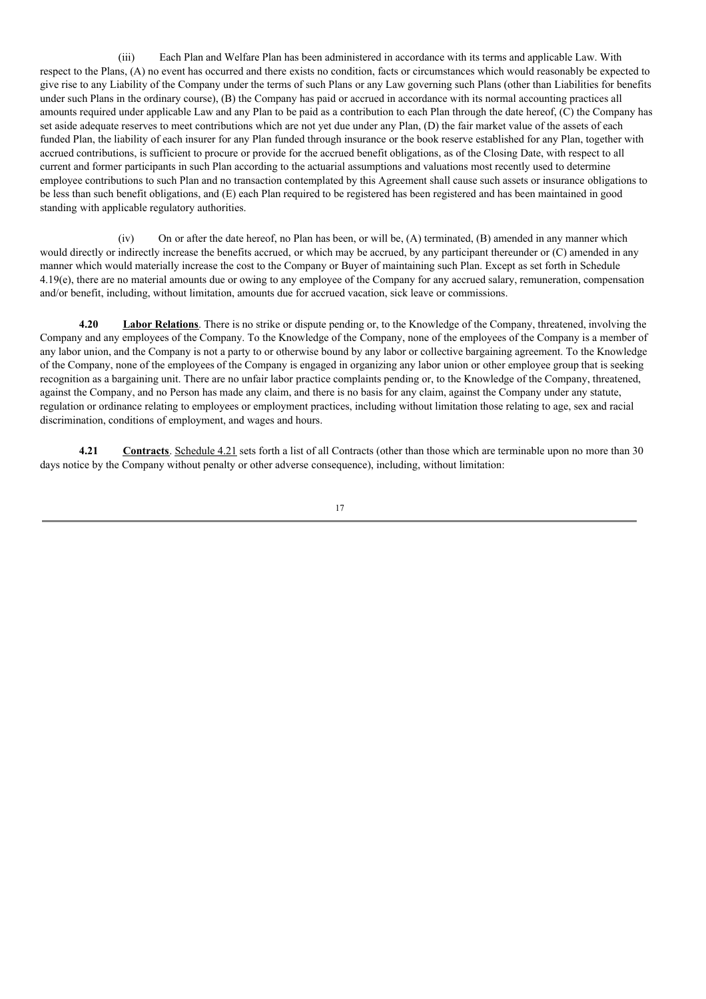(iii) Each Plan and Welfare Plan has been administered in accordance with its terms and applicable Law. With respect to the Plans, (A) no event has occurred and there exists no condition, facts or circumstances which would reasonably be expected to give rise to any Liability of the Company under the terms of such Plans or any Law governing such Plans (other than Liabilities for benefits under such Plans in the ordinary course), (B) the Company has paid or accrued in accordance with its normal accounting practices all amounts required under applicable Law and any Plan to be paid as a contribution to each Plan through the date hereof, (C) the Company has set aside adequate reserves to meet contributions which are not yet due under any Plan, (D) the fair market value of the assets of each funded Plan, the liability of each insurer for any Plan funded through insurance or the book reserve established for any Plan, together with accrued contributions, is sufficient to procure or provide for the accrued benefit obligations, as of the Closing Date, with respect to all current and former participants in such Plan according to the actuarial assumptions and valuations most recently used to determine employee contributions to such Plan and no transaction contemplated by this Agreement shall cause such assets or insurance obligations to be less than such benefit obligations, and (E) each Plan required to be registered has been registered and has been maintained in good standing with applicable regulatory authorities.

(iv) On or after the date hereof, no Plan has been, or will be, (A) terminated, (B) amended in any manner which would directly or indirectly increase the benefits accrued, or which may be accrued, by any participant thereunder or (C) amended in any manner which would materially increase the cost to the Company or Buyer of maintaining such Plan. Except as set forth in Schedule 4.19(e), there are no material amounts due or owing to any employee of the Company for any accrued salary, remuneration, compensation and/or benefit, including, without limitation, amounts due for accrued vacation, sick leave or commissions.

**4.20 Labor Relations**. There is no strike or dispute pending or, to the Knowledge of the Company, threatened, involving the Company and any employees of the Company. To the Knowledge of the Company, none of the employees of the Company is a member of any labor union, and the Company is not a party to or otherwise bound by any labor or collective bargaining agreement. To the Knowledge of the Company, none of the employees of the Company is engaged in organizing any labor union or other employee group that is seeking recognition as a bargaining unit. There are no unfair labor practice complaints pending or, to the Knowledge of the Company, threatened, against the Company, and no Person has made any claim, and there is no basis for any claim, against the Company under any statute, regulation or ordinance relating to employees or employment practices, including without limitation those relating to age, sex and racial discrimination, conditions of employment, and wages and hours.

**4.21 Contracts**. Schedule 4.21 sets forth a list of all Contracts (other than those which are terminable upon no more than 30 days notice by the Company without penalty or other adverse consequence), including, without limitation: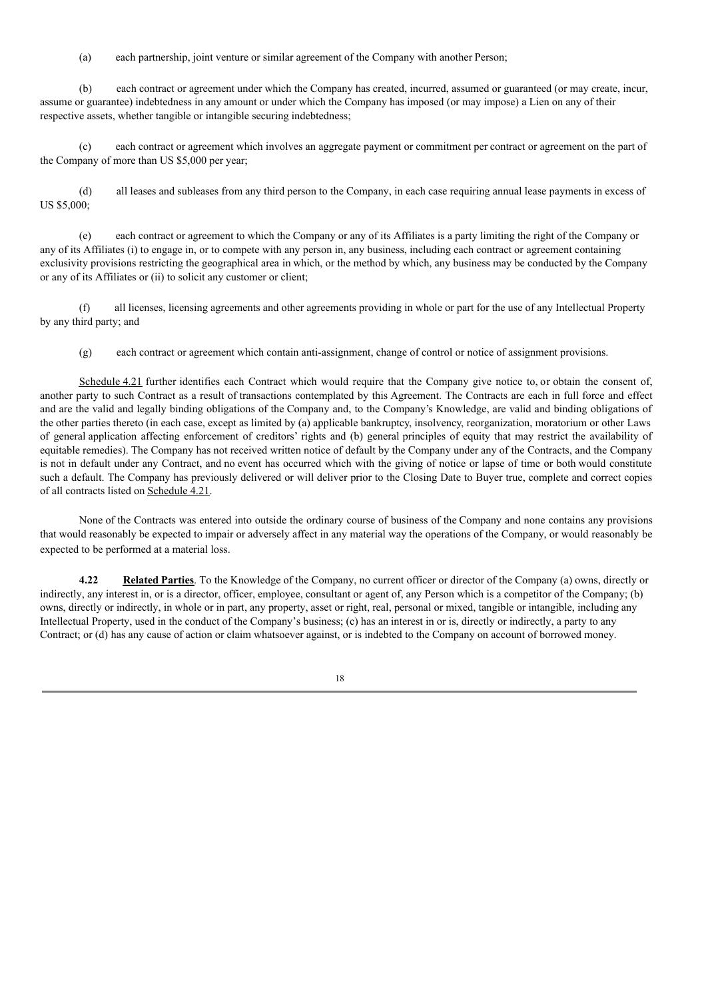(a) each partnership, joint venture or similar agreement of the Company with another Person;

(b) each contract or agreement under which the Company has created, incurred, assumed or guaranteed (or may create, incur, assume or guarantee) indebtedness in any amount or under which the Company has imposed (or may impose) a Lien on any of their respective assets, whether tangible or intangible securing indebtedness;

(c) each contract or agreement which involves an aggregate payment or commitment per contract or agreement on the part of the Company of more than US \$5,000 per year;

(d) all leases and subleases from any third person to the Company, in each case requiring annual lease payments in excess of US \$5,000;

(e) each contract or agreement to which the Company or any of its Affiliates is a party limiting the right of the Company or any of its Affiliates (i) to engage in, or to compete with any person in, any business, including each contract or agreement containing exclusivity provisions restricting the geographical area in which, or the method by which, any business may be conducted by the Company or any of its Affiliates or (ii) to solicit any customer or client;

(f) all licenses, licensing agreements and other agreements providing in whole or part for the use of any Intellectual Property by any third party; and

(g) each contract or agreement which contain anti-assignment, change of control or notice of assignment provisions.

Schedule 4.21 further identifies each Contract which would require that the Company give notice to, or obtain the consent of, another party to such Contract as a result of transactions contemplated by this Agreement. The Contracts are each in full force and effect and are the valid and legally binding obligations of the Company and, to the Company's Knowledge, are valid and binding obligations of the other parties thereto (in each case, except as limited by (a) applicable bankruptcy, insolvency, reorganization, moratorium or other Laws of general application affecting enforcement of creditors' rights and (b) general principles of equity that may restrict the availability of equitable remedies). The Company has not received written notice of default by the Company under any of the Contracts, and the Company is not in default under any Contract, and no event has occurred which with the giving of notice or lapse of time or both would constitute such a default. The Company has previously delivered or will deliver prior to the Closing Date to Buyer true, complete and correct copies of all contracts listed on Schedule 4.21.

None of the Contracts was entered into outside the ordinary course of business of the Company and none contains any provisions that would reasonably be expected to impair or adversely affect in any material way the operations of the Company, or would reasonably be expected to be performed at a material loss.

**4.22 Related Parties**. To the Knowledge of the Company, no current officer or director of the Company (a) owns, directly or indirectly, any interest in, or is a director, officer, employee, consultant or agent of, any Person which is a competitor of the Company; (b) owns, directly or indirectly, in whole or in part, any property, asset or right, real, personal or mixed, tangible or intangible, including any Intellectual Property, used in the conduct of the Company's business; (c) has an interest in or is, directly or indirectly, a party to any Contract; or (d) has any cause of action or claim whatsoever against, or is indebted to the Company on account of borrowed money.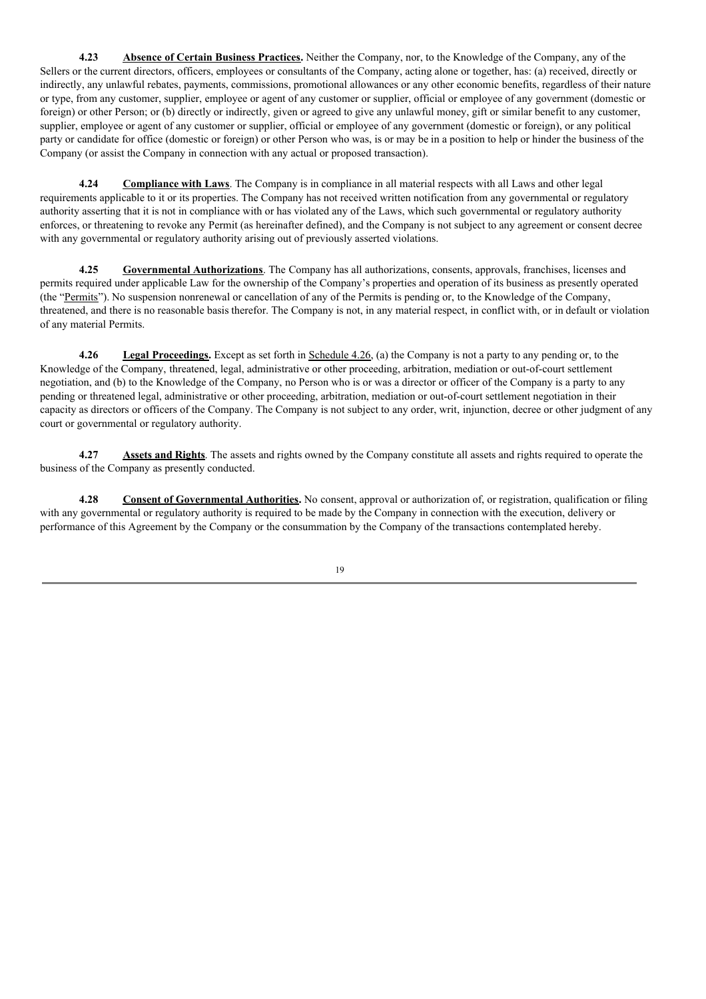**4.23 Absence of Certain Business Practices.** Neither the Company, nor, to the Knowledge of the Company, any of the Sellers or the current directors, officers, employees or consultants of the Company, acting alone or together, has: (a) received, directly or indirectly, any unlawful rebates, payments, commissions, promotional allowances or any other economic benefits, regardless of their nature or type, from any customer, supplier, employee or agent of any customer or supplier, official or employee of any government (domestic or foreign) or other Person; or (b) directly or indirectly, given or agreed to give any unlawful money, gift or similar benefit to any customer, supplier, employee or agent of any customer or supplier, official or employee of any government (domestic or foreign), or any political party or candidate for office (domestic or foreign) or other Person who was, is or may be in a position to help or hinder the business of the Company (or assist the Company in connection with any actual or proposed transaction).

**4.24 Compliance with Laws**. The Company is in compliance in all material respects with all Laws and other legal requirements applicable to it or its properties. The Company has not received written notification from any governmental or regulatory authority asserting that it is not in compliance with or has violated any of the Laws, which such governmental or regulatory authority enforces, or threatening to revoke any Permit (as hereinafter defined), and the Company is not subject to any agreement or consent decree with any governmental or regulatory authority arising out of previously asserted violations.

**4.25 Governmental Authorizations**. The Company has all authorizations, consents, approvals, franchises, licenses and permits required under applicable Law for the ownership of the Company's properties and operation of its business as presently operated (the "Permits"). No suspension nonrenewal or cancellation of any of the Permits is pending or, to the Knowledge of the Company, threatened, and there is no reasonable basis therefor. The Company is not, in any material respect, in conflict with, or in default or violation of any material Permits.

**4.26 Legal Proceedings.** Except as set forth in Schedule 4.26, (a) the Company is not a party to any pending or, to the Knowledge of the Company, threatened, legal, administrative or other proceeding, arbitration, mediation or out-of-court settlement negotiation, and (b) to the Knowledge of the Company, no Person who is or was a director or officer of the Company is a party to any pending or threatened legal, administrative or other proceeding, arbitration, mediation or out-of-court settlement negotiation in their capacity as directors or officers of the Company. The Company is not subject to any order, writ, injunction, decree or other judgment of any court or governmental or regulatory authority.

**4.27 Assets and Rights**. The assets and rights owned by the Company constitute all assets and rights required to operate the business of the Company as presently conducted.

**4.28 Consent of Governmental Authorities.** No consent, approval or authorization of, or registration, qualification or filing with any governmental or regulatory authority is required to be made by the Company in connection with the execution, delivery or performance of this Agreement by the Company or the consummation by the Company of the transactions contemplated hereby.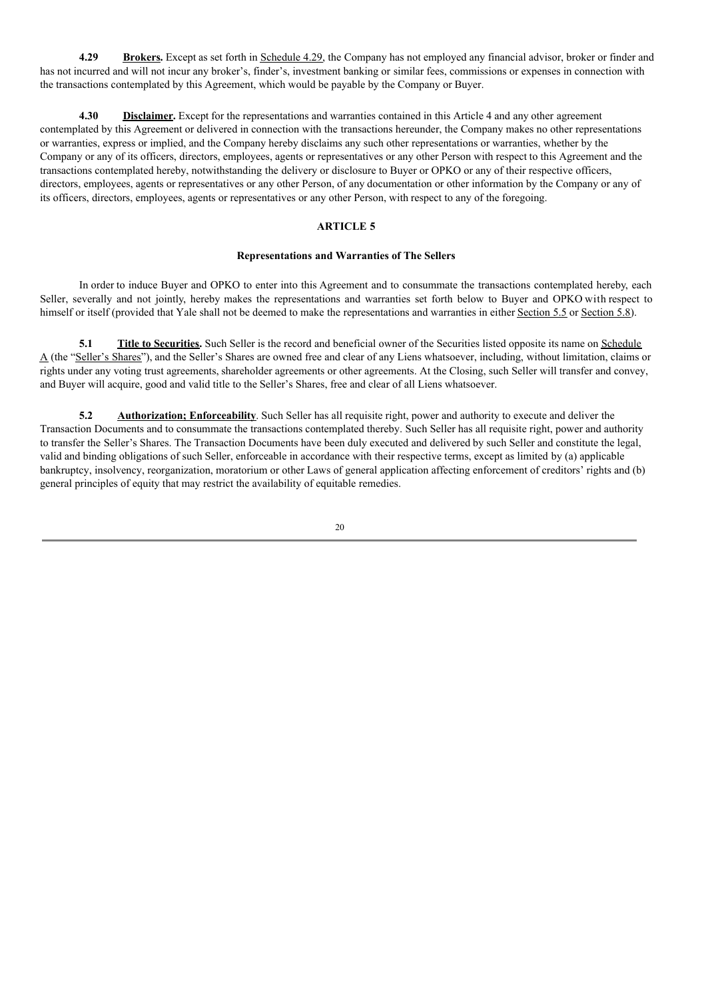**4.29 Brokers.** Except as set forth in Schedule 4.29, the Company has not employed any financial advisor, broker or finder and has not incurred and will not incur any broker's, finder's, investment banking or similar fees, commissions or expenses in connection with the transactions contemplated by this Agreement, which would be payable by the Company or Buyer.

**4.30 Disclaimer.** Except for the representations and warranties contained in this Article 4 and any other agreement contemplated by this Agreement or delivered in connection with the transactions hereunder, the Company makes no other representations or warranties, express or implied, and the Company hereby disclaims any such other representations or warranties, whether by the Company or any of its officers, directors, employees, agents or representatives or any other Person with respect to this Agreement and the transactions contemplated hereby, notwithstanding the delivery or disclosure to Buyer or OPKO or any of their respective officers, directors, employees, agents or representatives or any other Person, of any documentation or other information by the Company or any of its officers, directors, employees, agents or representatives or any other Person, with respect to any of the foregoing.

# **ARTICLE 5**

#### **Representations and Warranties of The Sellers**

In order to induce Buyer and OPKO to enter into this Agreement and to consummate the transactions contemplated hereby, each Seller, severally and not jointly, hereby makes the representations and warranties set forth below to Buyer and OPKO with respect to himself or itself (provided that Yale shall not be deemed to make the representations and warranties in either Section 5.5 or Section 5.8).

**5.1 Title to Securities.** Such Seller is the record and beneficial owner of the Securities listed opposite its name on Schedule A (the "Seller's Shares"), and the Seller's Shares are owned free and clear of any Liens whatsoever, including, without limitation, claims or rights under any voting trust agreements, shareholder agreements or other agreements. At the Closing, such Seller will transfer and convey, and Buyer will acquire, good and valid title to the Seller's Shares, free and clear of all Liens whatsoever.

**5.2 Authorization; Enforceability**. Such Seller has all requisite right, power and authority to execute and deliver the Transaction Documents and to consummate the transactions contemplated thereby. Such Seller has all requisite right, power and authority to transfer the Seller's Shares. The Transaction Documents have been duly executed and delivered by such Seller and constitute the legal, valid and binding obligations of such Seller, enforceable in accordance with their respective terms, except as limited by (a) applicable bankruptcy, insolvency, reorganization, moratorium or other Laws of general application affecting enforcement of creditors' rights and (b) general principles of equity that may restrict the availability of equitable remedies.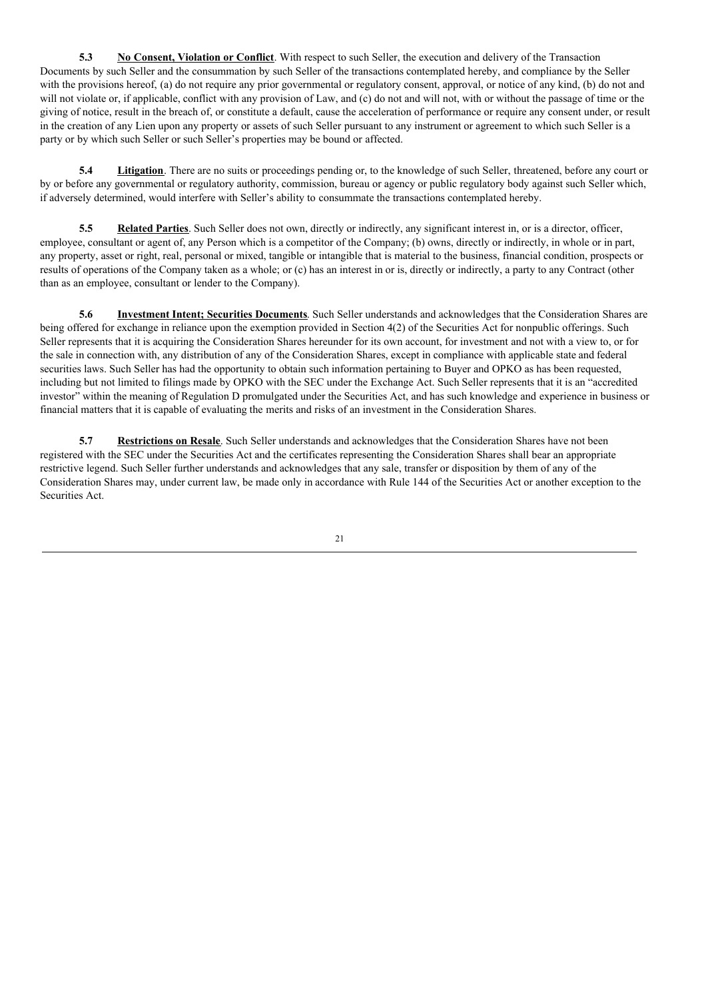**5.3 No Consent, Violation or Conflict**. With respect to such Seller, the execution and delivery of the Transaction Documents by such Seller and the consummation by such Seller of the transactions contemplated hereby, and compliance by the Seller with the provisions hereof, (a) do not require any prior governmental or regulatory consent, approval, or notice of any kind, (b) do not and will not violate or, if applicable, conflict with any provision of Law, and (c) do not and will not, with or without the passage of time or the giving of notice, result in the breach of, or constitute a default, cause the acceleration of performance or require any consent under, or result in the creation of any Lien upon any property or assets of such Seller pursuant to any instrument or agreement to which such Seller is a party or by which such Seller or such Seller's properties may be bound or affected.

**5.4 Litigation**. There are no suits or proceedings pending or, to the knowledge of such Seller, threatened, before any court or by or before any governmental or regulatory authority, commission, bureau or agency or public regulatory body against such Seller which, if adversely determined, would interfere with Seller's ability to consummate the transactions contemplated hereby.

**5.5 Related Parties**. Such Seller does not own, directly or indirectly, any significant interest in, or is a director, officer, employee, consultant or agent of, any Person which is a competitor of the Company; (b) owns, directly or indirectly, in whole or in part, any property, asset or right, real, personal or mixed, tangible or intangible that is material to the business, financial condition, prospects or results of operations of the Company taken as a whole; or (c) has an interest in or is, directly or indirectly, a party to any Contract (other than as an employee, consultant or lender to the Company).

**5.6 Investment Intent; Securities Documents**. Such Seller understands and acknowledges that the Consideration Shares are being offered for exchange in reliance upon the exemption provided in Section 4(2) of the Securities Act for nonpublic offerings. Such Seller represents that it is acquiring the Consideration Shares hereunder for its own account, for investment and not with a view to, or for the sale in connection with, any distribution of any of the Consideration Shares, except in compliance with applicable state and federal securities laws. Such Seller has had the opportunity to obtain such information pertaining to Buyer and OPKO as has been requested, including but not limited to filings made by OPKO with the SEC under the Exchange Act. Such Seller represents that it is an "accredited investor" within the meaning of Regulation D promulgated under the Securities Act, and has such knowledge and experience in business or financial matters that it is capable of evaluating the merits and risks of an investment in the Consideration Shares.

**5.7 Restrictions on Resale**. Such Seller understands and acknowledges that the Consideration Shares have not been registered with the SEC under the Securities Act and the certificates representing the Consideration Shares shall bear an appropriate restrictive legend. Such Seller further understands and acknowledges that any sale, transfer or disposition by them of any of the Consideration Shares may, under current law, be made only in accordance with Rule 144 of the Securities Act or another exception to the Securities Act.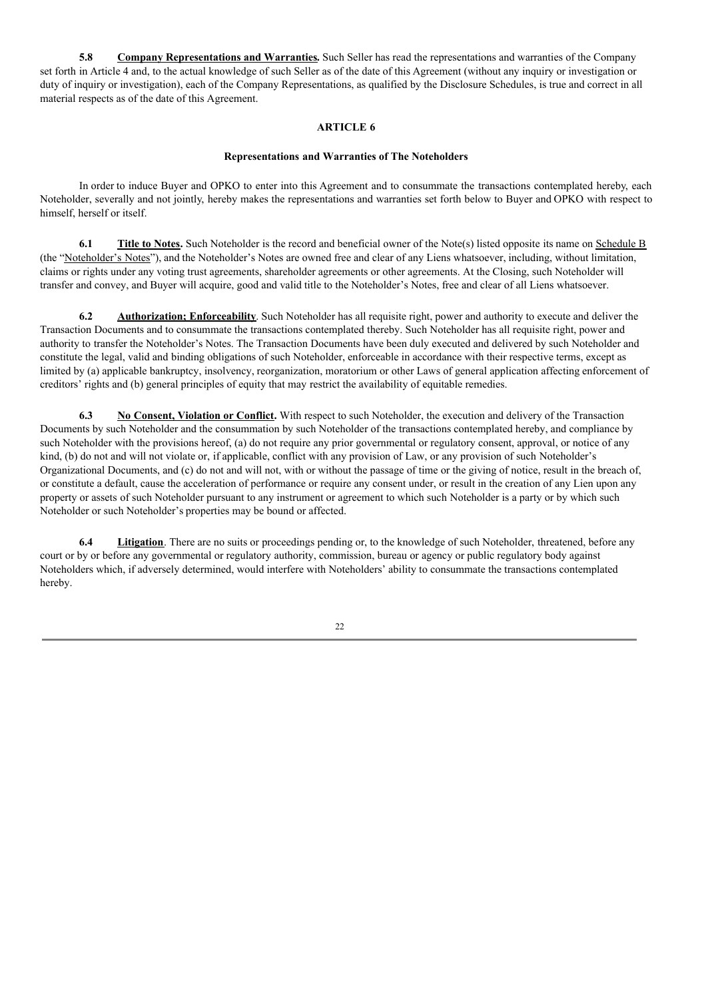**5.8 Company Representations and Warranties.** Such Seller has read the representations and warranties of the Company set forth in Article 4 and, to the actual knowledge of such Seller as of the date of this Agreement (without any inquiry or investigation or duty of inquiry or investigation), each of the Company Representations, as qualified by the Disclosure Schedules, is true and correct in all material respects as of the date of this Agreement.

# **ARTICLE 6**

#### **Representations and Warranties of The Noteholders**

In order to induce Buyer and OPKO to enter into this Agreement and to consummate the transactions contemplated hereby, each Noteholder, severally and not jointly, hereby makes the representations and warranties set forth below to Buyer and OPKO with respect to himself, herself or itself.

**6.1 Title to Notes.** Such Noteholder is the record and beneficial owner of the Note(s) listed opposite its name on Schedule B (the "Noteholder's Notes"), and the Noteholder's Notes are owned free and clear of any Liens whatsoever, including, without limitation, claims or rights under any voting trust agreements, shareholder agreements or other agreements. At the Closing, such Noteholder will transfer and convey, and Buyer will acquire, good and valid title to the Noteholder's Notes, free and clear of all Liens whatsoever.

**6.2 Authorization; Enforceability**. Such Noteholder has all requisite right, power and authority to execute and deliver the Transaction Documents and to consummate the transactions contemplated thereby. Such Noteholder has all requisite right, power and authority to transfer the Noteholder's Notes. The Transaction Documents have been duly executed and delivered by such Noteholder and constitute the legal, valid and binding obligations of such Noteholder, enforceable in accordance with their respective terms, except as limited by (a) applicable bankruptcy, insolvency, reorganization, moratorium or other Laws of general application affecting enforcement of creditors' rights and (b) general principles of equity that may restrict the availability of equitable remedies.

**6.3 No Consent, Violation or Conflict.** With respect to such Noteholder, the execution and delivery of the Transaction Documents by such Noteholder and the consummation by such Noteholder of the transactions contemplated hereby, and compliance by such Noteholder with the provisions hereof, (a) do not require any prior governmental or regulatory consent, approval, or notice of any kind, (b) do not and will not violate or, if applicable, conflict with any provision of Law, or any provision of such Noteholder's Organizational Documents, and (c) do not and will not, with or without the passage of time or the giving of notice, result in the breach of, or constitute a default, cause the acceleration of performance or require any consent under, or result in the creation of any Lien upon any property or assets of such Noteholder pursuant to any instrument or agreement to which such Noteholder is a party or by which such Noteholder or such Noteholder's properties may be bound or affected.

**6.4 Litigation**. There are no suits or proceedings pending or, to the knowledge of such Noteholder, threatened, before any court or by or before any governmental or regulatory authority, commission, bureau or agency or public regulatory body against Noteholders which, if adversely determined, would interfere with Noteholders' ability to consummate the transactions contemplated hereby.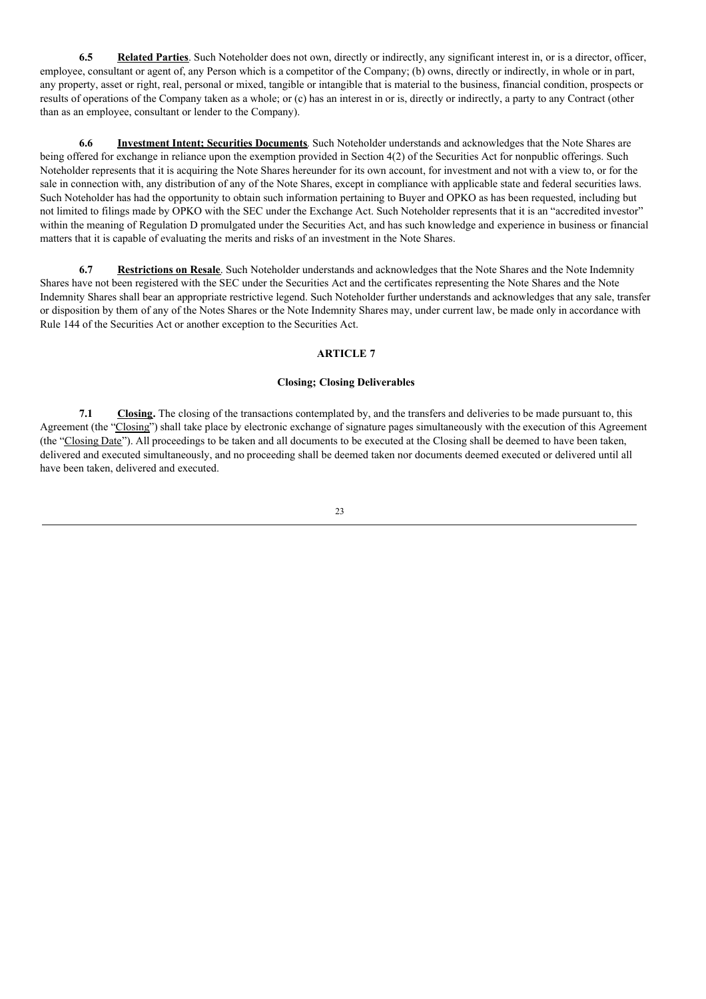**6.5 Related Parties**. Such Noteholder does not own, directly or indirectly, any significant interest in, or is a director, officer, employee, consultant or agent of, any Person which is a competitor of the Company; (b) owns, directly or indirectly, in whole or in part, any property, asset or right, real, personal or mixed, tangible or intangible that is material to the business, financial condition, prospects or results of operations of the Company taken as a whole; or (c) has an interest in or is, directly or indirectly, a party to any Contract (other than as an employee, consultant or lender to the Company).

**6.6 Investment Intent; Securities Documents**. Such Noteholder understands and acknowledges that the Note Shares are being offered for exchange in reliance upon the exemption provided in Section 4(2) of the Securities Act for nonpublic offerings. Such Noteholder represents that it is acquiring the Note Shares hereunder for its own account, for investment and not with a view to, or for the sale in connection with, any distribution of any of the Note Shares, except in compliance with applicable state and federal securities laws. Such Noteholder has had the opportunity to obtain such information pertaining to Buyer and OPKO as has been requested, including but not limited to filings made by OPKO with the SEC under the Exchange Act. Such Noteholder represents that it is an "accredited investor" within the meaning of Regulation D promulgated under the Securities Act, and has such knowledge and experience in business or financial matters that it is capable of evaluating the merits and risks of an investment in the Note Shares.

**6.7 Restrictions on Resale**. Such Noteholder understands and acknowledges that the Note Shares and the Note Indemnity Shares have not been registered with the SEC under the Securities Act and the certificates representing the Note Shares and the Note Indemnity Shares shall bear an appropriate restrictive legend. Such Noteholder further understands and acknowledges that any sale, transfer or disposition by them of any of the Notes Shares or the Note Indemnity Shares may, under current law, be made only in accordance with Rule 144 of the Securities Act or another exception to the Securities Act.

### **ARTICLE 7**

### **Closing; Closing Deliverables**

**7.1 Closing.** The closing of the transactions contemplated by, and the transfers and deliveries to be made pursuant to, this Agreement (the "Closing") shall take place by electronic exchange of signature pages simultaneously with the execution of this Agreement (the "Closing Date"). All proceedings to be taken and all documents to be executed at the Closing shall be deemed to have been taken, delivered and executed simultaneously, and no proceeding shall be deemed taken nor documents deemed executed or delivered until all have been taken, delivered and executed.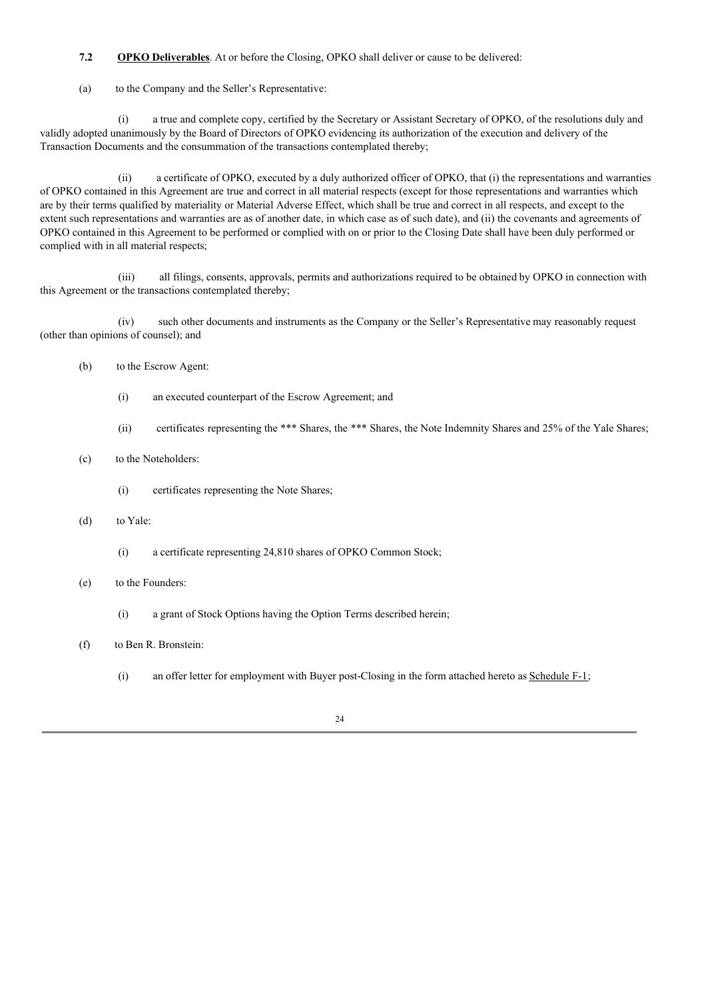# **7.2 OPKO Deliverables**. At or before the Closing, OPKO shall deliver or cause to be delivered:

(a) to the Company and the Seller's Representative:

(i) a true and complete copy, certified by the Secretary or Assistant Secretary of OPKO, of the resolutions duly and validly adopted unanimously by the Board of Directors of OPKO evidencing its authorization of the execution and delivery of the Transaction Documents and the consummation of the transactions contemplated thereby;

(ii) a certificate of OPKO, executed by a duly authorized officer of OPKO, that (i) the representations and warranties of OPKO contained in this Agreement are true and correct in all material respects (except for those representations and warranties which are by their terms qualified by materiality or Material Adverse Effect, which shall be true and correct in all respects, and except to the extent such representations and warranties are as of another date, in which case as of such date), and (ii) the covenants and agreements of OPKO contained in this Agreement to be performed or complied with on or prior to the Closing Date shall have been duly performed or complied with in all material respects;

(iii) all filings, consents, approvals, permits and authorizations required to be obtained by OPKO in connection with this Agreement or the transactions contemplated thereby;

(iv) such other documents and instruments as the Company or the Seller's Representative may reasonably request (other than opinions of counsel); and

- (b) to the Escrow Agent:
	- (i) an executed counterpart of the Escrow Agreement; and
	- (ii) certificates representing the \*\*\* Shares, the \*\*\* Shares, the Note Indemnity Shares and 25% of the Yale Shares;
- (c) to the Noteholders:
	- (i) certificates representing the Note Shares;
- (d) to Yale:
	- (i) a certificate representing 24,810 shares of OPKO Common Stock;
- (e) to the Founders:
	- (i) a grant of Stock Options having the Option Terms described herein;
- (f) to Ben R. Bronstein:
	- (i) an offer letter for employment with Buyer post-Closing in the form attached hereto as Schedule F-1;

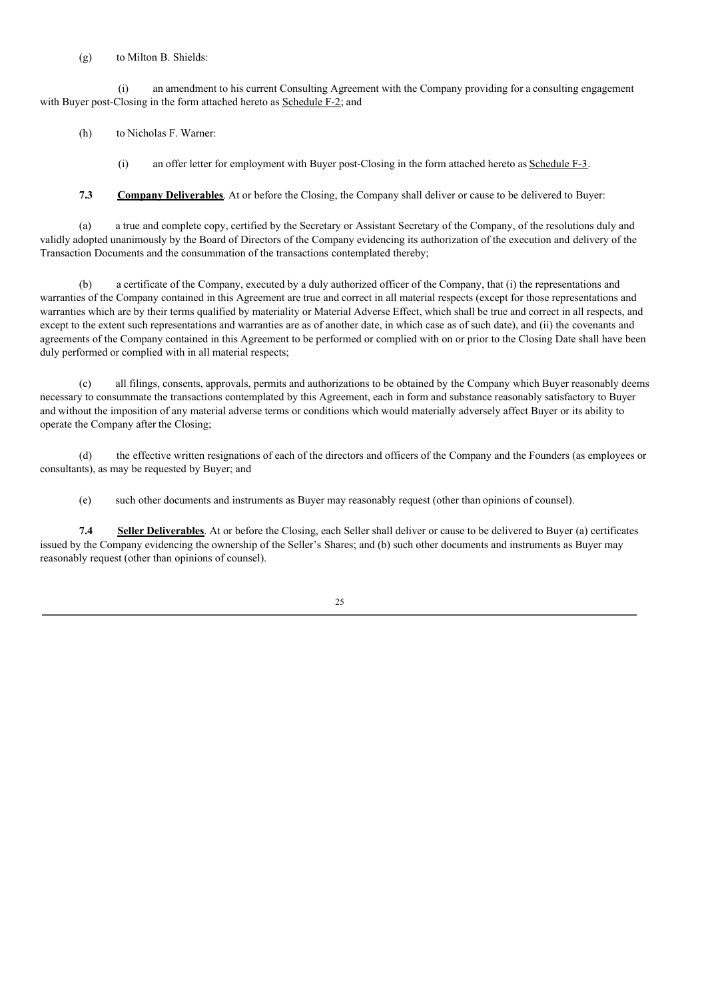# (g) to Milton B. Shields:

(i) an amendment to his current Consulting Agreement with the Company providing for a consulting engagement with Buyer post-Closing in the form attached hereto as Schedule F-2; and

(h) to Nicholas F. Warner:

(i) an offer letter for employment with Buyer post-Closing in the form attached hereto as Schedule F-3.

**7.3 Company Deliverables**. At or before the Closing, the Company shall deliver or cause to be delivered to Buyer:

(a) a true and complete copy, certified by the Secretary or Assistant Secretary of the Company, of the resolutions duly and validly adopted unanimously by the Board of Directors of the Company evidencing its authorization of the execution and delivery of the Transaction Documents and the consummation of the transactions contemplated thereby;

(b) a certificate of the Company, executed by a duly authorized officer of the Company, that (i) the representations and warranties of the Company contained in this Agreement are true and correct in all material respects (except for those representations and warranties which are by their terms qualified by materiality or Material Adverse Effect, which shall be true and correct in all respects, and except to the extent such representations and warranties are as of another date, in which case as of such date), and (ii) the covenants and agreements of the Company contained in this Agreement to be performed or complied with on or prior to the Closing Date shall have been duly performed or complied with in all material respects;

(c) all filings, consents, approvals, permits and authorizations to be obtained by the Company which Buyer reasonably deems necessary to consummate the transactions contemplated by this Agreement, each in form and substance reasonably satisfactory to Buyer and without the imposition of any material adverse terms or conditions which would materially adversely affect Buyer or its ability to operate the Company after the Closing;

(d) the effective written resignations of each of the directors and officers of the Company and the Founders (as employees or consultants), as may be requested by Buyer; and

(e) such other documents and instruments as Buyer may reasonably request (other than opinions of counsel).

**7.4 Seller Deliverables**. At or before the Closing, each Seller shall deliver or cause to be delivered to Buyer (a) certificates issued by the Company evidencing the ownership of the Seller's Shares; and (b) such other documents and instruments as Buyer may reasonably request (other than opinions of counsel).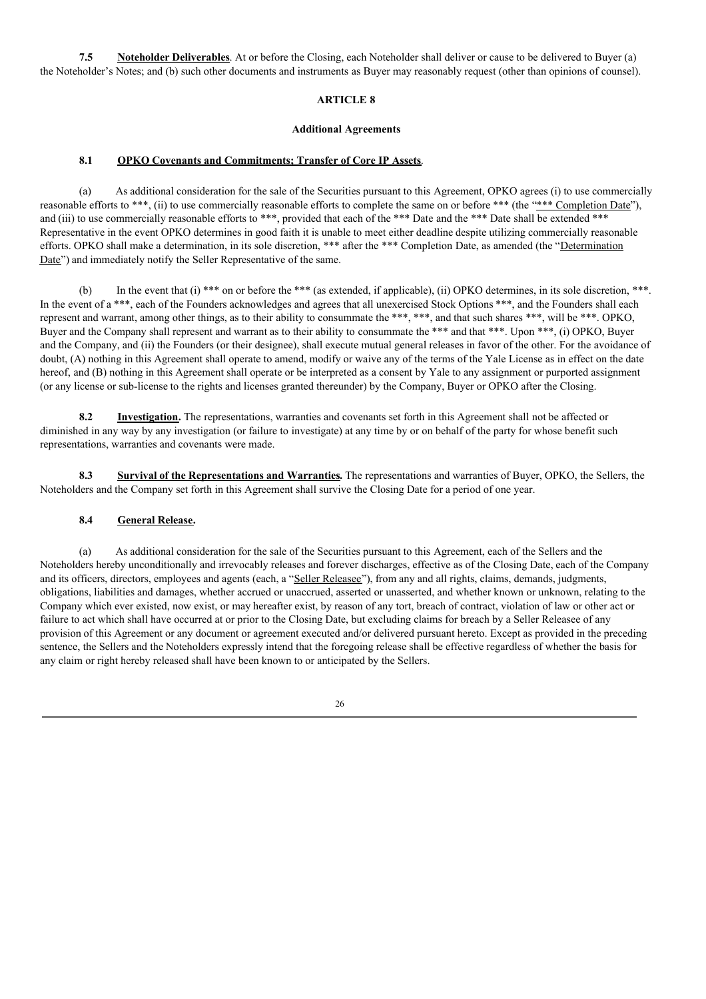**7.5 Noteholder Deliverables**. At or before the Closing, each Noteholder shall deliver or cause to be delivered to Buyer (a) the Noteholder's Notes; and (b) such other documents and instruments as Buyer may reasonably request (other than opinions of counsel).

### **ARTICLE 8**

#### **Additional Agreements**

# **8.1 OPKO Covenants and Commitments; Transfer of Core IP Assets**.

(a) As additional consideration for the sale of the Securities pursuant to this Agreement, OPKO agrees (i) to use commercially reasonable efforts to \*\*\*, (ii) to use commercially reasonable efforts to complete the same on or before \*\*\* (the "\*\*\* Completion Date"), and (iii) to use commercially reasonable efforts to \*\*\*, provided that each of the \*\*\* Date and the \*\*\* Date shall be extended \*\*\* Representative in the event OPKO determines in good faith it is unable to meet either deadline despite utilizing commercially reasonable efforts. OPKO shall make a determination, in its sole discretion, \*\*\* after the \*\*\* Completion Date, as amended (the "Determination Date") and immediately notify the Seller Representative of the same.

(b) In the event that (i) \*\*\* on or before the \*\*\* (as extended, if applicable), (ii) OPKO determines, in its sole discretion, \*\*\*. In the event of a \*\*\*, each of the Founders acknowledges and agrees that all unexercised Stock Options \*\*\*, and the Founders shall each represent and warrant, among other things, as to their ability to consummate the \*\*\*, \*\*\*, and that such shares \*\*\*, will be \*\*\*. OPKO, Buyer and the Company shall represent and warrant as to their ability to consummate the \*\*\* and that \*\*\*. Upon \*\*\*, (i) OPKO, Buyer and the Company, and (ii) the Founders (or their designee), shall execute mutual general releases in favor of the other. For the avoidance of doubt, (A) nothing in this Agreement shall operate to amend, modify or waive any of the terms of the Yale License as in effect on the date hereof, and (B) nothing in this Agreement shall operate or be interpreted as a consent by Yale to any assignment or purported assignment (or any license or sub-license to the rights and licenses granted thereunder) by the Company, Buyer or OPKO after the Closing.

**8.2 Investigation.** The representations, warranties and covenants set forth in this Agreement shall not be affected or diminished in any way by any investigation (or failure to investigate) at any time by or on behalf of the party for whose benefit such representations, warranties and covenants were made.

**8.3 Survival of the Representations and Warranties.** The representations and warranties of Buyer, OPKO, the Sellers, the Noteholders and the Company set forth in this Agreement shall survive the Closing Date for a period of one year.

## **8.4 General Release.**

(a) As additional consideration for the sale of the Securities pursuant to this Agreement, each of the Sellers and the Noteholders hereby unconditionally and irrevocably releases and forever discharges, effective as of the Closing Date, each of the Company and its officers, directors, employees and agents (each, a "Seller Releasee"), from any and all rights, claims, demands, judgments, obligations, liabilities and damages, whether accrued or unaccrued, asserted or unasserted, and whether known or unknown, relating to the Company which ever existed, now exist, or may hereafter exist, by reason of any tort, breach of contract, violation of law or other act or failure to act which shall have occurred at or prior to the Closing Date, but excluding claims for breach by a Seller Releasee of any provision of this Agreement or any document or agreement executed and/or delivered pursuant hereto. Except as provided in the preceding sentence, the Sellers and the Noteholders expressly intend that the foregoing release shall be effective regardless of whether the basis for any claim or right hereby released shall have been known to or anticipated by the Sellers.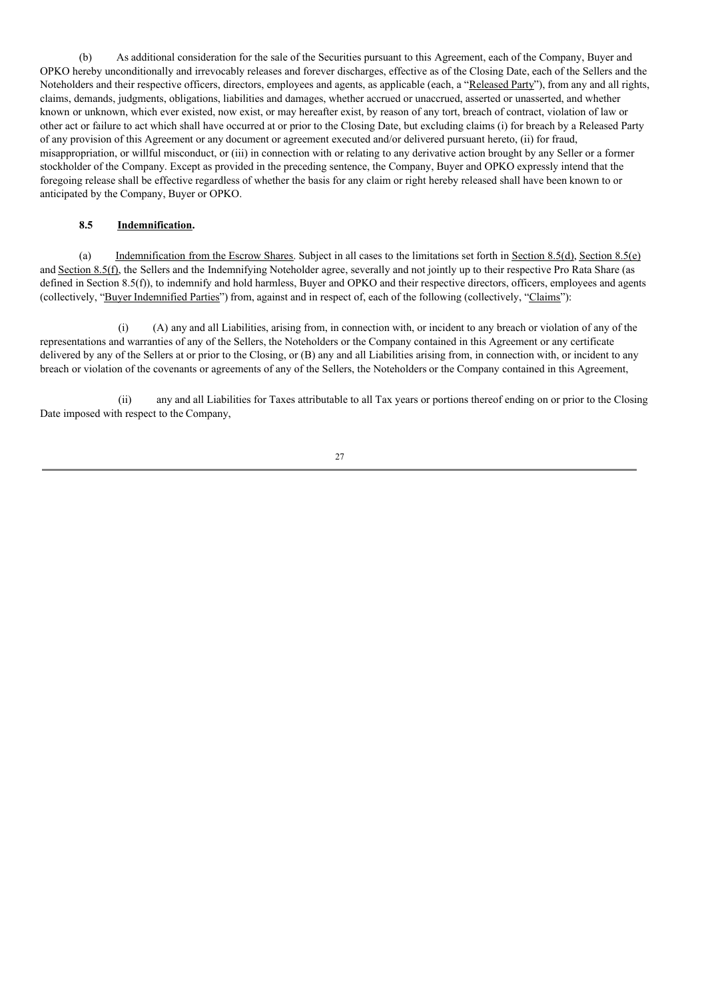(b) As additional consideration for the sale of the Securities pursuant to this Agreement, each of the Company, Buyer and OPKO hereby unconditionally and irrevocably releases and forever discharges, effective as of the Closing Date, each of the Sellers and the Noteholders and their respective officers, directors, employees and agents, as applicable (each, a "Released Party"), from any and all rights, claims, demands, judgments, obligations, liabilities and damages, whether accrued or unaccrued, asserted or unasserted, and whether known or unknown, which ever existed, now exist, or may hereafter exist, by reason of any tort, breach of contract, violation of law or other act or failure to act which shall have occurred at or prior to the Closing Date, but excluding claims (i) for breach by a Released Party of any provision of this Agreement or any document or agreement executed and/or delivered pursuant hereto, (ii) for fraud, misappropriation, or willful misconduct, or (iii) in connection with or relating to any derivative action brought by any Seller or a former stockholder of the Company. Except as provided in the preceding sentence, the Company, Buyer and OPKO expressly intend that the foregoing release shall be effective regardless of whether the basis for any claim or right hereby released shall have been known to or anticipated by the Company, Buyer or OPKO.

## **8.5 Indemnification.**

(a) Indemnification from the Escrow Shares. Subject in all cases to the limitations set forth in Section 8.5(d), Section 8.5(e) and Section 8.5(f), the Sellers and the Indemnifying Noteholder agree, severally and not jointly up to their respective Pro Rata Share (as defined in Section 8.5(f)), to indemnify and hold harmless, Buyer and OPKO and their respective directors, officers, employees and agents (collectively, "Buyer Indemnified Parties") from, against and in respect of, each of the following (collectively, "Claims"):

(i) (A) any and all Liabilities, arising from, in connection with, or incident to any breach or violation of any of the representations and warranties of any of the Sellers, the Noteholders or the Company contained in this Agreement or any certificate delivered by any of the Sellers at or prior to the Closing, or (B) any and all Liabilities arising from, in connection with, or incident to any breach or violation of the covenants or agreements of any of the Sellers, the Noteholders or the Company contained in this Agreement,

(ii) any and all Liabilities for Taxes attributable to all Tax years or portions thereof ending on or prior to the Closing Date imposed with respect to the Company,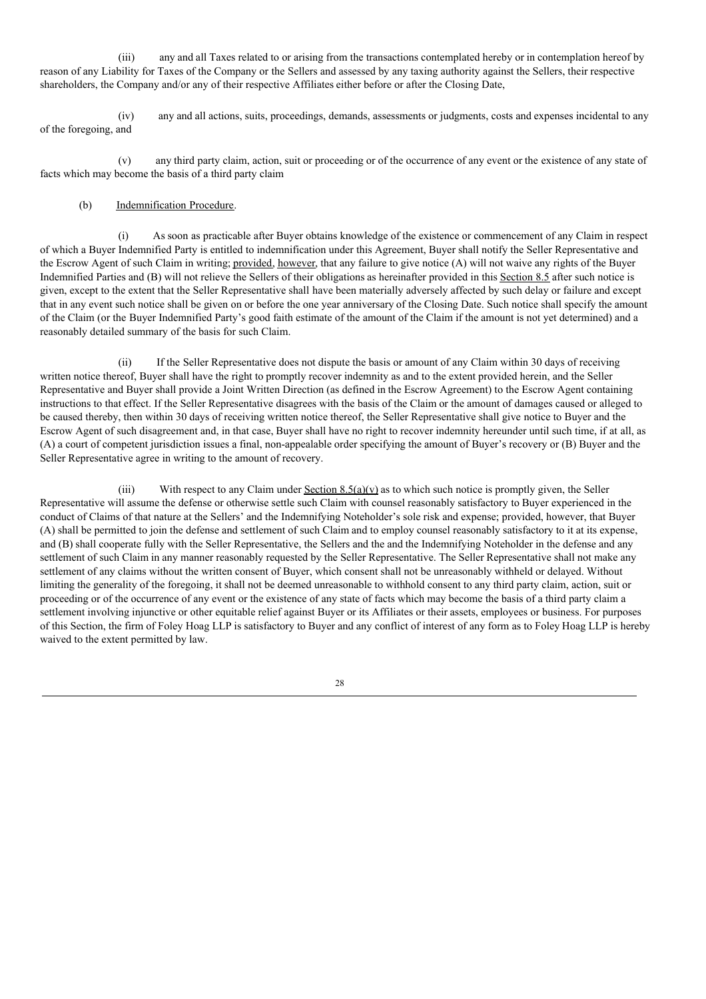(iii) any and all Taxes related to or arising from the transactions contemplated hereby or in contemplation hereof by reason of any Liability for Taxes of the Company or the Sellers and assessed by any taxing authority against the Sellers, their respective shareholders, the Company and/or any of their respective Affiliates either before or after the Closing Date,

(iv) any and all actions, suits, proceedings, demands, assessments or judgments, costs and expenses incidental to any of the foregoing, and

(v) any third party claim, action, suit or proceeding or of the occurrence of any event or the existence of any state of facts which may become the basis of a third party claim

# (b) Indemnification Procedure.

As soon as practicable after Buyer obtains knowledge of the existence or commencement of any Claim in respect of which a Buyer Indemnified Party is entitled to indemnification under this Agreement, Buyer shall notify the Seller Representative and the Escrow Agent of such Claim in writing; provided, however, that any failure to give notice (A) will not waive any rights of the Buyer Indemnified Parties and (B) will not relieve the Sellers of their obligations as hereinafter provided in this Section 8.5 after such notice is given, except to the extent that the Seller Representative shall have been materially adversely affected by such delay or failure and except that in any event such notice shall be given on or before the one year anniversary of the Closing Date. Such notice shall specify the amount of the Claim (or the Buyer Indemnified Party's good faith estimate of the amount of the Claim if the amount is not yet determined) and a reasonably detailed summary of the basis for such Claim.

(ii) If the Seller Representative does not dispute the basis or amount of any Claim within 30 days of receiving written notice thereof, Buyer shall have the right to promptly recover indemnity as and to the extent provided herein, and the Seller Representative and Buyer shall provide a Joint Written Direction (as defined in the Escrow Agreement) to the Escrow Agent containing instructions to that effect. If the Seller Representative disagrees with the basis of the Claim or the amount of damages caused or alleged to be caused thereby, then within 30 days of receiving written notice thereof, the Seller Representative shall give notice to Buyer and the Escrow Agent of such disagreement and, in that case, Buyer shall have no right to recover indemnity hereunder until such time, if at all, as (A) a court of competent jurisdiction issues a final, non-appealable order specifying the amount of Buyer's recovery or (B) Buyer and the Seller Representative agree in writing to the amount of recovery.

(iii) With respect to any Claim under Section  $8.5(a)(v)$  as to which such notice is promptly given, the Seller Representative will assume the defense or otherwise settle such Claim with counsel reasonably satisfactory to Buyer experienced in the conduct of Claims of that nature at the Sellers' and the Indemnifying Noteholder's sole risk and expense; provided, however, that Buyer (A) shall be permitted to join the defense and settlement of such Claim and to employ counsel reasonably satisfactory to it at its expense, and (B) shall cooperate fully with the Seller Representative, the Sellers and the and the Indemnifying Noteholder in the defense and any settlement of such Claim in any manner reasonably requested by the Seller Representative. The Seller Representative shall not make any settlement of any claims without the written consent of Buyer, which consent shall not be unreasonably withheld or delayed. Without limiting the generality of the foregoing, it shall not be deemed unreasonable to withhold consent to any third party claim, action, suit or proceeding or of the occurrence of any event or the existence of any state of facts which may become the basis of a third party claim a settlement involving injunctive or other equitable relief against Buyer or its Affiliates or their assets, employees or business. For purposes of this Section, the firm of Foley Hoag LLP is satisfactory to Buyer and any conflict of interest of any form as to Foley Hoag LLP is hereby waived to the extent permitted by law.

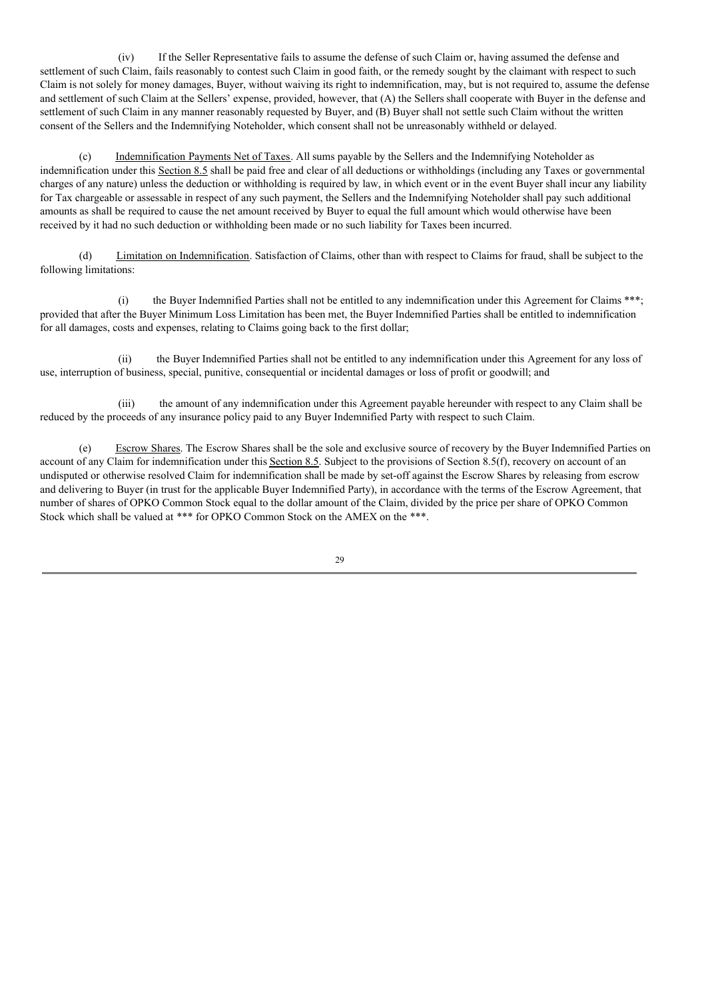(iv) If the Seller Representative fails to assume the defense of such Claim or, having assumed the defense and settlement of such Claim, fails reasonably to contest such Claim in good faith, or the remedy sought by the claimant with respect to such Claim is not solely for money damages, Buyer, without waiving its right to indemnification, may, but is not required to, assume the defense and settlement of such Claim at the Sellers' expense, provided, however, that (A) the Sellers shall cooperate with Buyer in the defense and settlement of such Claim in any manner reasonably requested by Buyer, and (B) Buyer shall not settle such Claim without the written consent of the Sellers and the Indemnifying Noteholder, which consent shall not be unreasonably withheld or delayed.

(c) Indemnification Payments Net of Taxes. All sums payable by the Sellers and the Indemnifying Noteholder as indemnification under this Section 8.5 shall be paid free and clear of all deductions or withholdings (including any Taxes or governmental charges of any nature) unless the deduction or withholding is required by law, in which event or in the event Buyer shall incur any liability for Tax chargeable or assessable in respect of any such payment, the Sellers and the Indemnifying Noteholder shall pay such additional amounts as shall be required to cause the net amount received by Buyer to equal the full amount which would otherwise have been received by it had no such deduction or withholding been made or no such liability for Taxes been incurred.

(d) Limitation on Indemnification. Satisfaction of Claims, other than with respect to Claims for fraud, shall be subject to the following limitations:

(i) the Buyer Indemnified Parties shall not be entitled to any indemnification under this Agreement for Claims \*\*\*; provided that after the Buyer Minimum Loss Limitation has been met, the Buyer Indemnified Parties shall be entitled to indemnification for all damages, costs and expenses, relating to Claims going back to the first dollar;

(ii) the Buyer Indemnified Parties shall not be entitled to any indemnification under this Agreement for any loss of use, interruption of business, special, punitive, consequential or incidental damages or loss of profit or goodwill; and

(iii) the amount of any indemnification under this Agreement payable hereunder with respect to any Claim shall be reduced by the proceeds of any insurance policy paid to any Buyer Indemnified Party with respect to such Claim.

(e) Escrow Shares. The Escrow Shares shall be the sole and exclusive source of recovery by the Buyer Indemnified Parties on account of any Claim for indemnification under this Section 8.5. Subject to the provisions of Section 8.5(f), recovery on account of an undisputed or otherwise resolved Claim for indemnification shall be made by set-off against the Escrow Shares by releasing from escrow and delivering to Buyer (in trust for the applicable Buyer Indemnified Party), in accordance with the terms of the Escrow Agreement, that number of shares of OPKO Common Stock equal to the dollar amount of the Claim, divided by the price per share of OPKO Common Stock which shall be valued at \*\*\* for OPKO Common Stock on the AMEX on the \*\*\*.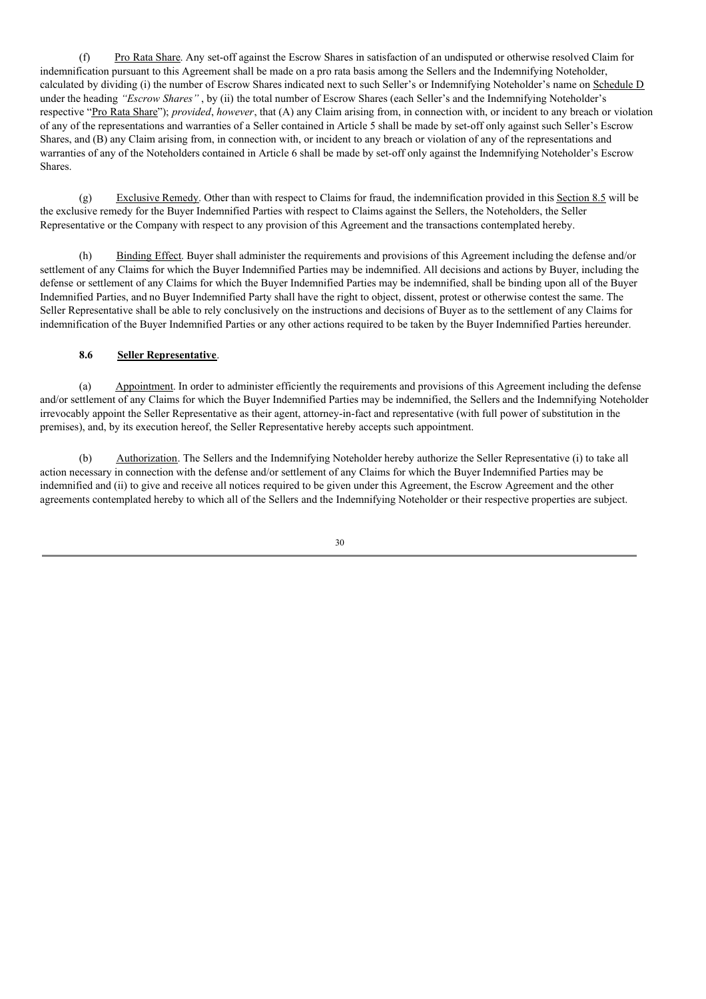(f) Pro Rata Share. Any set-off against the Escrow Shares in satisfaction of an undisputed or otherwise resolved Claim for indemnification pursuant to this Agreement shall be made on a pro rata basis among the Sellers and the Indemnifying Noteholder, calculated by dividing (i) the number of Escrow Shares indicated next to such Seller's or Indemnifying Noteholder's name on Schedule D under the heading *"Escrow Shares"* , by (ii) the total number of Escrow Shares (each Seller's and the Indemnifying Noteholder's respective "Pro Rata Share"); *provided*, *however*, that (A) any Claim arising from, in connection with, or incident to any breach or violation of any of the representations and warranties of a Seller contained in Article 5 shall be made by set-off only against such Seller's Escrow Shares, and (B) any Claim arising from, in connection with, or incident to any breach or violation of any of the representations and warranties of any of the Noteholders contained in Article 6 shall be made by set-off only against the Indemnifying Noteholder's Escrow Shares.

(g) Exclusive Remedy. Other than with respect to Claims for fraud, the indemnification provided in this Section 8.5 will be the exclusive remedy for the Buyer Indemnified Parties with respect to Claims against the Sellers, the Noteholders, the Seller Representative or the Company with respect to any provision of this Agreement and the transactions contemplated hereby.

(h) Binding Effect. Buyer shall administer the requirements and provisions of this Agreement including the defense and/or settlement of any Claims for which the Buyer Indemnified Parties may be indemnified. All decisions and actions by Buyer, including the defense or settlement of any Claims for which the Buyer Indemnified Parties may be indemnified, shall be binding upon all of the Buyer Indemnified Parties, and no Buyer Indemnified Party shall have the right to object, dissent, protest or otherwise contest the same. The Seller Representative shall be able to rely conclusively on the instructions and decisions of Buyer as to the settlement of any Claims for indemnification of the Buyer Indemnified Parties or any other actions required to be taken by the Buyer Indemnified Parties hereunder.

# **8.6 Seller Representative**.

(a) Appointment. In order to administer efficiently the requirements and provisions of this Agreement including the defense and/or settlement of any Claims for which the Buyer Indemnified Parties may be indemnified, the Sellers and the Indemnifying Noteholder irrevocably appoint the Seller Representative as their agent, attorney-in-fact and representative (with full power of substitution in the premises), and, by its execution hereof, the Seller Representative hereby accepts such appointment.

(b) Authorization. The Sellers and the Indemnifying Noteholder hereby authorize the Seller Representative (i) to take all action necessary in connection with the defense and/or settlement of any Claims for which the Buyer Indemnified Parties may be indemnified and (ii) to give and receive all notices required to be given under this Agreement, the Escrow Agreement and the other agreements contemplated hereby to which all of the Sellers and the Indemnifying Noteholder or their respective properties are subject.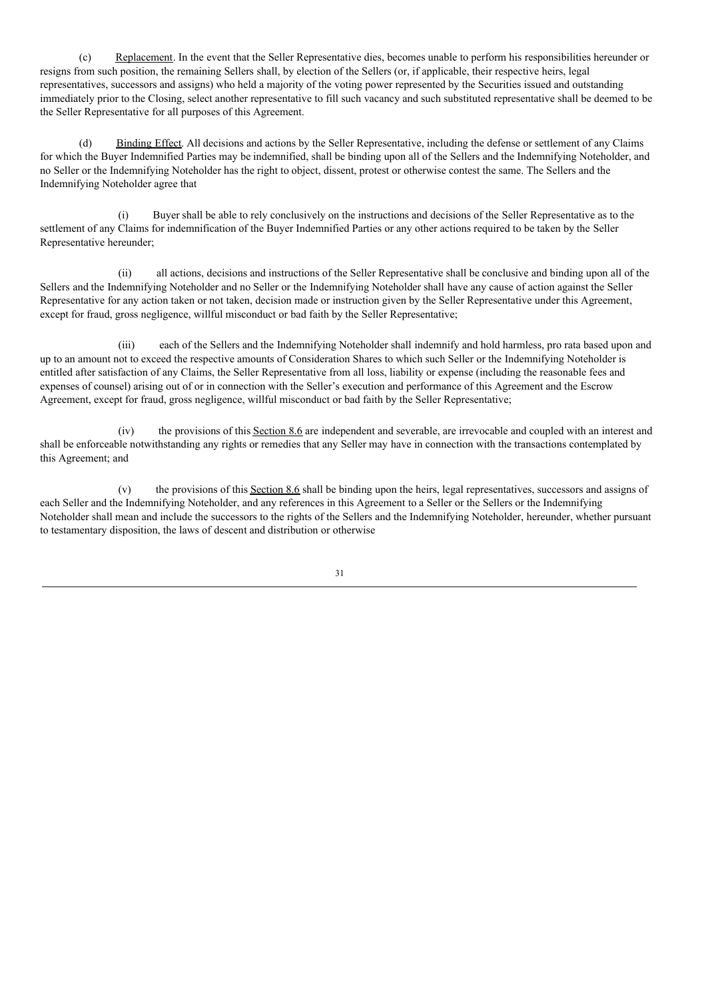(c) Replacement. In the event that the Seller Representative dies, becomes unable to perform his responsibilities hereunder or resigns from such position, the remaining Sellers shall, by election of the Sellers (or, if applicable, their respective heirs, legal representatives, successors and assigns) who held a majority of the voting power represented by the Securities issued and outstanding immediately prior to the Closing, select another representative to fill such vacancy and such substituted representative shall be deemed to be the Seller Representative for all purposes of this Agreement.

(d) Binding Effect. All decisions and actions by the Seller Representative, including the defense or settlement of any Claims for which the Buyer Indemnified Parties may be indemnified, shall be binding upon all of the Sellers and the Indemnifying Noteholder, and no Seller or the Indemnifying Noteholder has the right to object, dissent, protest or otherwise contest the same. The Sellers and the Indemnifying Noteholder agree that

(i) Buyer shall be able to rely conclusively on the instructions and decisions of the Seller Representative as to the settlement of any Claims for indemnification of the Buyer Indemnified Parties or any other actions required to be taken by the Seller Representative hereunder;

(ii) all actions, decisions and instructions of the Seller Representative shall be conclusive and binding upon all of the Sellers and the Indemnifying Noteholder and no Seller or the Indemnifying Noteholder shall have any cause of action against the Seller Representative for any action taken or not taken, decision made or instruction given by the Seller Representative under this Agreement, except for fraud, gross negligence, willful misconduct or bad faith by the Seller Representative;

(iii) each of the Sellers and the Indemnifying Noteholder shall indemnify and hold harmless, pro rata based upon and up to an amount not to exceed the respective amounts of Consideration Shares to which such Seller or the Indemnifying Noteholder is entitled after satisfaction of any Claims, the Seller Representative from all loss, liability or expense (including the reasonable fees and expenses of counsel) arising out of or in connection with the Seller's execution and performance of this Agreement and the Escrow Agreement, except for fraud, gross negligence, willful misconduct or bad faith by the Seller Representative;

(iv) the provisions of this Section 8.6 are independent and severable, are irrevocable and coupled with an interest and shall be enforceable notwithstanding any rights or remedies that any Seller may have in connection with the transactions contemplated by this Agreement; and

(v) the provisions of this Section 8.6 shall be binding upon the heirs, legal representatives, successors and assigns of each Seller and the Indemnifying Noteholder, and any references in this Agreement to a Seller or the Sellers or the Indemnifying Noteholder shall mean and include the successors to the rights of the Sellers and the Indemnifying Noteholder, hereunder, whether pursuant to testamentary disposition, the laws of descent and distribution or otherwise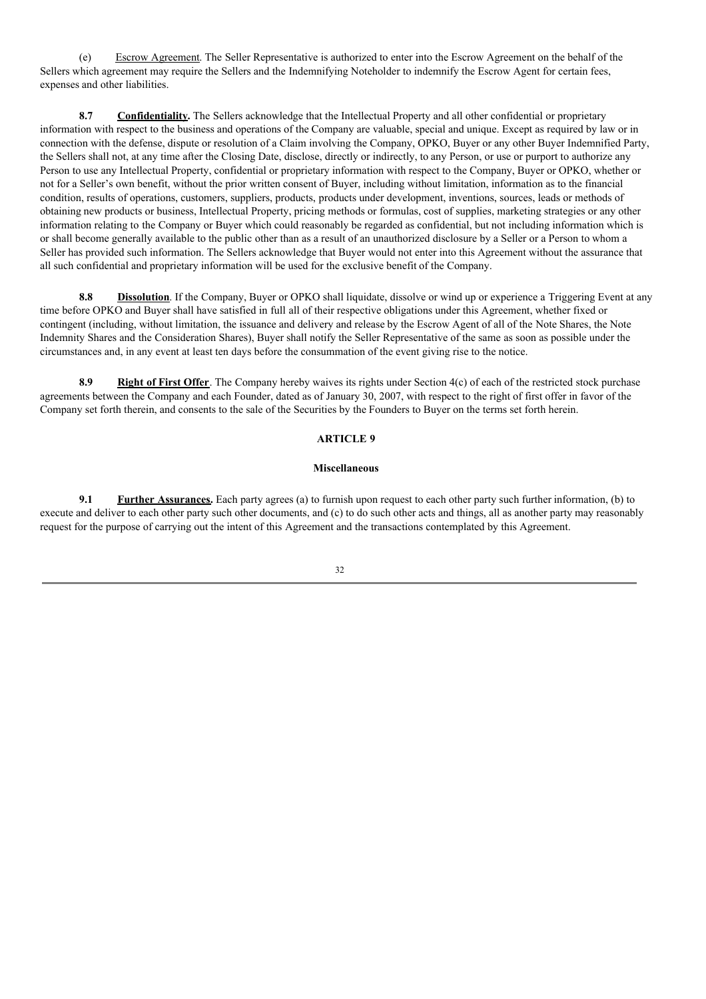(e) Escrow Agreement. The Seller Representative is authorized to enter into the Escrow Agreement on the behalf of the Sellers which agreement may require the Sellers and the Indemnifying Noteholder to indemnify the Escrow Agent for certain fees, expenses and other liabilities.

**8.7 Confidentiality.** The Sellers acknowledge that the Intellectual Property and all other confidential or proprietary information with respect to the business and operations of the Company are valuable, special and unique. Except as required by law or in connection with the defense, dispute or resolution of a Claim involving the Company, OPKO, Buyer or any other Buyer Indemnified Party, the Sellers shall not, at any time after the Closing Date, disclose, directly or indirectly, to any Person, or use or purport to authorize any Person to use any Intellectual Property, confidential or proprietary information with respect to the Company, Buyer or OPKO, whether or not for a Seller's own benefit, without the prior written consent of Buyer, including without limitation, information as to the financial condition, results of operations, customers, suppliers, products, products under development, inventions, sources, leads or methods of obtaining new products or business, Intellectual Property, pricing methods or formulas, cost of supplies, marketing strategies or any other information relating to the Company or Buyer which could reasonably be regarded as confidential, but not including information which is or shall become generally available to the public other than as a result of an unauthorized disclosure by a Seller or a Person to whom a Seller has provided such information. The Sellers acknowledge that Buyer would not enter into this Agreement without the assurance that all such confidential and proprietary information will be used for the exclusive benefit of the Company.

**8.8 Dissolution**. If the Company, Buyer or OPKO shall liquidate, dissolve or wind up or experience a Triggering Event at any time before OPKO and Buyer shall have satisfied in full all of their respective obligations under this Agreement, whether fixed or contingent (including, without limitation, the issuance and delivery and release by the Escrow Agent of all of the Note Shares, the Note Indemnity Shares and the Consideration Shares), Buyer shall notify the Seller Representative of the same as soon as possible under the circumstances and, in any event at least ten days before the consummation of the event giving rise to the notice.

**8.9 Right of First Offer**. The Company hereby waives its rights under Section 4(c) of each of the restricted stock purchase agreements between the Company and each Founder, dated as of January 30, 2007, with respect to the right of first offer in favor of the Company set forth therein, and consents to the sale of the Securities by the Founders to Buyer on the terms set forth herein.

## **ARTICLE 9**

## **Miscellaneous**

**9.1 Further Assurances.** Each party agrees (a) to furnish upon request to each other party such further information, (b) to execute and deliver to each other party such other documents, and (c) to do such other acts and things, all as another party may reasonably request for the purpose of carrying out the intent of this Agreement and the transactions contemplated by this Agreement.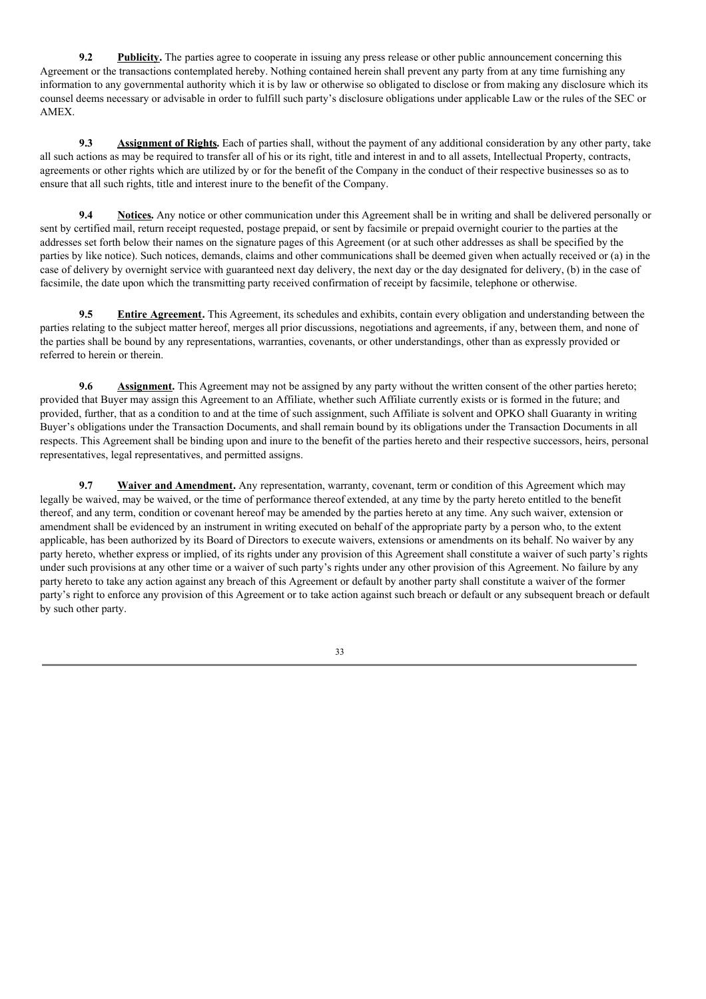**9.2 Publicity.** The parties agree to cooperate in issuing any press release or other public announcement concerning this Agreement or the transactions contemplated hereby. Nothing contained herein shall prevent any party from at any time furnishing any information to any governmental authority which it is by law or otherwise so obligated to disclose or from making any disclosure which its counsel deems necessary or advisable in order to fulfill such party's disclosure obligations under applicable Law or the rules of the SEC or AMEX.

**9.3 Assignment of Rights.** Each of parties shall, without the payment of any additional consideration by any other party, take all such actions as may be required to transfer all of his or its right, title and interest in and to all assets, Intellectual Property, contracts, agreements or other rights which are utilized by or for the benefit of the Company in the conduct of their respective businesses so as to ensure that all such rights, title and interest inure to the benefit of the Company.

**9.4 Notices.** Any notice or other communication under this Agreement shall be in writing and shall be delivered personally or sent by certified mail, return receipt requested, postage prepaid, or sent by facsimile or prepaid overnight courier to the parties at the addresses set forth below their names on the signature pages of this Agreement (or at such other addresses as shall be specified by the parties by like notice). Such notices, demands, claims and other communications shall be deemed given when actually received or (a) in the case of delivery by overnight service with guaranteed next day delivery, the next day or the day designated for delivery, (b) in the case of facsimile, the date upon which the transmitting party received confirmation of receipt by facsimile, telephone or otherwise.

**9.5 Entire Agreement.** This Agreement, its schedules and exhibits, contain every obligation and understanding between the parties relating to the subject matter hereof, merges all prior discussions, negotiations and agreements, if any, between them, and none of the parties shall be bound by any representations, warranties, covenants, or other understandings, other than as expressly provided or referred to herein or therein.

**9.6 Assignment.** This Agreement may not be assigned by any party without the written consent of the other parties hereto; provided that Buyer may assign this Agreement to an Affiliate, whether such Affiliate currently exists or is formed in the future; and provided, further, that as a condition to and at the time of such assignment, such Affiliate is solvent and OPKO shall Guaranty in writing Buyer's obligations under the Transaction Documents, and shall remain bound by its obligations under the Transaction Documents in all respects. This Agreement shall be binding upon and inure to the benefit of the parties hereto and their respective successors, heirs, personal representatives, legal representatives, and permitted assigns.

**9.7 Waiver and Amendment.** Any representation, warranty, covenant, term or condition of this Agreement which may legally be waived, may be waived, or the time of performance thereof extended, at any time by the party hereto entitled to the benefit thereof, and any term, condition or covenant hereof may be amended by the parties hereto at any time. Any such waiver, extension or amendment shall be evidenced by an instrument in writing executed on behalf of the appropriate party by a person who, to the extent applicable, has been authorized by its Board of Directors to execute waivers, extensions or amendments on its behalf. No waiver by any party hereto, whether express or implied, of its rights under any provision of this Agreement shall constitute a waiver of such party's rights under such provisions at any other time or a waiver of such party's rights under any other provision of this Agreement. No failure by any party hereto to take any action against any breach of this Agreement or default by another party shall constitute a waiver of the former party's right to enforce any provision of this Agreement or to take action against such breach or default or any subsequent breach or default by such other party.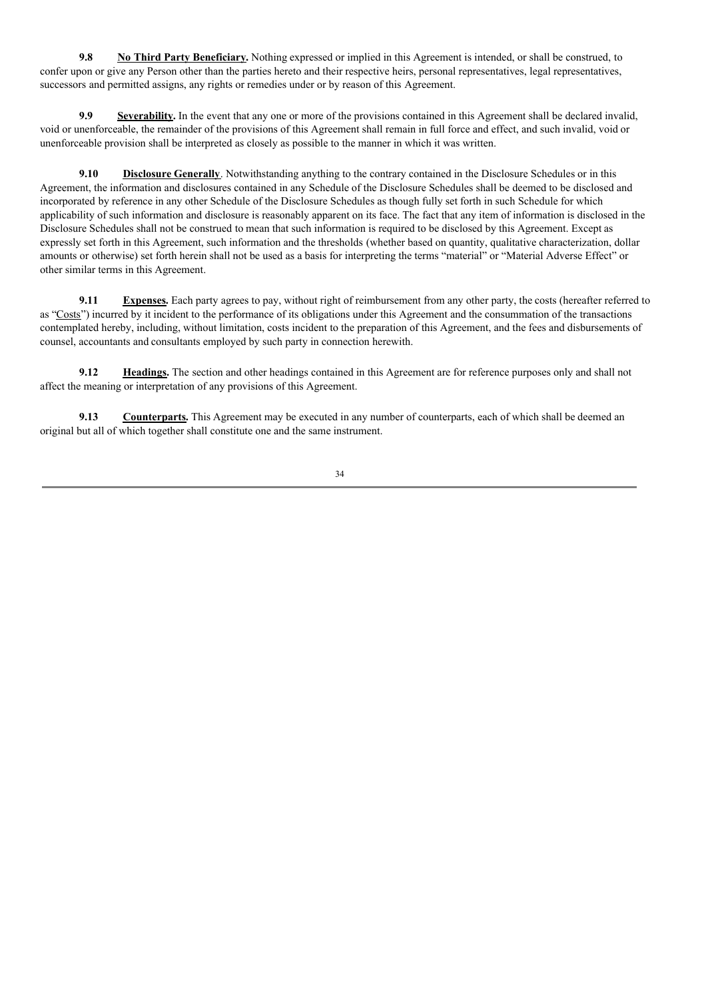**9.8 No Third Party Beneficiary.** Nothing expressed or implied in this Agreement is intended, or shall be construed, to confer upon or give any Person other than the parties hereto and their respective heirs, personal representatives, legal representatives, successors and permitted assigns, any rights or remedies under or by reason of this Agreement.

**9.9 Severability.** In the event that any one or more of the provisions contained in this Agreement shall be declared invalid, void or unenforceable, the remainder of the provisions of this Agreement shall remain in full force and effect, and such invalid, void or unenforceable provision shall be interpreted as closely as possible to the manner in which it was written.

**9.10 Disclosure Generally**. Notwithstanding anything to the contrary contained in the Disclosure Schedules or in this Agreement, the information and disclosures contained in any Schedule of the Disclosure Schedules shall be deemed to be disclosed and incorporated by reference in any other Schedule of the Disclosure Schedules as though fully set forth in such Schedule for which applicability of such information and disclosure is reasonably apparent on its face. The fact that any item of information is disclosed in the Disclosure Schedules shall not be construed to mean that such information is required to be disclosed by this Agreement. Except as expressly set forth in this Agreement, such information and the thresholds (whether based on quantity, qualitative characterization, dollar amounts or otherwise) set forth herein shall not be used as a basis for interpreting the terms "material" or "Material Adverse Effect" or other similar terms in this Agreement.

**9.11 Expenses.** Each party agrees to pay, without right of reimbursement from any other party, the costs (hereafter referred to as "Costs") incurred by it incident to the performance of its obligations under this Agreement and the consummation of the transactions contemplated hereby, including, without limitation, costs incident to the preparation of this Agreement, and the fees and disbursements of counsel, accountants and consultants employed by such party in connection herewith.

**9.12 Headings.** The section and other headings contained in this Agreement are for reference purposes only and shall not affect the meaning or interpretation of any provisions of this Agreement.

**9.13 Counterparts.** This Agreement may be executed in any number of counterparts, each of which shall be deemed an original but all of which together shall constitute one and the same instrument.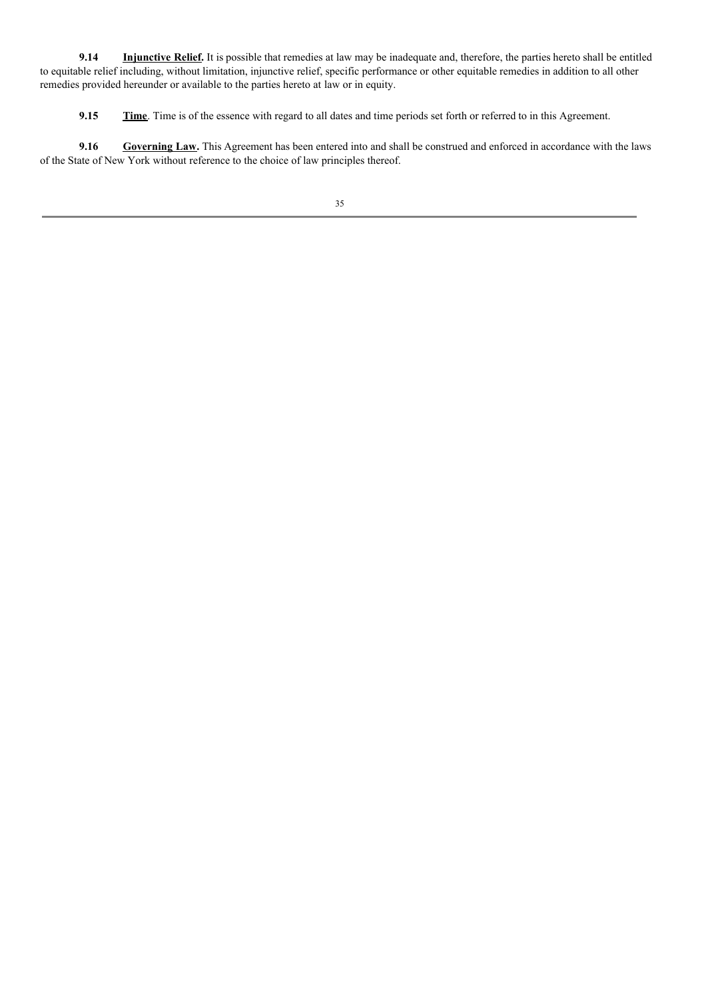**9.14 Injunctive Relief.** It is possible that remedies at law may be inadequate and, therefore, the parties hereto shall be entitled to equitable relief including, without limitation, injunctive relief, specific performance or other equitable remedies in addition to all other remedies provided hereunder or available to the parties hereto at law or in equity.

**9.15 Time**. Time is of the essence with regard to all dates and time periods set forth or referred to in this Agreement.

**9.16 Governing Law.** This Agreement has been entered into and shall be construed and enforced in accordance with the laws of the State of New York without reference to the choice of law principles thereof.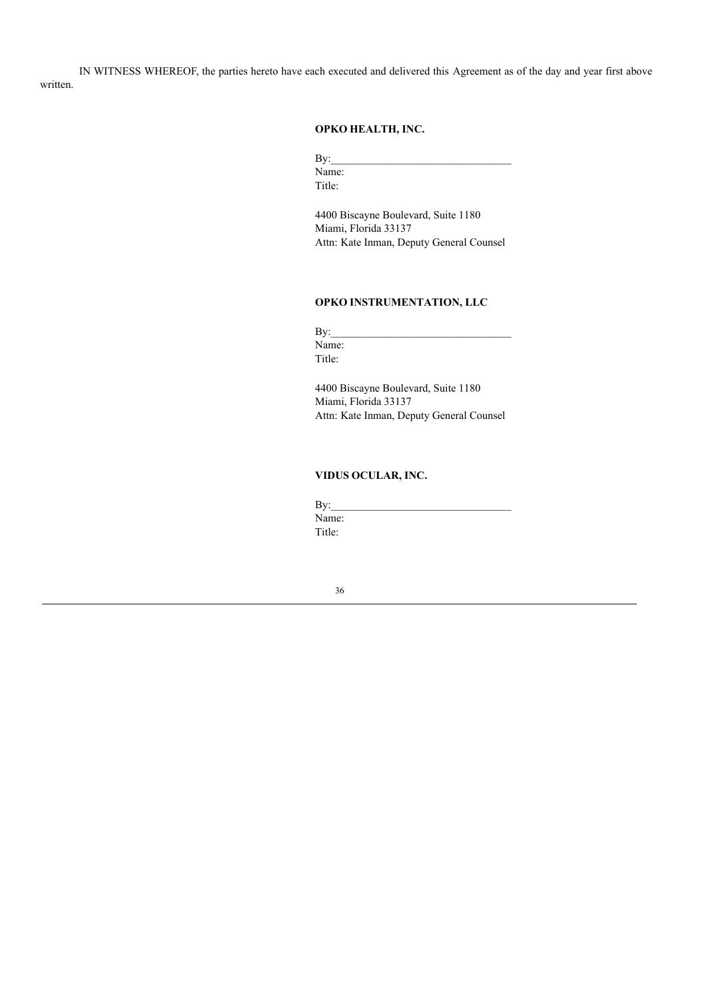IN WITNESS WHEREOF, the parties hereto have each executed and delivered this Agreement as of the day and year first above written.

# **OPKO HEALTH, INC.**

 $By:$ Name: Title:

4400 Biscayne Boulevard, Suite 1180 Miami, Florida 33137 Attn: Kate Inman, Deputy General Counsel

## **OPKO INSTRUMENTATION, LLC**

 $By:$ Name: Title:

4400 Biscayne Boulevard, Suite 1180 Miami, Florida 33137 Attn: Kate Inman, Deputy General Counsel

# **VIDUS OCULAR, INC.**

 $By:$ Name: Title: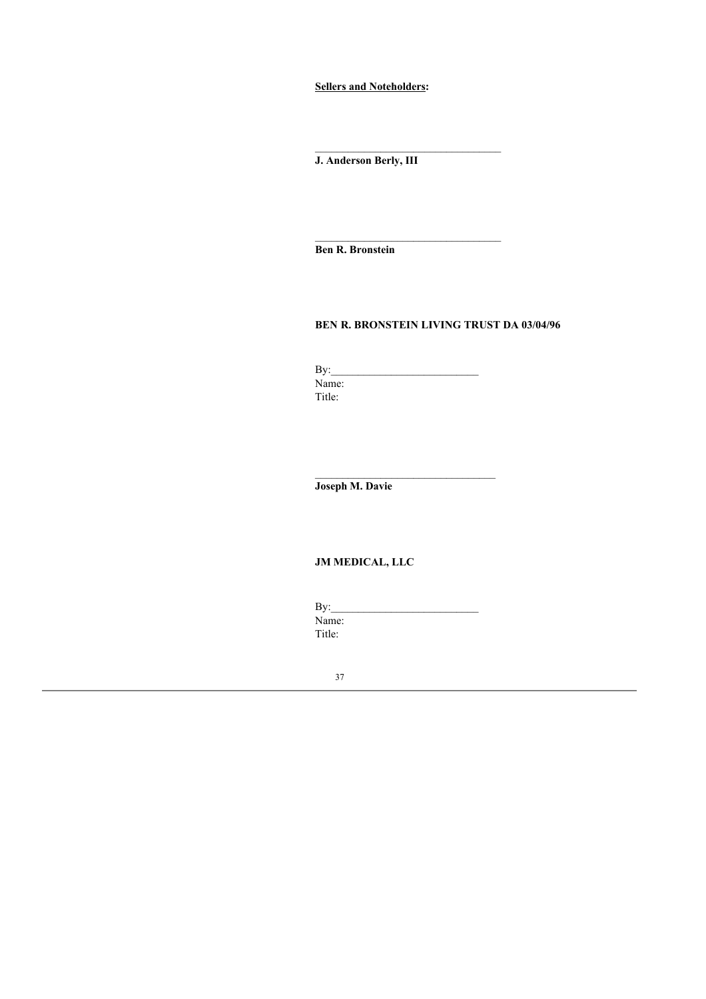**Sellers and Noteholders:**

**J. Anderson Berly, III**

**Ben R. Bronstein**

# **BEN R. BRONSTEIN LIVING TRUST DA 03/04/96**

 $\mathcal{L}_\text{max}$ 

By:\_\_\_\_\_\_\_\_\_\_\_\_\_\_\_\_\_\_\_\_\_\_\_\_\_\_\_ Name: Title:

**Joseph M. Davie**

# **JM MEDICAL, LLC**

| By:    |  |  |
|--------|--|--|
| Name:  |  |  |
| Title: |  |  |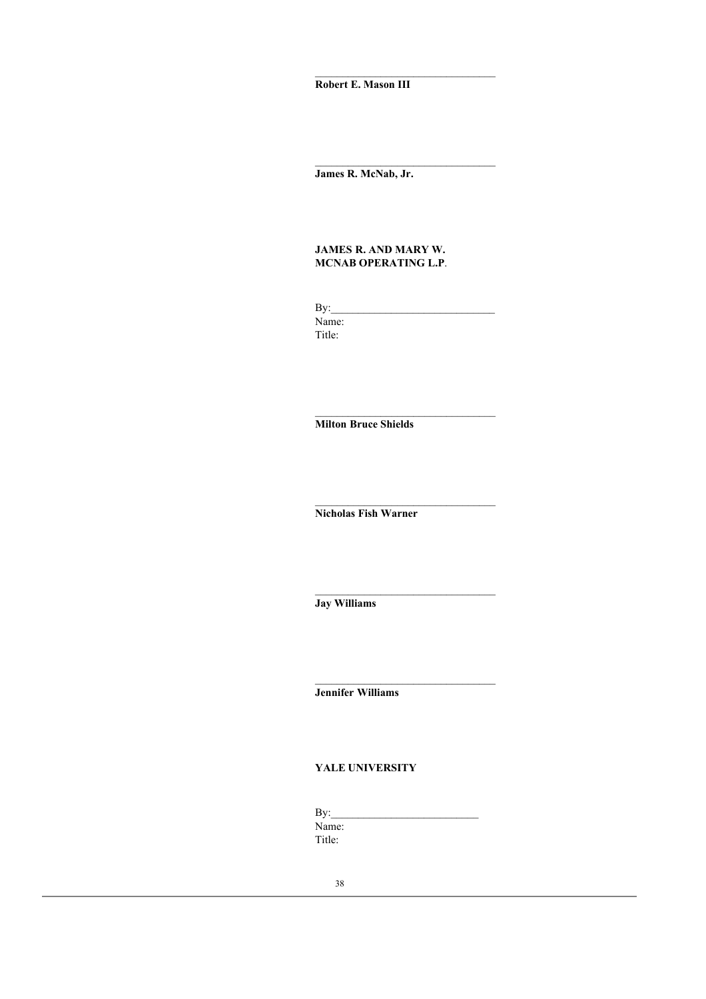**Robert E. Mason III**

**James R. McNab, Jr.**

# **JAMES R. AND MARY W. MCNAB OPERATING L.P**.

 $\mathbf{By:}$ Name: Title:

 $\mathcal{L}_\text{max}$ 

\_\_\_\_\_\_\_\_\_\_\_\_\_\_\_\_\_\_\_\_\_\_\_\_\_\_\_\_\_\_\_\_\_

**Milton Bruce Shields**

**Nicholas Fish Warner**

**Jay Williams**

**Jennifer Williams**

# **YALE UNIVERSITY**

 $By:$ Name: Title: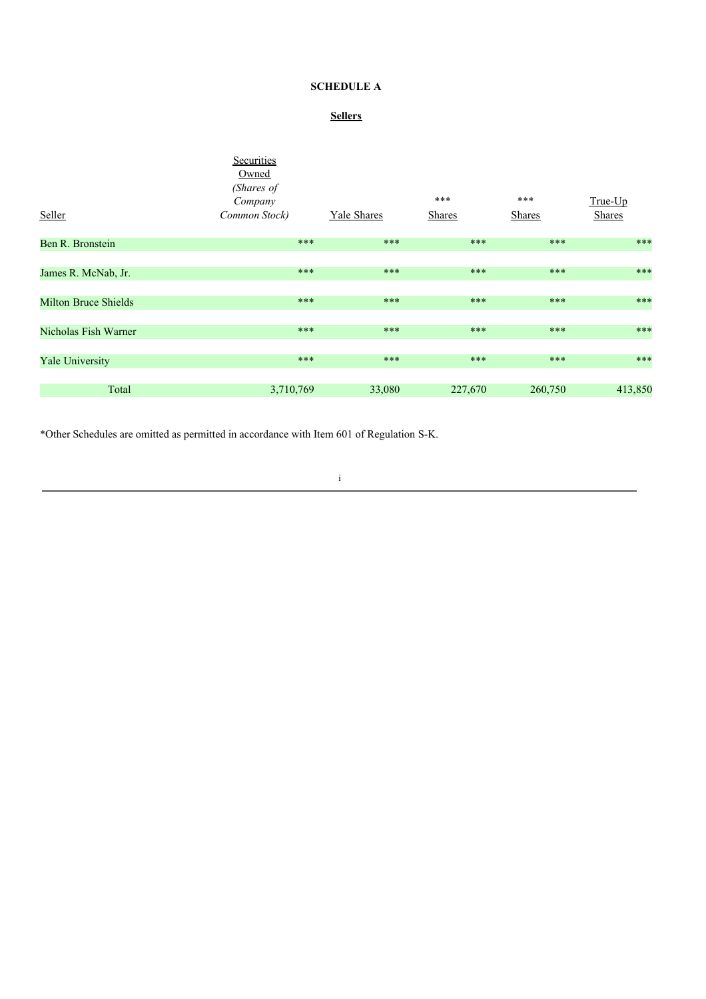# **SCHEDULE A**

# **Sellers**

|                             | Securities<br>Owned<br>(Shares of<br>Company |                    | ***           | ***           | True-Up       |
|-----------------------------|----------------------------------------------|--------------------|---------------|---------------|---------------|
| Seller                      | Common Stock)                                | <b>Yale Shares</b> | <b>Shares</b> | <b>Shares</b> | <b>Shares</b> |
| Ben R. Bronstein            | ***                                          | ***                | ***           | $***$         | ***           |
| James R. McNab, Jr.         | ***                                          | ***                | ***           | ***           | ***           |
| <b>Milton Bruce Shields</b> | ***                                          | ***                | ***           | ***           | ***           |
| Nicholas Fish Warner        | $***$                                        | ***                | $***$         | ***           | $***$         |
| <b>Yale University</b>      | ***                                          | ***                | $***$         | ***           | ***           |
| Total                       | 3,710,769                                    | 33,080             | 227,670       | 260,750       | 413,850       |

\*Other Schedules are omitted as permitted in accordance with Item 601 of Regulation S-K.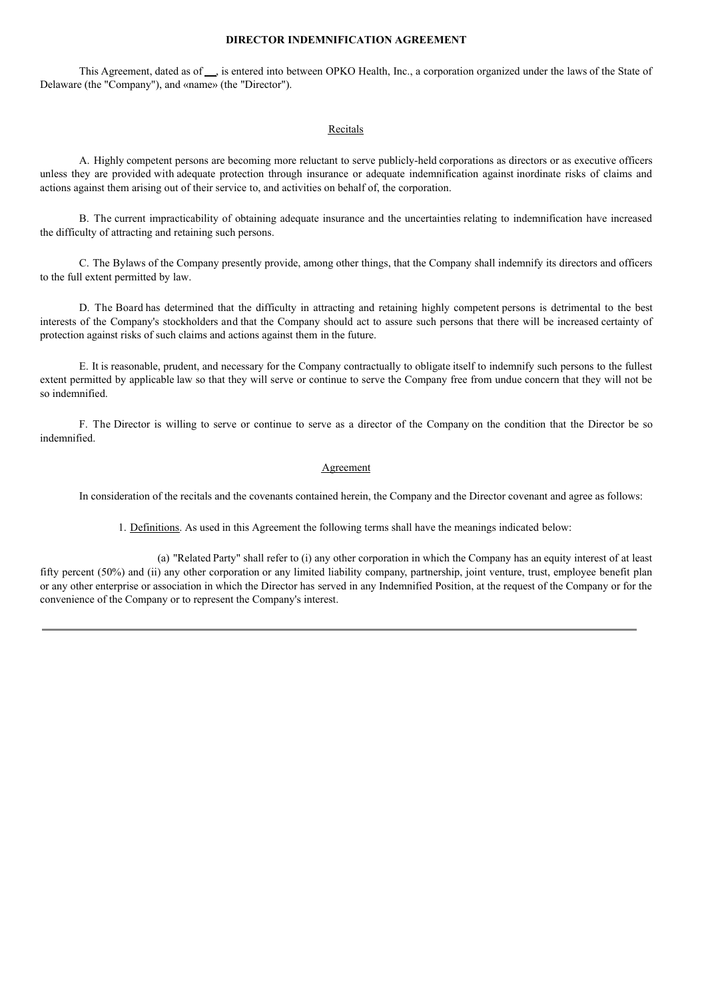## **DIRECTOR INDEMNIFICATION AGREEMENT**

This Agreement, dated as of  $\_\_$  is entered into between OPKO Health, Inc., a corporation organized under the laws of the State of Delaware (the "Company"), and «name» (the "Director").

### Recitals

A. Highly competent persons are becoming more reluctant to serve publicly-held corporations as directors or as executive officers unless they are provided with adequate protection through insurance or adequate indemnification against inordinate risks of claims and actions against them arising out of their service to, and activities on behalf of, the corporation.

B. The current impracticability of obtaining adequate insurance and the uncertainties relating to indemnification have increased the difficulty of attracting and retaining such persons.

C. The Bylaws of the Company presently provide, among other things, that the Company shall indemnify its directors and officers to the full extent permitted by law.

D. The Board has determined that the difficulty in attracting and retaining highly competent persons is detrimental to the best interests of the Company's stockholders and that the Company should act to assure such persons that there will be increased certainty of protection against risks of such claims and actions against them in the future.

E. It is reasonable, prudent, and necessary for the Company contractually to obligate itself to indemnify such persons to the fullest extent permitted by applicable law so that they will serve or continue to serve the Company free from undue concern that they will not be so indemnified.

F. The Director is willing to serve or continue to serve as a director of the Company on the condition that the Director be so indemnified.

#### Agreement

In consideration of the recitals and the covenants contained herein, the Company and the Director covenant and agree as follows:

1. Definitions. As used in this Agreement the following terms shall have the meanings indicated below:

(a) "Related Party" shall refer to (i) any other corporation in which the Company has an equity interest of at least fifty percent (50%) and (ii) any other corporation or any limited liability company, partnership, joint venture, trust, employee benefit plan or any other enterprise or association in which the Director has served in any Indemnified Position, at the request of the Company or for the convenience of the Company or to represent the Company's interest.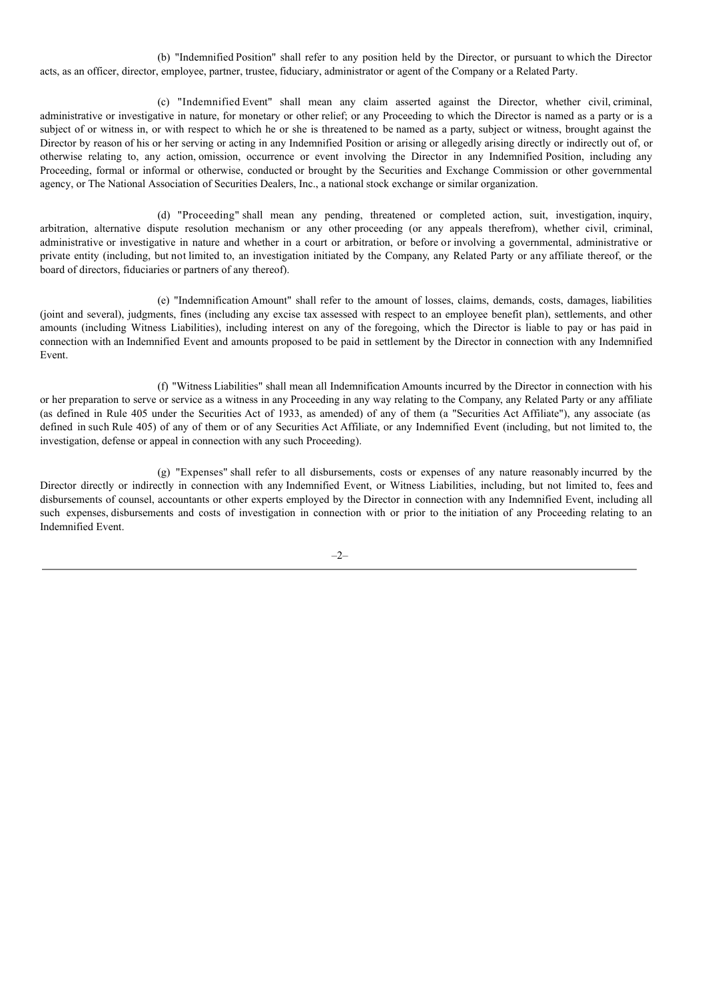(b) "Indemnified Position" shall refer to any position held by the Director, or pursuant to which the Director acts, as an officer, director, employee, partner, trustee, fiduciary, administrator or agent of the Company or a Related Party.

(c) "Indemnified Event" shall mean any claim asserted against the Director, whether civil, criminal, administrative or investigative in nature, for monetary or other relief; or any Proceeding to which the Director is named as a party or is a subject of or witness in, or with respect to which he or she is threatened to be named as a party, subject or witness, brought against the Director by reason of his or her serving or acting in any Indemnified Position or arising or allegedly arising directly or indirectly out of, or otherwise relating to, any action, omission, occurrence or event involving the Director in any Indemnified Position, including any Proceeding, formal or informal or otherwise, conducted or brought by the Securities and Exchange Commission or other governmental agency, or The National Association of Securities Dealers, Inc., a national stock exchange or similar organization.

(d) "Proceeding" shall mean any pending, threatened or completed action, suit, investigation, inquiry, arbitration, alternative dispute resolution mechanism or any other proceeding (or any appeals therefrom), whether civil, criminal, administrative or investigative in nature and whether in a court or arbitration, or before or involving a governmental, administrative or private entity (including, but not limited to, an investigation initiated by the Company, any Related Party or any affiliate thereof, or the board of directors, fiduciaries or partners of any thereof).

(e) "Indemnification Amount" shall refer to the amount of losses, claims, demands, costs, damages, liabilities (joint and several), judgments, fines (including any excise tax assessed with respect to an employee benefit plan), settlements, and other amounts (including Witness Liabilities), including interest on any of the foregoing, which the Director is liable to pay or has paid in connection with an Indemnified Event and amounts proposed to be paid in settlement by the Director in connection with any Indemnified Event.

(f) "Witness Liabilities" shall mean all Indemnification Amounts incurred by the Director in connection with his or her preparation to serve or service as a witness in any Proceeding in any way relating to the Company, any Related Party or any affiliate (as defined in Rule 405 under the Securities Act of 1933, as amended) of any of them (a "Securities Act Affiliate"), any associate (as defined in such Rule 405) of any of them or of any Securities Act Affiliate, or any Indemnified Event (including, but not limited to, the investigation, defense or appeal in connection with any such Proceeding).

(g) "Expenses" shall refer to all disbursements, costs or expenses of any nature reasonably incurred by the Director directly or indirectly in connection with any Indemnified Event, or Witness Liabilities, including, but not limited to, fees and disbursements of counsel, accountants or other experts employed by the Director in connection with any Indemnified Event, including all such expenses, disbursements and costs of investigation in connection with or prior to the initiation of any Proceeding relating to an Indemnified Event.

 $-2-$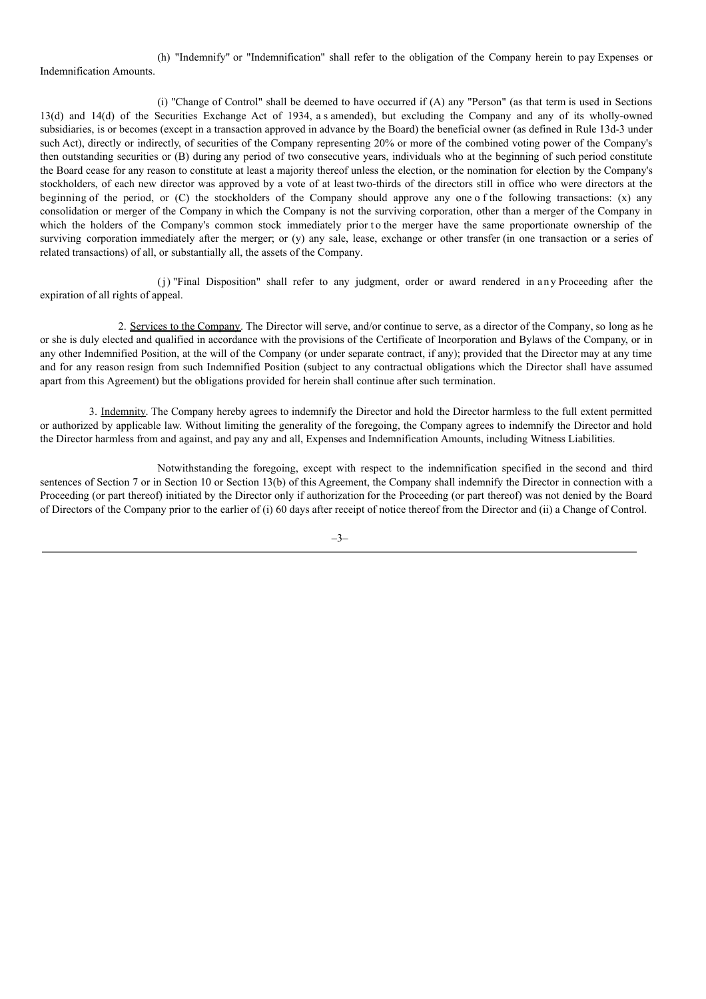(h) "Indemnify" or "Indemnification" shall refer to the obligation of the Company herein to pay Expenses or Indemnification Amounts.

(i) "Change of Control" shall be deemed to have occurred if (A) any "Person" (as that term is used in Sections 13(d) and 14(d) of the Securities Exchange Act of 1934, a s amended), but excluding the Company and any of its wholly-owned subsidiaries, is or becomes (except in a transaction approved in advance by the Board) the beneficial owner (as defined in Rule 13d-3 under such Act), directly or indirectly, of securities of the Company representing 20% or more of the combined voting power of the Company's then outstanding securities or (B) during any period of two consecutive years, individuals who at the beginning of such period constitute the Board cease for any reason to constitute at least a majority thereof unless the election, or the nomination for election by the Company's stockholders, of each new director was approved by a vote of at least two-thirds of the directors still in office who were directors at the beginning of the period, or (C) the stockholders of the Company should approve any one o f the following transactions: (x) any consolidation or merger of the Company in which the Company is not the surviving corporation, other than a merger of the Company in which the holders of the Company's common stock immediately prior to the merger have the same proportionate ownership of the surviving corporation immediately after the merger; or (y) any sale, lease, exchange or other transfer (in one transaction or a series of related transactions) of all, or substantially all, the assets of the Company.

(j) "Final Disposition" shall refer to any judgment, order or award rendered in any Proceeding after the expiration of all rights of appeal.

2. Services to the Company. The Director will serve, and/or continue to serve, as a director of the Company, so long as he or she is duly elected and qualified in accordance with the provisions of the Certificate of Incorporation and Bylaws of the Company, or in any other Indemnified Position, at the will of the Company (or under separate contract, if any); provided that the Director may at any time and for any reason resign from such Indemnified Position (subject to any contractual obligations which the Director shall have assumed apart from this Agreement) but the obligations provided for herein shall continue after such termination.

3. Indemnity. The Company hereby agrees to indemnify the Director and hold the Director harmless to the full extent permitted or authorized by applicable law. Without limiting the generality of the foregoing, the Company agrees to indemnify the Director and hold the Director harmless from and against, and pay any and all, Expenses and Indemnification Amounts, including Witness Liabilities.

Notwithstanding the foregoing, except with respect to the indemnification specified in the second and third sentences of Section 7 or in Section 10 or Section 13(b) of this Agreement, the Company shall indemnify the Director in connection with a Proceeding (or part thereof) initiated by the Director only if authorization for the Proceeding (or part thereof) was not denied by the Board of Directors of the Company prior to the earlier of (i) 60 days after receipt of notice thereof from the Director and (ii) a Change of Control.

–3–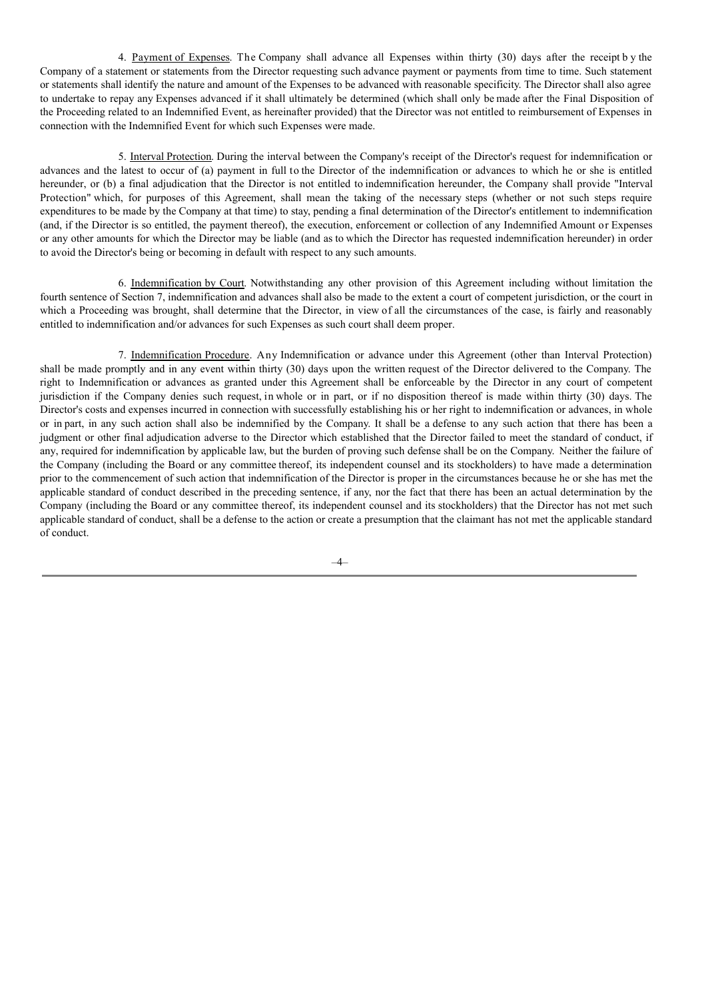4. Payment of Expenses. The Company shall advance all Expenses within thirty (30) days after the receipt b y the Company of a statement or statements from the Director requesting such advance payment or payments from time to time. Such statement or statements shall identify the nature and amount of the Expenses to be advanced with reasonable specificity. The Director shall also agree to undertake to repay any Expenses advanced if it shall ultimately be determined (which shall only be made after the Final Disposition of the Proceeding related to an Indemnified Event, as hereinafter provided) that the Director was not entitled to reimbursement of Expenses in connection with the Indemnified Event for which such Expenses were made.

5. Interval Protection. During the interval between the Company's receipt of the Director's request for indemnification or advances and the latest to occur of (a) payment in full to the Director of the indemnification or advances to which he or she is entitled hereunder, or (b) a final adjudication that the Director is not entitled to indemnification hereunder, the Company shall provide "Interval Protection" which, for purposes of this Agreement, shall mean the taking of the necessary steps (whether or not such steps require expenditures to be made by the Company at that time) to stay, pending a final determination of the Director's entitlement to indemnification (and, if the Director is so entitled, the payment thereof), the execution, enforcement or collection of any Indemnified Amount or Expenses or any other amounts for which the Director may be liable (and as to which the Director has requested indemnification hereunder) in order to avoid the Director's being or becoming in default with respect to any such amounts.

6. Indemnification by Court. Notwithstanding any other provision of this Agreement including without limitation the fourth sentence of Section 7, indemnification and advances shall also be made to the extent a court of competent jurisdiction, or the court in which a Proceeding was brought, shall determine that the Director, in view of all the circumstances of the case, is fairly and reasonably entitled to indemnification and/or advances for such Expenses as such court shall deem proper.

7. Indemnification Procedure. Any Indemnification or advance under this Agreement (other than Interval Protection) shall be made promptly and in any event within thirty (30) days upon the written request of the Director delivered to the Company. The right to Indemnification or advances as granted under this Agreement shall be enforceable by the Director in any court of competent jurisdiction if the Company denies such request, in whole or in part, or if no disposition thereof is made within thirty (30) days. The Director's costs and expenses incurred in connection with successfully establishing his or her right to indemnification or advances, in whole or in part, in any such action shall also be indemnified by the Company. It shall be a defense to any such action that there has been a judgment or other final adjudication adverse to the Director which established that the Director failed to meet the standard of conduct, if any, required for indemnification by applicable law, but the burden of proving such defense shall be on the Company. Neither the failure of the Company (including the Board or any committee thereof, its independent counsel and its stockholders) to have made a determination prior to the commencement of such action that indemnification of the Director is proper in the circumstances because he or she has met the applicable standard of conduct described in the preceding sentence, if any, nor the fact that there has been an actual determination by the Company (including the Board or any committee thereof, its independent counsel and its stockholders) that the Director has not met such applicable standard of conduct, shall be a defense to the action or create a presumption that the claimant has not met the applicable standard of conduct.

–4–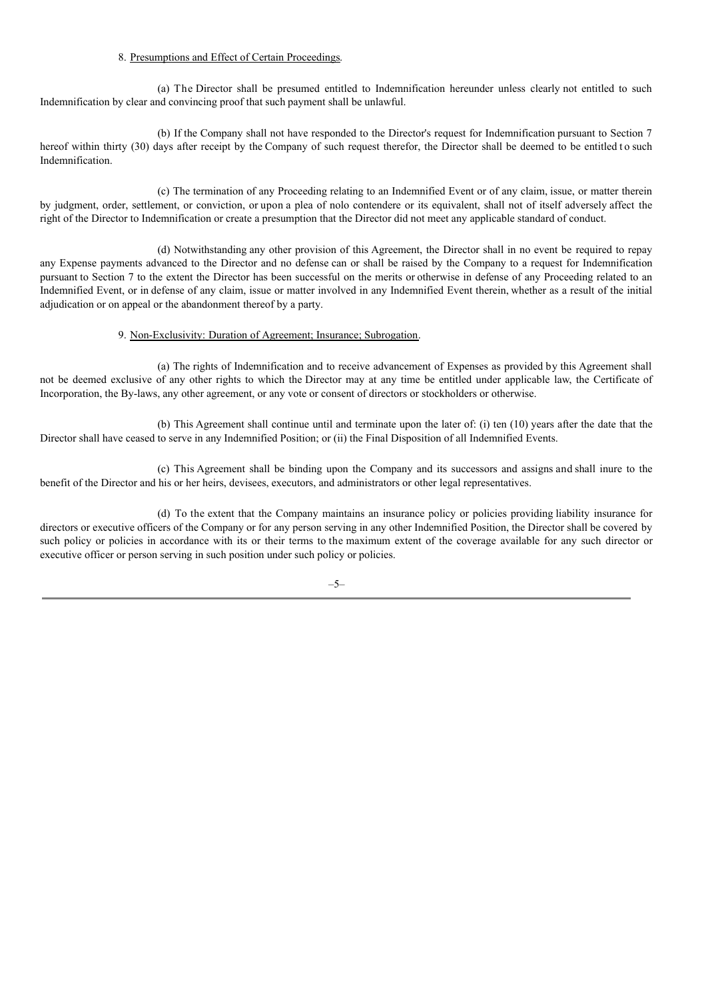## 8. Presumptions and Effect of Certain Proceedings.

(a) The Director shall be presumed entitled to Indemnification hereunder unless clearly not entitled to such Indemnification by clear and convincing proof that such payment shall be unlawful.

(b) If the Company shall not have responded to the Director's request for Indemnification pursuant to Section 7 hereof within thirty (30) days after receipt by the Company of such request therefor, the Director shall be deemed to be entitled to such Indemnification.

(c) The termination of any Proceeding relating to an Indemnified Event or of any claim, issue, or matter therein by judgment, order, settlement, or conviction, or upon a plea of nolo contendere or its equivalent, shall not of itself adversely affect the right of the Director to Indemnification or create a presumption that the Director did not meet any applicable standard of conduct.

(d) Notwithstanding any other provision of this Agreement, the Director shall in no event be required to repay any Expense payments advanced to the Director and no defense can or shall be raised by the Company to a request for Indemnification pursuant to Section 7 to the extent the Director has been successful on the merits or otherwise in defense of any Proceeding related to an Indemnified Event, or in defense of any claim, issue or matter involved in any Indemnified Event therein, whether as a result of the initial adjudication or on appeal or the abandonment thereof by a party.

## 9. Non-Exclusivity: Duration of Agreement; Insurance; Subrogation.

(a) The rights of Indemnification and to receive advancement of Expenses as provided by this Agreement shall not be deemed exclusive of any other rights to which the Director may at any time be entitled under applicable law, the Certificate of Incorporation, the By-laws, any other agreement, or any vote or consent of directors or stockholders or otherwise.

(b) This Agreement shall continue until and terminate upon the later of: (i) ten (10) years after the date that the Director shall have ceased to serve in any Indemnified Position; or (ii) the Final Disposition of all Indemnified Events.

(c) This Agreement shall be binding upon the Company and its successors and assigns and shall inure to the benefit of the Director and his or her heirs, devisees, executors, and administrators or other legal representatives.

(d) To the extent that the Company maintains an insurance policy or policies providing liability insurance for directors or executive officers of the Company or for any person serving in any other Indemnified Position, the Director shall be covered by such policy or policies in accordance with its or their terms to the maximum extent of the coverage available for any such director or executive officer or person serving in such position under such policy or policies.

–5–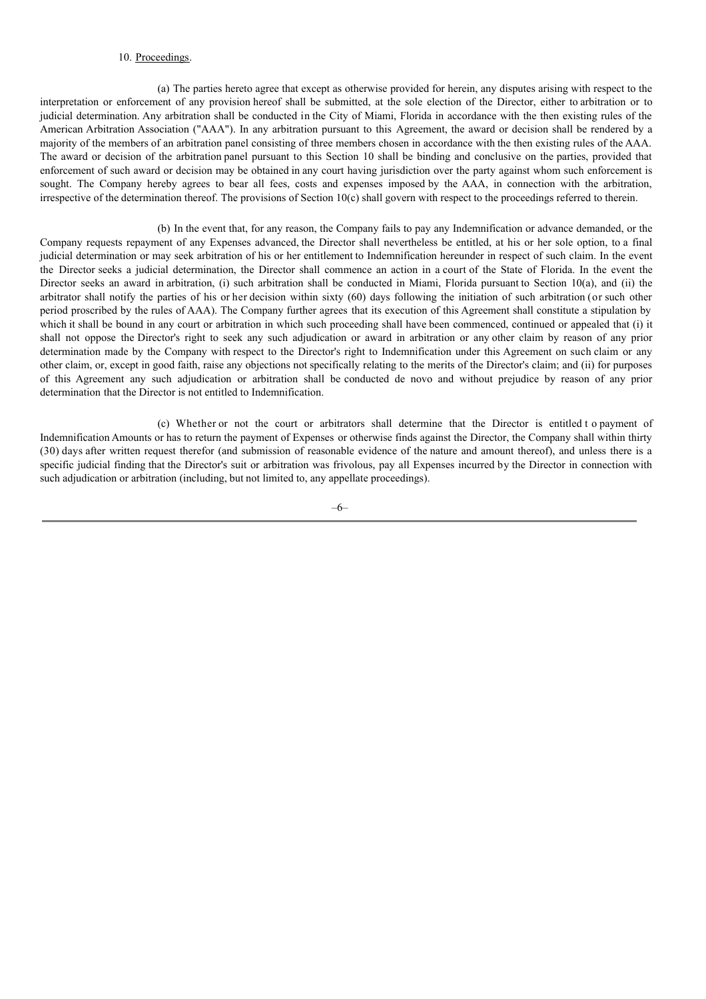# 10. Proceedings.

(a) The parties hereto agree that except as otherwise provided for herein, any disputes arising with respect to the interpretation or enforcement of any provision hereof shall be submitted, at the sole election of the Director, either to arbitration or to judicial determination. Any arbitration shall be conducted in the City of Miami, Florida in accordance with the then existing rules of the American Arbitration Association ("AAA"). In any arbitration pursuant to this Agreement, the award or decision shall be rendered by a majority of the members of an arbitration panel consisting of three members chosen in accordance with the then existing rules of the AAA. The award or decision of the arbitration panel pursuant to this Section 10 shall be binding and conclusive on the parties, provided that enforcement of such award or decision may be obtained in any court having jurisdiction over the party against whom such enforcement is sought. The Company hereby agrees to bear all fees, costs and expenses imposed by the AAA, in connection with the arbitration, irrespective of the determination thereof. The provisions of Section 10(c) shall govern with respect to the proceedings referred to therein.

(b) In the event that, for any reason, the Company fails to pay any Indemnification or advance demanded, or the Company requests repayment of any Expenses advanced, the Director shall nevertheless be entitled, at his or her sole option, to a final judicial determination or may seek arbitration of his or her entitlement to Indemnification hereunder in respect of such claim. In the event the Director seeks a judicial determination, the Director shall commence an action in a court of the State of Florida. In the event the Director seeks an award in arbitration, (i) such arbitration shall be conducted in Miami, Florida pursuant to Section 10(a), and (ii) the arbitrator shall notify the parties of his or her decision within sixty (60) days following the initiation of such arbitration (or such other period proscribed by the rules of AAA). The Company further agrees that its execution of this Agreement shall constitute a stipulation by which it shall be bound in any court or arbitration in which such proceeding shall have been commenced, continued or appealed that (i) it shall not oppose the Director's right to seek any such adjudication or award in arbitration or any other claim by reason of any prior determination made by the Company with respect to the Director's right to Indemnification under this Agreement on such claim or any other claim, or, except in good faith, raise any objections not specifically relating to the merits of the Director's claim; and (ii) for purposes of this Agreement any such adjudication or arbitration shall be conducted de novo and without prejudice by reason of any prior determination that the Director is not entitled to Indemnification.

(c) Whether or not the court or arbitrators shall determine that the Director is entitled t o payment of Indemnification Amounts or has to return the payment of Expenses or otherwise finds against the Director, the Company shall within thirty (30) days after written request therefor (and submission of reasonable evidence of the nature and amount thereof), and unless there is a specific judicial finding that the Director's suit or arbitration was frivolous, pay all Expenses incurred by the Director in connection with such adjudication or arbitration (including, but not limited to, any appellate proceedings).

–6–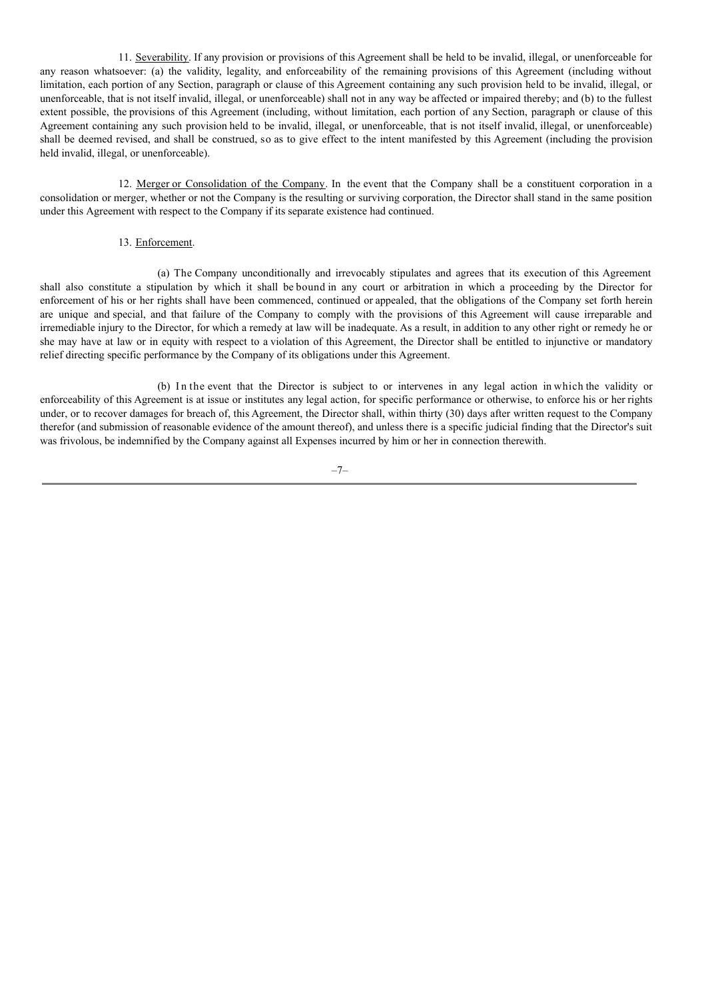11. Severability. If any provision or provisions of this Agreement shall be held to be invalid, illegal, or unenforceable for any reason whatsoever: (a) the validity, legality, and enforceability of the remaining provisions of this Agreement (including without limitation, each portion of any Section, paragraph or clause of this Agreement containing any such provision held to be invalid, illegal, or unenforceable, that is not itself invalid, illegal, or unenforceable) shall not in any way be affected or impaired thereby; and (b) to the fullest extent possible, the provisions of this Agreement (including, without limitation, each portion of any Section, paragraph or clause of this Agreement containing any such provision held to be invalid, illegal, or unenforceable, that is not itself invalid, illegal, or unenforceable) shall be deemed revised, and shall be construed, so as to give effect to the intent manifested by this Agreement (including the provision held invalid, illegal, or unenforceable).

12. Merger or Consolidation of the Company. In the event that the Company shall be a constituent corporation in a consolidation or merger, whether or not the Company is the resulting or surviving corporation, the Director shall stand in the same position under this Agreement with respect to the Company if its separate existence had continued.

## 13. Enforcement.

(a) The Company unconditionally and irrevocably stipulates and agrees that its execution of this Agreement shall also constitute a stipulation by which it shall be bound in any court or arbitration in which a proceeding by the Director for enforcement of his or her rights shall have been commenced, continued or appealed, that the obligations of the Company set forth herein are unique and special, and that failure of the Company to comply with the provisions of this Agreement will cause irreparable and irremediable injury to the Director, for which a remedy at law will be inadequate. As a result, in addition to any other right or remedy he or she may have at law or in equity with respect to a violation of this Agreement, the Director shall be entitled to injunctive or mandatory relief directing specific performance by the Company of its obligations under this Agreement.

(b) In the event that the Director is subject to or intervenes in any legal action in which the validity or enforceability of this Agreement is at issue or institutes any legal action, for specific performance or otherwise, to enforce his or her rights under, or to recover damages for breach of, this Agreement, the Director shall, within thirty (30) days after written request to the Company therefor (and submission of reasonable evidence of the amount thereof), and unless there is a specific judicial finding that the Director's suit was frivolous, be indemnified by the Company against all Expenses incurred by him or her in connection therewith.

–7–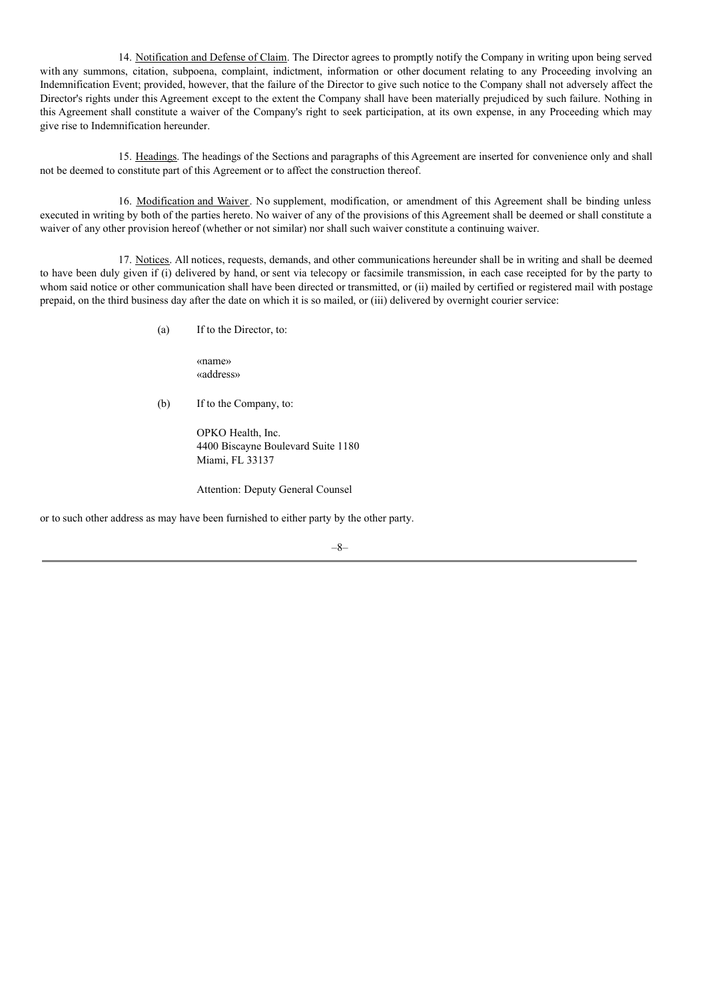14. Notification and Defense of Claim. The Director agrees to promptly notify the Company in writing upon being served with any summons, citation, subpoena, complaint, indictment, information or other document relating to any Proceeding involving an Indemnification Event; provided, however, that the failure of the Director to give such notice to the Company shall not adversely affect the Director's rights under this Agreement except to the extent the Company shall have been materially prejudiced by such failure. Nothing in this Agreement shall constitute a waiver of the Company's right to seek participation, at its own expense, in any Proceeding which may give rise to Indemnification hereunder.

15. Headings. The headings of the Sections and paragraphs of this Agreement are inserted for convenience only and shall not be deemed to constitute part of this Agreement or to affect the construction thereof.

16. Modification and Waiver. No supplement, modification, or amendment of this Agreement shall be binding unless executed in writing by both of the parties hereto. No waiver of any of the provisions of this Agreement shall be deemed or shall constitute a waiver of any other provision hereof (whether or not similar) nor shall such waiver constitute a continuing waiver.

17. Notices. All notices, requests, demands, and other communications hereunder shall be in writing and shall be deemed to have been duly given if (i) delivered by hand, or sent via telecopy or facsimile transmission, in each case receipted for by the party to whom said notice or other communication shall have been directed or transmitted, or (ii) mailed by certified or registered mail with postage prepaid, on the third business day after the date on which it is so mailed, or (iii) delivered by overnight courier service:

(a) If to the Director, to:

«name» «address»

(b) If to the Company, to:

OPKO Health, Inc. 4400 Biscayne Boulevard Suite 1180 Miami, FL 33137

Attention: Deputy General Counsel

or to such other address as may have been furnished to either party by the other party.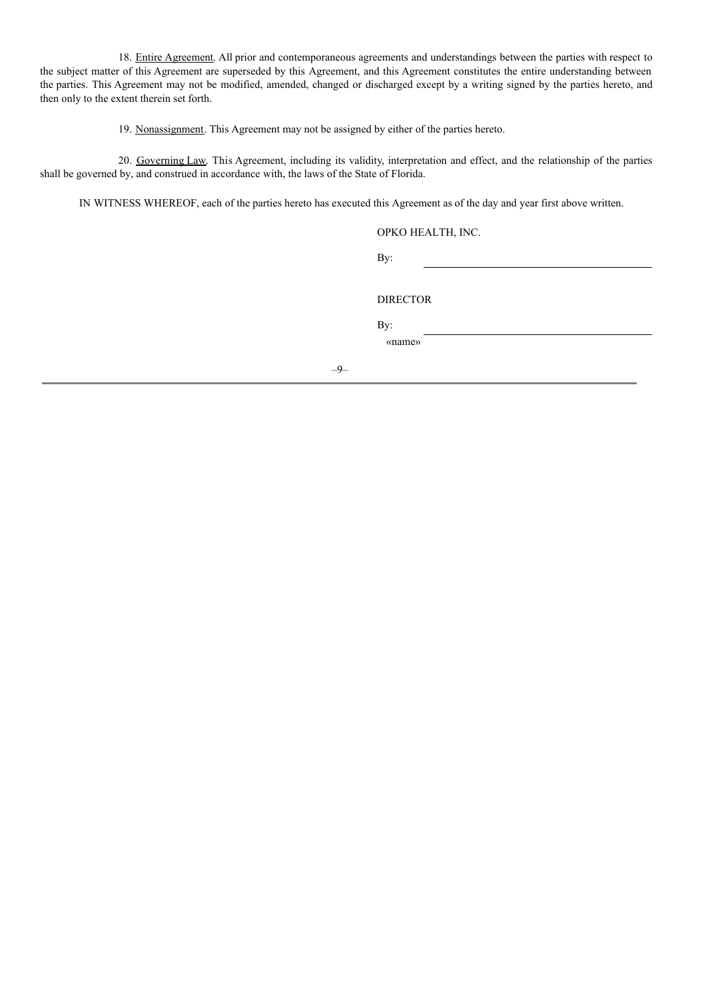18. Entire Agreement. All prior and contemporaneous agreements and understandings between the parties with respect to the subject matter of this Agreement are superseded by this Agreement, and this Agreement constitutes the entire understanding between the parties. This Agreement may not be modified, amended, changed or discharged except by a writing signed by the parties hereto, and then only to the extent therein set forth.

19. Nonassignment. This Agreement may not be assigned by either of the parties hereto.

20. Governing Law. This Agreement, including its validity, interpretation and effect, and the relationship of the parties shall be governed by, and construed in accordance with, the laws of the State of Florida.

IN WITNESS WHEREOF, each of the parties hereto has executed this Agreement as of the day and year first above written.

–9–

| OPKO HEALTH, INC. |
|-------------------|
| By:               |
|                   |
| <b>DIRECTOR</b>   |
| By:               |
| «name»            |
|                   |
|                   |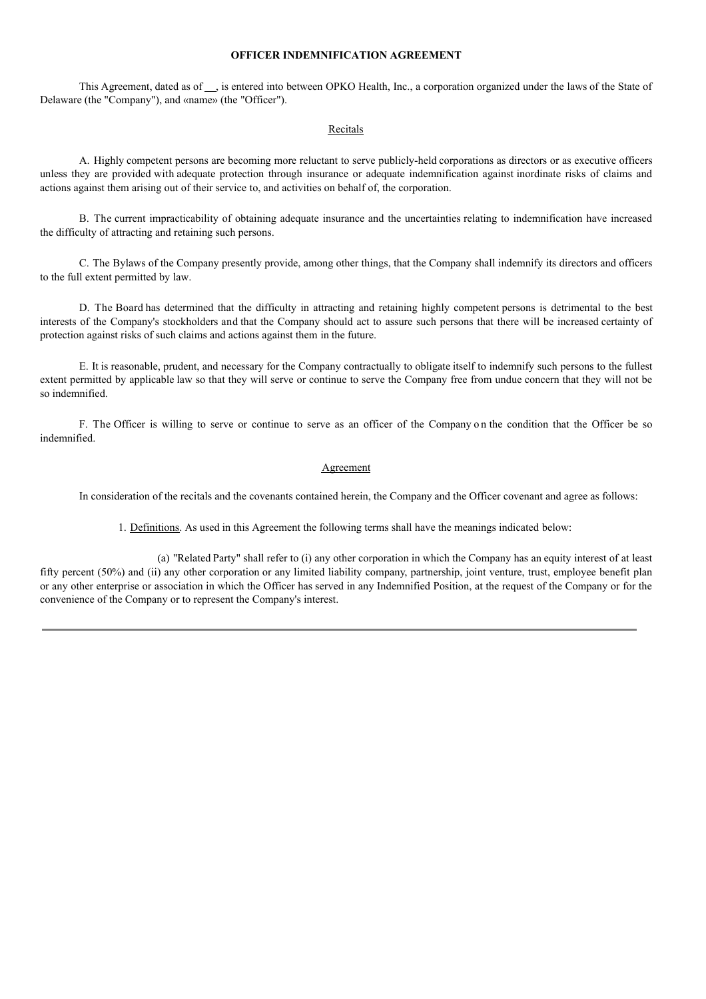### **OFFICER INDEMNIFICATION AGREEMENT**

This Agreement, dated as of , is entered into between OPKO Health, Inc., a corporation organized under the laws of the State of Delaware (the "Company"), and «name» (the "Officer").

### Recitals

A. Highly competent persons are becoming more reluctant to serve publicly-held corporations as directors or as executive officers unless they are provided with adequate protection through insurance or adequate indemnification against inordinate risks of claims and actions against them arising out of their service to, and activities on behalf of, the corporation.

B. The current impracticability of obtaining adequate insurance and the uncertainties relating to indemnification have increased the difficulty of attracting and retaining such persons.

C. The Bylaws of the Company presently provide, among other things, that the Company shall indemnify its directors and officers to the full extent permitted by law.

D. The Board has determined that the difficulty in attracting and retaining highly competent persons is detrimental to the best interests of the Company's stockholders and that the Company should act to assure such persons that there will be increased certainty of protection against risks of such claims and actions against them in the future.

E. It is reasonable, prudent, and necessary for the Company contractually to obligate itself to indemnify such persons to the fullest extent permitted by applicable law so that they will serve or continue to serve the Company free from undue concern that they will not be so indemnified.

F. The Officer is willing to serve or continue to serve as an officer of the Company on the condition that the Officer be so indemnified.

#### Agreement

In consideration of the recitals and the covenants contained herein, the Company and the Officer covenant and agree as follows:

1. Definitions. As used in this Agreement the following terms shall have the meanings indicated below:

(a) "Related Party" shall refer to (i) any other corporation in which the Company has an equity interest of at least fifty percent (50%) and (ii) any other corporation or any limited liability company, partnership, joint venture, trust, employee benefit plan or any other enterprise or association in which the Officer has served in any Indemnified Position, at the request of the Company or for the convenience of the Company or to represent the Company's interest.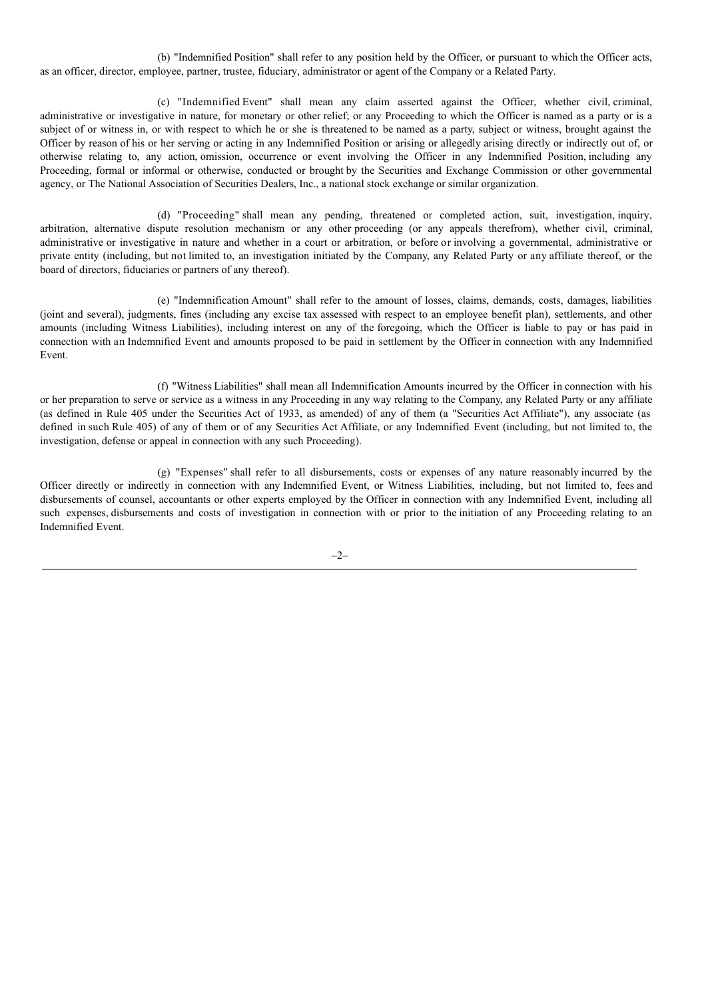(b) "Indemnified Position" shall refer to any position held by the Officer, or pursuant to which the Officer acts, as an officer, director, employee, partner, trustee, fiduciary, administrator or agent of the Company or a Related Party.

(c) "Indemnified Event" shall mean any claim asserted against the Officer, whether civil, criminal, administrative or investigative in nature, for monetary or other relief; or any Proceeding to which the Officer is named as a party or is a subject of or witness in, or with respect to which he or she is threatened to be named as a party, subject or witness, brought against the Officer by reason of his or her serving or acting in any Indemnified Position or arising or allegedly arising directly or indirectly out of, or otherwise relating to, any action, omission, occurrence or event involving the Officer in any Indemnified Position, including any Proceeding, formal or informal or otherwise, conducted or brought by the Securities and Exchange Commission or other governmental agency, or The National Association of Securities Dealers, Inc., a national stock exchange or similar organization.

(d) "Proceeding" shall mean any pending, threatened or completed action, suit, investigation, inquiry, arbitration, alternative dispute resolution mechanism or any other proceeding (or any appeals therefrom), whether civil, criminal, administrative or investigative in nature and whether in a court or arbitration, or before or involving a governmental, administrative or private entity (including, but not limited to, an investigation initiated by the Company, any Related Party or any affiliate thereof, or the board of directors, fiduciaries or partners of any thereof).

(e) "Indemnification Amount" shall refer to the amount of losses, claims, demands, costs, damages, liabilities (joint and several), judgments, fines (including any excise tax assessed with respect to an employee benefit plan), settlements, and other amounts (including Witness Liabilities), including interest on any of the foregoing, which the Officer is liable to pay or has paid in connection with an Indemnified Event and amounts proposed to be paid in settlement by the Officer in connection with any Indemnified Event.

(f) "Witness Liabilities" shall mean all Indemnification Amounts incurred by the Officer in connection with his or her preparation to serve or service as a witness in any Proceeding in any way relating to the Company, any Related Party or any affiliate (as defined in Rule 405 under the Securities Act of 1933, as amended) of any of them (a "Securities Act Affiliate"), any associate (as defined in such Rule 405) of any of them or of any Securities Act Affiliate, or any Indemnified Event (including, but not limited to, the investigation, defense or appeal in connection with any such Proceeding).

(g) "Expenses" shall refer to all disbursements, costs or expenses of any nature reasonably incurred by the Officer directly or indirectly in connection with any Indemnified Event, or Witness Liabilities, including, but not limited to, fees and disbursements of counsel, accountants or other experts employed by the Officer in connection with any Indemnified Event, including all such expenses, disbursements and costs of investigation in connection with or prior to the initiation of any Proceeding relating to an Indemnified Event.

 $-2-$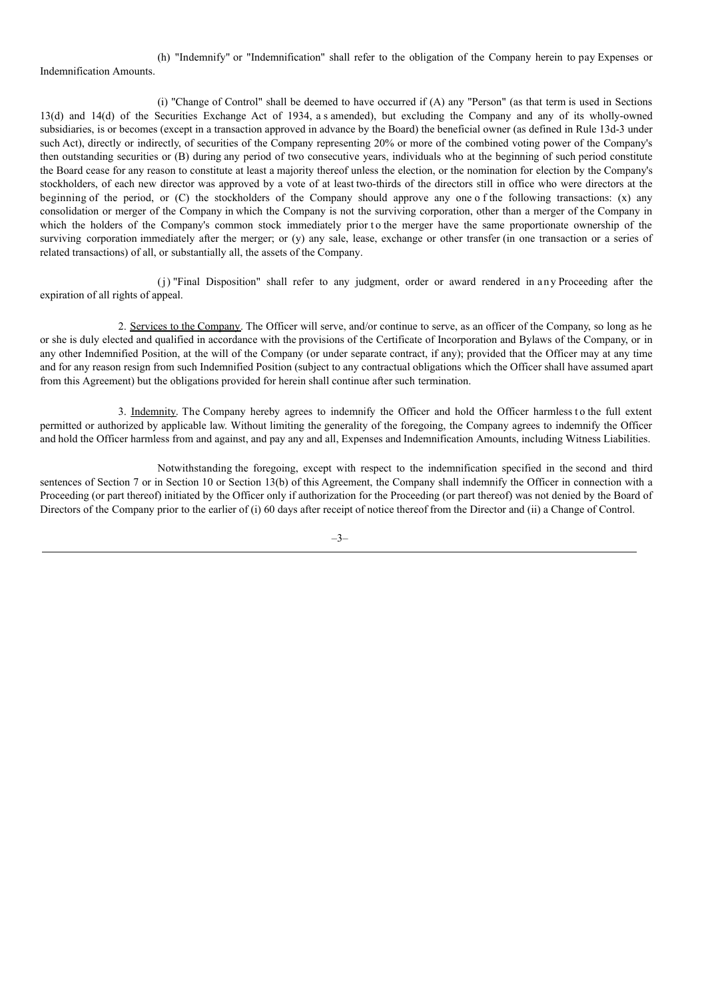(h) "Indemnify" or "Indemnification" shall refer to the obligation of the Company herein to pay Expenses or Indemnification Amounts.

(i) "Change of Control" shall be deemed to have occurred if (A) any "Person" (as that term is used in Sections 13(d) and 14(d) of the Securities Exchange Act of 1934, a s amended), but excluding the Company and any of its wholly-owned subsidiaries, is or becomes (except in a transaction approved in advance by the Board) the beneficial owner (as defined in Rule 13d-3 under such Act), directly or indirectly, of securities of the Company representing 20% or more of the combined voting power of the Company's then outstanding securities or (B) during any period of two consecutive years, individuals who at the beginning of such period constitute the Board cease for any reason to constitute at least a majority thereof unless the election, or the nomination for election by the Company's stockholders, of each new director was approved by a vote of at least two-thirds of the directors still in office who were directors at the beginning of the period, or (C) the stockholders of the Company should approve any one o f the following transactions: (x) any consolidation or merger of the Company in which the Company is not the surviving corporation, other than a merger of the Company in which the holders of the Company's common stock immediately prior to the merger have the same proportionate ownership of the surviving corporation immediately after the merger; or (y) any sale, lease, exchange or other transfer (in one transaction or a series of related transactions) of all, or substantially all, the assets of the Company.

(j) "Final Disposition" shall refer to any judgment, order or award rendered in any Proceeding after the expiration of all rights of appeal.

2. Services to the Company. The Officer will serve, and/or continue to serve, as an officer of the Company, so long as he or she is duly elected and qualified in accordance with the provisions of the Certificate of Incorporation and Bylaws of the Company, or in any other Indemnified Position, at the will of the Company (or under separate contract, if any); provided that the Officer may at any time and for any reason resign from such Indemnified Position (subject to any contractual obligations which the Officer shall have assumed apart from this Agreement) but the obligations provided for herein shall continue after such termination.

3. Indemnity. The Company hereby agrees to indemnify the Officer and hold the Officer harmless to the full extent permitted or authorized by applicable law. Without limiting the generality of the foregoing, the Company agrees to indemnify the Officer and hold the Officer harmless from and against, and pay any and all, Expenses and Indemnification Amounts, including Witness Liabilities.

Notwithstanding the foregoing, except with respect to the indemnification specified in the second and third sentences of Section 7 or in Section 10 or Section 13(b) of this Agreement, the Company shall indemnify the Officer in connection with a Proceeding (or part thereof) initiated by the Officer only if authorization for the Proceeding (or part thereof) was not denied by the Board of Directors of the Company prior to the earlier of (i) 60 days after receipt of notice thereof from the Director and (ii) a Change of Control.

–3–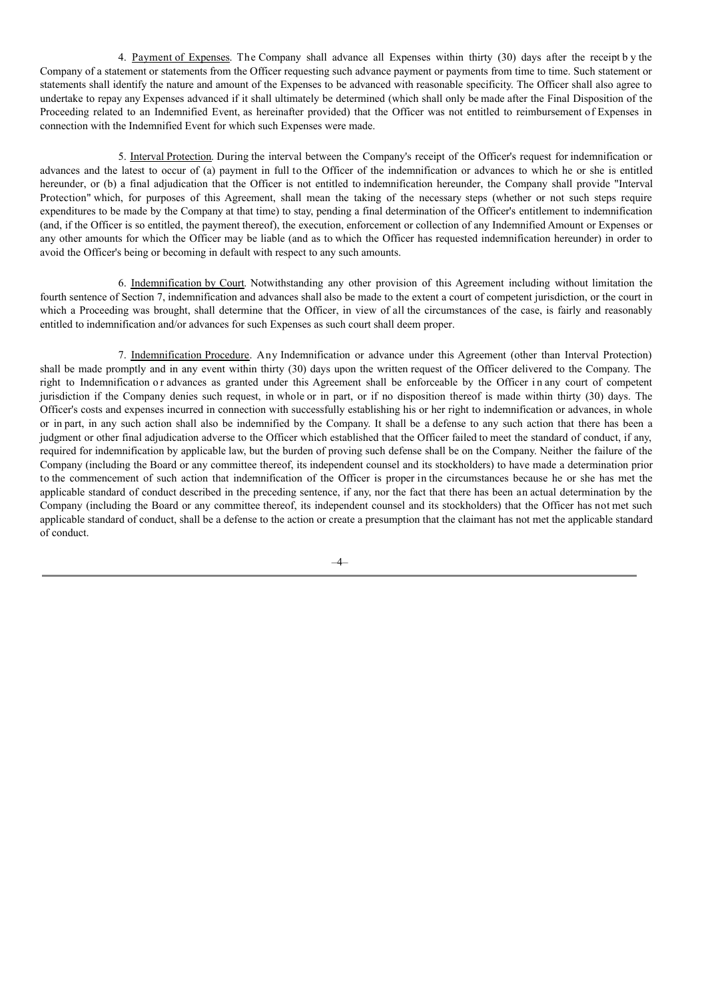4. Payment of Expenses. The Company shall advance all Expenses within thirty (30) days after the receipt b y the Company of a statement or statements from the Officer requesting such advance payment or payments from time to time. Such statement or statements shall identify the nature and amount of the Expenses to be advanced with reasonable specificity. The Officer shall also agree to undertake to repay any Expenses advanced if it shall ultimately be determined (which shall only be made after the Final Disposition of the Proceeding related to an Indemnified Event, as hereinafter provided) that the Officer was not entitled to reimbursement of Expenses in connection with the Indemnified Event for which such Expenses were made.

5. Interval Protection. During the interval between the Company's receipt of the Officer's request for indemnification or advances and the latest to occur of (a) payment in full to the Officer of the indemnification or advances to which he or she is entitled hereunder, or (b) a final adjudication that the Officer is not entitled to indemnification hereunder, the Company shall provide "Interval Protection" which, for purposes of this Agreement, shall mean the taking of the necessary steps (whether or not such steps require expenditures to be made by the Company at that time) to stay, pending a final determination of the Officer's entitlement to indemnification (and, if the Officer is so entitled, the payment thereof), the execution, enforcement or collection of any Indemnified Amount or Expenses or any other amounts for which the Officer may be liable (and as to which the Officer has requested indemnification hereunder) in order to avoid the Officer's being or becoming in default with respect to any such amounts.

6. Indemnification by Court. Notwithstanding any other provision of this Agreement including without limitation the fourth sentence of Section 7, indemnification and advances shall also be made to the extent a court of competent jurisdiction, or the court in which a Proceeding was brought, shall determine that the Officer, in view of all the circumstances of the case, is fairly and reasonably entitled to indemnification and/or advances for such Expenses as such court shall deem proper.

7. Indemnification Procedure. Any Indemnification or advance under this Agreement (other than Interval Protection) shall be made promptly and in any event within thirty (30) days upon the written request of the Officer delivered to the Company. The right to Indemnification or advances as granted under this Agreement shall be enforceable by the Officer in any court of competent jurisdiction if the Company denies such request, in whole or in part, or if no disposition thereof is made within thirty (30) days. The Officer's costs and expenses incurred in connection with successfully establishing his or her right to indemnification or advances, in whole or in part, in any such action shall also be indemnified by the Company. It shall be a defense to any such action that there has been a judgment or other final adjudication adverse to the Officer which established that the Officer failed to meet the standard of conduct, if any, required for indemnification by applicable law, but the burden of proving such defense shall be on the Company. Neither the failure of the Company (including the Board or any committee thereof, its independent counsel and its stockholders) to have made a determination prior to the commencement of such action that indemnification of the Officer is proper in the circumstances because he or she has met the applicable standard of conduct described in the preceding sentence, if any, nor the fact that there has been an actual determination by the Company (including the Board or any committee thereof, its independent counsel and its stockholders) that the Officer has not met such applicable standard of conduct, shall be a defense to the action or create a presumption that the claimant has not met the applicable standard of conduct.

–4–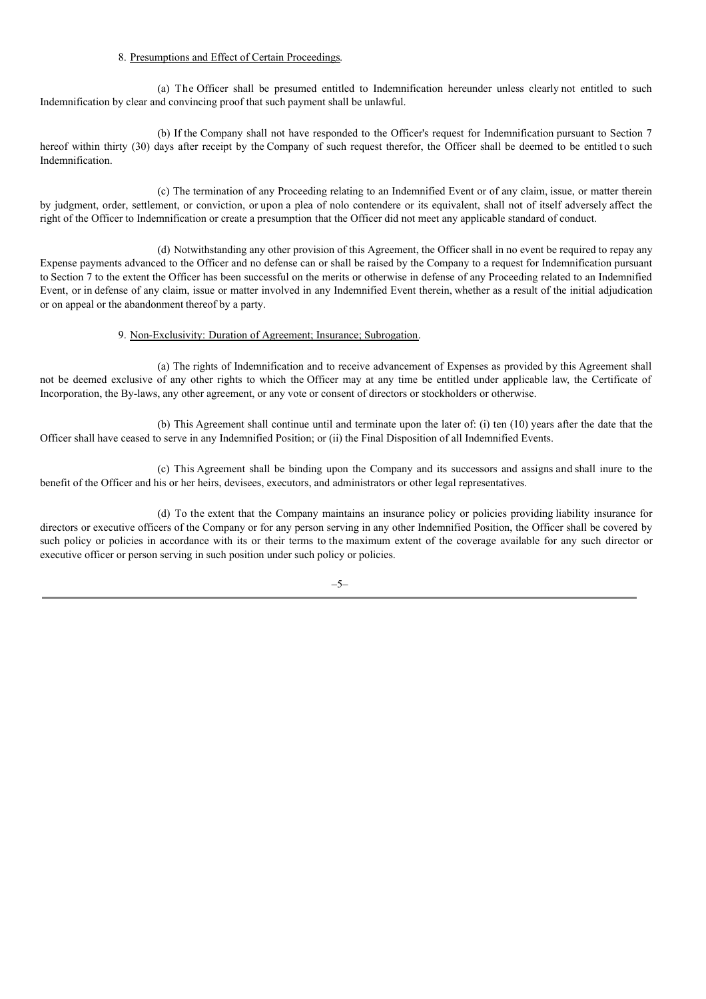# 8. Presumptions and Effect of Certain Proceedings.

(a) The Officer shall be presumed entitled to Indemnification hereunder unless clearly not entitled to such Indemnification by clear and convincing proof that such payment shall be unlawful.

(b) If the Company shall not have responded to the Officer's request for Indemnification pursuant to Section 7 hereof within thirty (30) days after receipt by the Company of such request therefor, the Officer shall be deemed to be entitled to such Indemnification.

(c) The termination of any Proceeding relating to an Indemnified Event or of any claim, issue, or matter therein by judgment, order, settlement, or conviction, or upon a plea of nolo contendere or its equivalent, shall not of itself adversely affect the right of the Officer to Indemnification or create a presumption that the Officer did not meet any applicable standard of conduct.

(d) Notwithstanding any other provision of this Agreement, the Officer shall in no event be required to repay any Expense payments advanced to the Officer and no defense can or shall be raised by the Company to a request for Indemnification pursuant to Section 7 to the extent the Officer has been successful on the merits or otherwise in defense of any Proceeding related to an Indemnified Event, or in defense of any claim, issue or matter involved in any Indemnified Event therein, whether as a result of the initial adjudication or on appeal or the abandonment thereof by a party.

### 9. Non-Exclusivity: Duration of Agreement; Insurance; Subrogation.

(a) The rights of Indemnification and to receive advancement of Expenses as provided by this Agreement shall not be deemed exclusive of any other rights to which the Officer may at any time be entitled under applicable law, the Certificate of Incorporation, the By-laws, any other agreement, or any vote or consent of directors or stockholders or otherwise.

(b) This Agreement shall continue until and terminate upon the later of: (i) ten (10) years after the date that the Officer shall have ceased to serve in any Indemnified Position; or (ii) the Final Disposition of all Indemnified Events.

(c) This Agreement shall be binding upon the Company and its successors and assigns and shall inure to the benefit of the Officer and his or her heirs, devisees, executors, and administrators or other legal representatives.

(d) To the extent that the Company maintains an insurance policy or policies providing liability insurance for directors or executive officers of the Company or for any person serving in any other Indemnified Position, the Officer shall be covered by such policy or policies in accordance with its or their terms to the maximum extent of the coverage available for any such director or executive officer or person serving in such position under such policy or policies.

–5–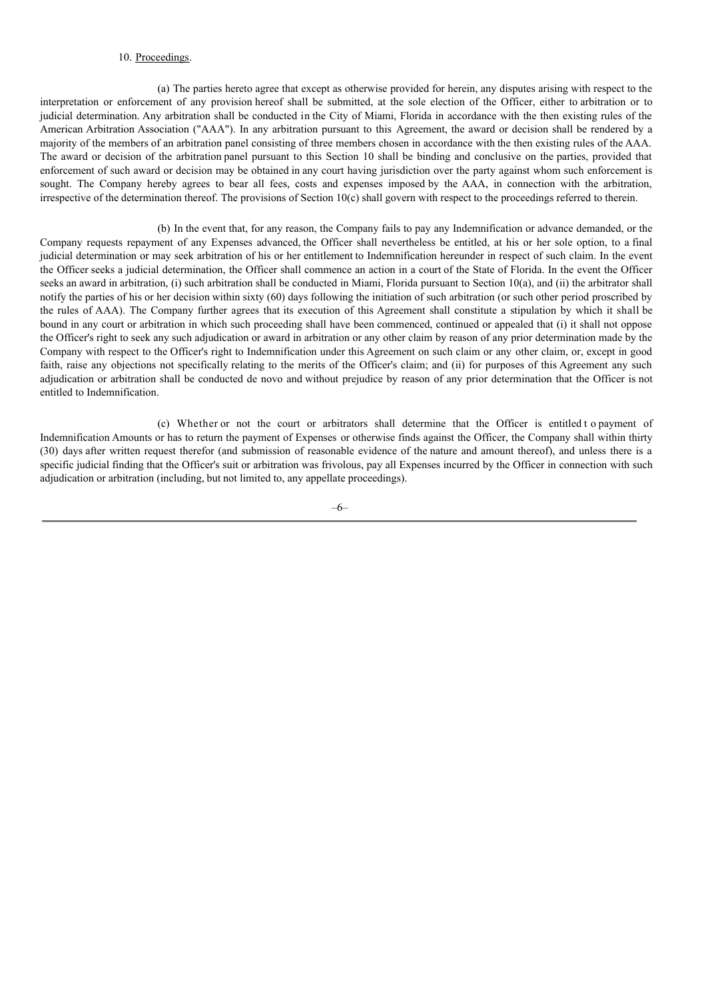# 10. Proceedings.

(a) The parties hereto agree that except as otherwise provided for herein, any disputes arising with respect to the interpretation or enforcement of any provision hereof shall be submitted, at the sole election of the Officer, either to arbitration or to judicial determination. Any arbitration shall be conducted in the City of Miami, Florida in accordance with the then existing rules of the American Arbitration Association ("AAA"). In any arbitration pursuant to this Agreement, the award or decision shall be rendered by a majority of the members of an arbitration panel consisting of three members chosen in accordance with the then existing rules of the AAA. The award or decision of the arbitration panel pursuant to this Section 10 shall be binding and conclusive on the parties, provided that enforcement of such award or decision may be obtained in any court having jurisdiction over the party against whom such enforcement is sought. The Company hereby agrees to bear all fees, costs and expenses imposed by the AAA, in connection with the arbitration, irrespective of the determination thereof. The provisions of Section 10(c) shall govern with respect to the proceedings referred to therein.

(b) In the event that, for any reason, the Company fails to pay any Indemnification or advance demanded, or the Company requests repayment of any Expenses advanced, the Officer shall nevertheless be entitled, at his or her sole option, to a final judicial determination or may seek arbitration of his or her entitlement to Indemnification hereunder in respect of such claim. In the event the Officer seeks a judicial determination, the Officer shall commence an action in a court of the State of Florida. In the event the Officer seeks an award in arbitration, (i) such arbitration shall be conducted in Miami, Florida pursuant to Section 10(a), and (ii) the arbitrator shall notify the parties of his or her decision within sixty (60) days following the initiation of such arbitration (or such other period proscribed by the rules of AAA). The Company further agrees that its execution of this Agreement shall constitute a stipulation by which it shall be bound in any court or arbitration in which such proceeding shall have been commenced, continued or appealed that (i) it shall not oppose the Officer's right to seek any such adjudication or award in arbitration or any other claim by reason of any prior determination made by the Company with respect to the Officer's right to Indemnification under this Agreement on such claim or any other claim, or, except in good faith, raise any objections not specifically relating to the merits of the Officer's claim; and (ii) for purposes of this Agreement any such adjudication or arbitration shall be conducted de novo and without prejudice by reason of any prior determination that the Officer is not entitled to Indemnification.

(c) Whether or not the court or arbitrators shall determine that the Officer is entitled t o payment of Indemnification Amounts or has to return the payment of Expenses or otherwise finds against the Officer, the Company shall within thirty (30) days after written request therefor (and submission of reasonable evidence of the nature and amount thereof), and unless there is a specific judicial finding that the Officer's suit or arbitration was frivolous, pay all Expenses incurred by the Officer in connection with such adjudication or arbitration (including, but not limited to, any appellate proceedings).

–6–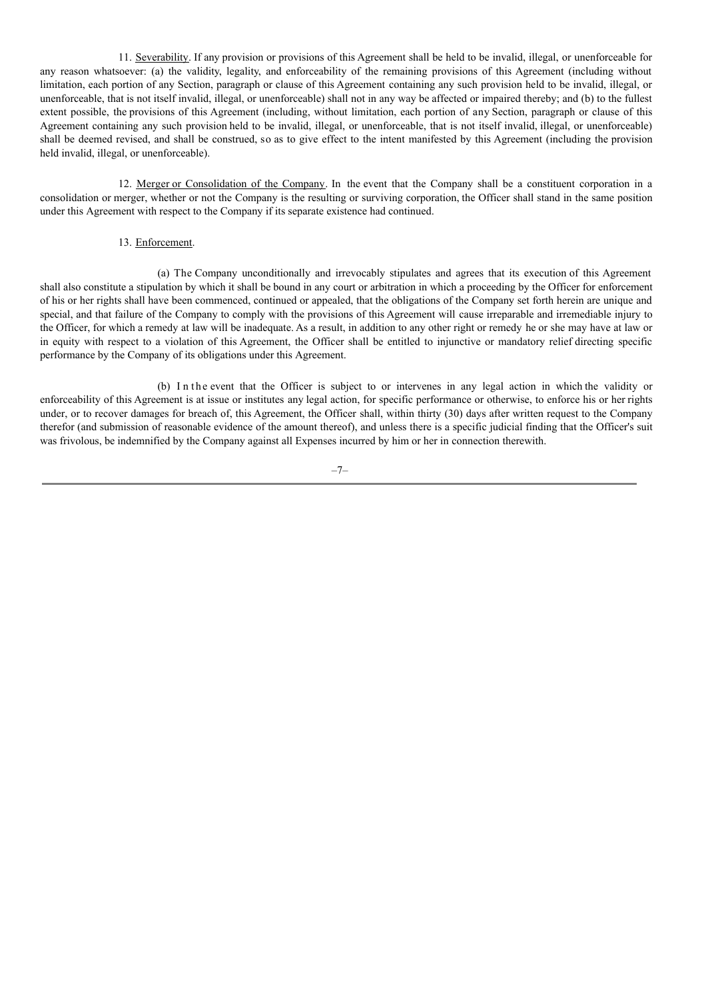11. Severability. If any provision or provisions of this Agreement shall be held to be invalid, illegal, or unenforceable for any reason whatsoever: (a) the validity, legality, and enforceability of the remaining provisions of this Agreement (including without limitation, each portion of any Section, paragraph or clause of this Agreement containing any such provision held to be invalid, illegal, or unenforceable, that is not itself invalid, illegal, or unenforceable) shall not in any way be affected or impaired thereby; and (b) to the fullest extent possible, the provisions of this Agreement (including, without limitation, each portion of any Section, paragraph or clause of this Agreement containing any such provision held to be invalid, illegal, or unenforceable, that is not itself invalid, illegal, or unenforceable) shall be deemed revised, and shall be construed, so as to give effect to the intent manifested by this Agreement (including the provision held invalid, illegal, or unenforceable).

12. Merger or Consolidation of the Company. In the event that the Company shall be a constituent corporation in a consolidation or merger, whether or not the Company is the resulting or surviving corporation, the Officer shall stand in the same position under this Agreement with respect to the Company if its separate existence had continued.

## 13. Enforcement.

(a) The Company unconditionally and irrevocably stipulates and agrees that its execution of this Agreement shall also constitute a stipulation by which it shall be bound in any court or arbitration in which a proceeding by the Officer for enforcement of his or her rights shall have been commenced, continued or appealed, that the obligations of the Company set forth herein are unique and special, and that failure of the Company to comply with the provisions of this Agreement will cause irreparable and irremediable injury to the Officer, for which a remedy at law will be inadequate. As a result, in addition to any other right or remedy he or she may have at law or in equity with respect to a violation of this Agreement, the Officer shall be entitled to injunctive or mandatory relief directing specific performance by the Company of its obligations under this Agreement.

(b) I n the event that the Officer is subject to or intervenes in any legal action in which the validity or enforceability of this Agreement is at issue or institutes any legal action, for specific performance or otherwise, to enforce his or her rights under, or to recover damages for breach of, this Agreement, the Officer shall, within thirty (30) days after written request to the Company therefor (and submission of reasonable evidence of the amount thereof), and unless there is a specific judicial finding that the Officer's suit was frivolous, be indemnified by the Company against all Expenses incurred by him or her in connection therewith.

–7–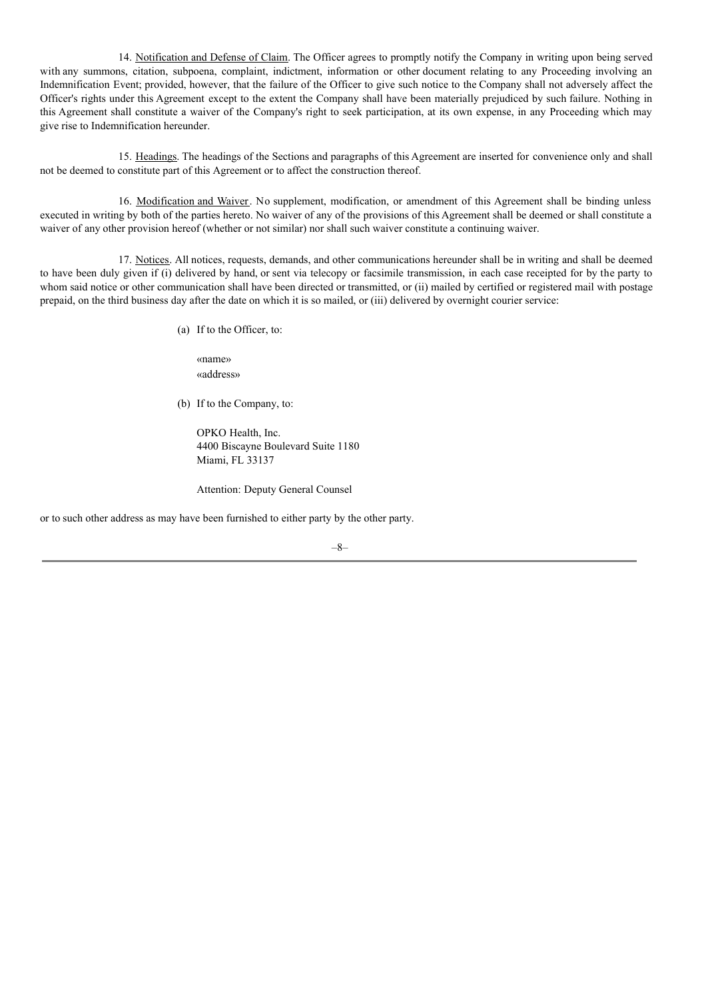14. Notification and Defense of Claim. The Officer agrees to promptly notify the Company in writing upon being served with any summons, citation, subpoena, complaint, indictment, information or other document relating to any Proceeding involving an Indemnification Event; provided, however, that the failure of the Officer to give such notice to the Company shall not adversely affect the Officer's rights under this Agreement except to the extent the Company shall have been materially prejudiced by such failure. Nothing in this Agreement shall constitute a waiver of the Company's right to seek participation, at its own expense, in any Proceeding which may give rise to Indemnification hereunder.

15. Headings. The headings of the Sections and paragraphs of this Agreement are inserted for convenience only and shall not be deemed to constitute part of this Agreement or to affect the construction thereof.

16. Modification and Waiver. No supplement, modification, or amendment of this Agreement shall be binding unless executed in writing by both of the parties hereto. No waiver of any of the provisions of this Agreement shall be deemed or shall constitute a waiver of any other provision hereof (whether or not similar) nor shall such waiver constitute a continuing waiver.

17. Notices. All notices, requests, demands, and other communications hereunder shall be in writing and shall be deemed to have been duly given if (i) delivered by hand, or sent via telecopy or facsimile transmission, in each case receipted for by the party to whom said notice or other communication shall have been directed or transmitted, or (ii) mailed by certified or registered mail with postage prepaid, on the third business day after the date on which it is so mailed, or (iii) delivered by overnight courier service:

(a) If to the Officer, to:

«name» «address»

(b) If to the Company, to:

OPKO Health, Inc. 4400 Biscayne Boulevard Suite 1180 Miami, FL 33137

Attention: Deputy General Counsel

or to such other address as may have been furnished to either party by the other party.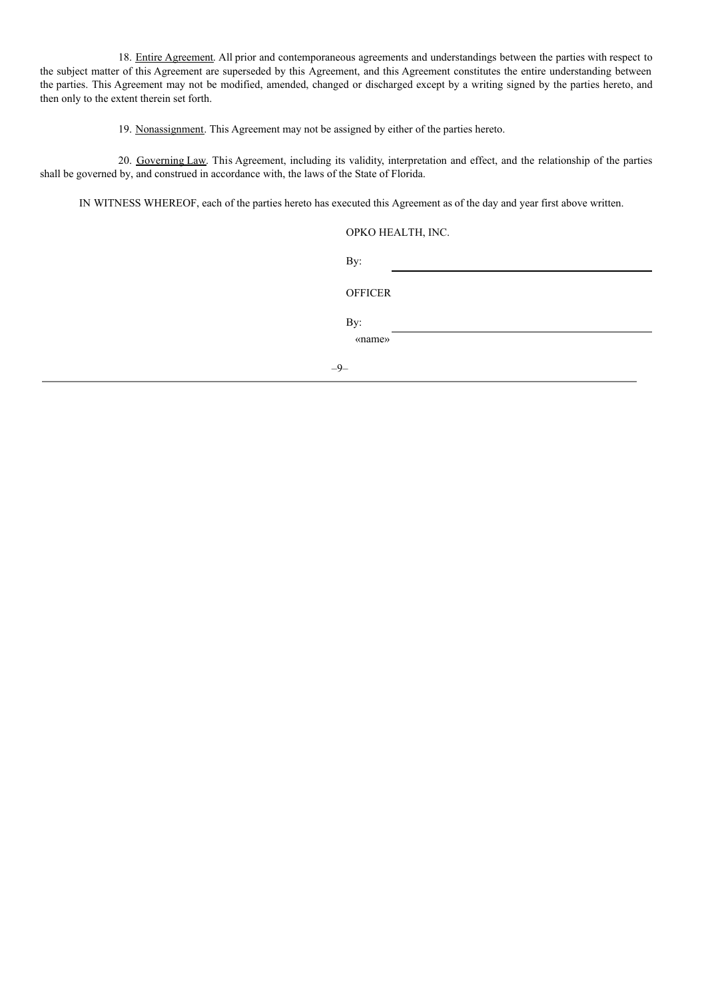18. Entire Agreement. All prior and contemporaneous agreements and understandings between the parties with respect to the subject matter of this Agreement are superseded by this Agreement, and this Agreement constitutes the entire understanding between the parties. This Agreement may not be modified, amended, changed or discharged except by a writing signed by the parties hereto, and then only to the extent therein set forth.

19. Nonassignment. This Agreement may not be assigned by either of the parties hereto.

20. Governing Law. This Agreement, including its validity, interpretation and effect, and the relationship of the parties shall be governed by, and construed in accordance with, the laws of the State of Florida.

IN WITNESS WHEREOF, each of the parties hereto has executed this Agreement as of the day and year first above written.

| OPKO HEALTH, INC. |  |
|-------------------|--|
|-------------------|--|

|     | By:            |  |  |  |
|-----|----------------|--|--|--|
|     | <b>OFFICER</b> |  |  |  |
|     | By:            |  |  |  |
|     | «name»         |  |  |  |
| -9- |                |  |  |  |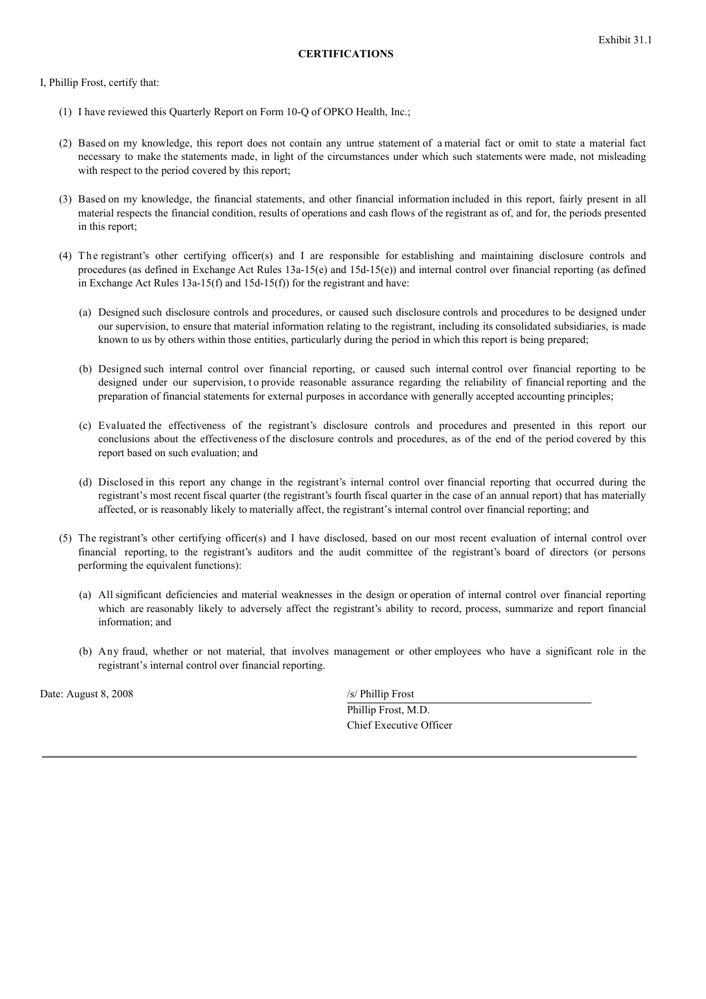I, Phillip Frost, certify that:

- (1) I have reviewed this Quarterly Report on Form 10-Q of OPKO Health, Inc.;
- (2) Based on my knowledge, this report does not contain any untrue statement of a material fact or omit to state a material fact necessary to make the statements made, in light of the circumstances under which such statements were made, not misleading with respect to the period covered by this report;
- (3) Based on my knowledge, the financial statements, and other financial information included in this report, fairly present in all material respects the financial condition, results of operations and cash flows of the registrant as of, and for, the periods presented in this report;
- (4) The registrant's other certifying officer(s) and I are responsible for establishing and maintaining disclosure controls and procedures (as defined in Exchange Act Rules 13a-15(e) and 15d-15(e)) and internal control over financial reporting (as defined in Exchange Act Rules 13a-15(f) and 15d-15(f)) for the registrant and have:
	- (a) Designed such disclosure controls and procedures, or caused such disclosure controls and procedures to be designed under our supervision, to ensure that material information relating to the registrant, including its consolidated subsidiaries, is made known to us by others within those entities, particularly during the period in which this report is being prepared;
	- (b) Designed such internal control over financial reporting, or caused such internal control over financial reporting to be designed under our supervision, to provide reasonable assurance regarding the reliability of financial reporting and the preparation of financial statements for external purposes in accordance with generally accepted accounting principles;
	- (c) Evaluated the effectiveness of the registrant's disclosure controls and procedures and presented in this report our conclusions about the effectiveness of the disclosure controls and procedures, as of the end of the period covered by this report based on such evaluation; and
	- (d) Disclosed in this report any change in the registrant's internal control over financial reporting that occurred during the registrant's most recent fiscal quarter (the registrant's fourth fiscal quarter in the case of an annual report) that has materially affected, or is reasonably likely to materially affect, the registrant's internal control over financial reporting; and
- (5) The registrant's other certifying officer(s) and I have disclosed, based on our most recent evaluation of internal control over financial reporting, to the registrant's auditors and the audit committee of the registrant's board of directors (or persons performing the equivalent functions):
	- (a) All significant deficiencies and material weaknesses in the design or operation of internal control over financial reporting which are reasonably likely to adversely affect the registrant's ability to record, process, summarize and report financial information; and
	- (b) Any fraud, whether or not material, that involves management or other employees who have a significant role in the registrant's internal control over financial reporting.

Date: August 8, 2008 /s/ Phillip Frost

Phillip Frost, M.D. Chief Executive Officer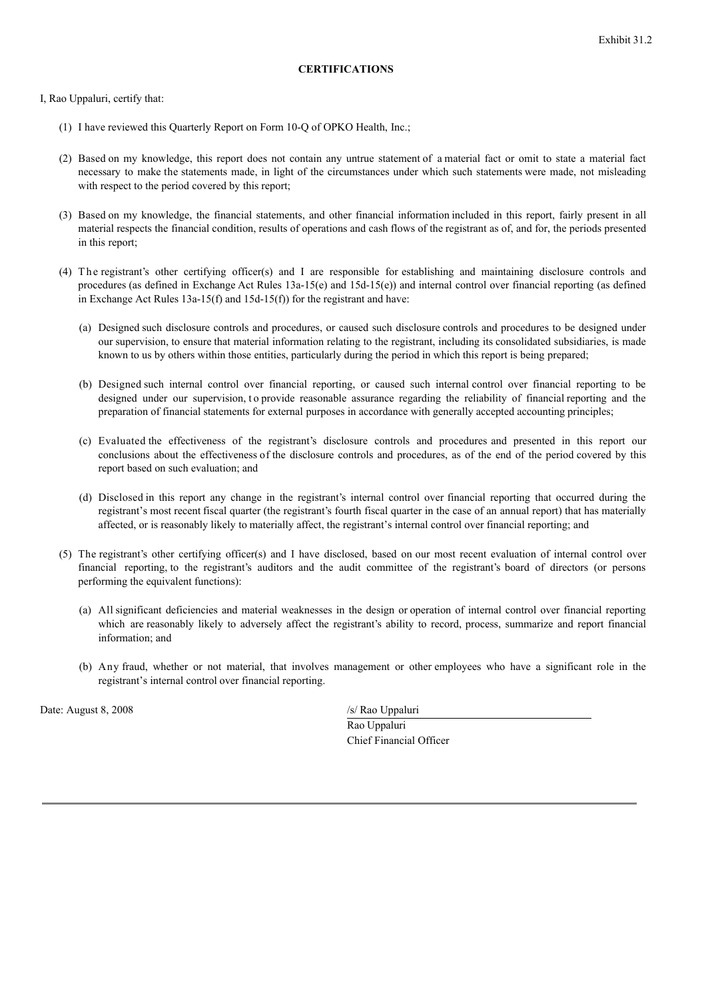# **CERTIFICATIONS**

I, Rao Uppaluri, certify that:

- (1) I have reviewed this Quarterly Report on Form 10-Q of OPKO Health, Inc.;
- (2) Based on my knowledge, this report does not contain any untrue statement of a material fact or omit to state a material fact necessary to make the statements made, in light of the circumstances under which such statements were made, not misleading with respect to the period covered by this report;
- (3) Based on my knowledge, the financial statements, and other financial information included in this report, fairly present in all material respects the financial condition, results of operations and cash flows of the registrant as of, and for, the periods presented in this report;
- (4) The registrant's other certifying officer(s) and I are responsible for establishing and maintaining disclosure controls and procedures (as defined in Exchange Act Rules  $13a-15(e)$  and  $15d-15(e)$ ) and internal control over financial reporting (as defined in Exchange Act Rules 13a-15(f) and 15d-15(f)) for the registrant and have:
	- (a) Designed such disclosure controls and procedures, or caused such disclosure controls and procedures to be designed under our supervision, to ensure that material information relating to the registrant, including its consolidated subsidiaries, is made known to us by others within those entities, particularly during the period in which this report is being prepared;
	- (b) Designed such internal control over financial reporting, or caused such internal control over financial reporting to be designed under our supervision, to provide reasonable assurance regarding the reliability of financial reporting and the preparation of financial statements for external purposes in accordance with generally accepted accounting principles;
	- (c) Evaluated the effectiveness of the registrant's disclosure controls and procedures and presented in this report our conclusions about the effectiveness of the disclosure controls and procedures, as of the end of the period covered by this report based on such evaluation; and
	- (d) Disclosed in this report any change in the registrant's internal control over financial reporting that occurred during the registrant's most recent fiscal quarter (the registrant's fourth fiscal quarter in the case of an annual report) that has materially affected, or is reasonably likely to materially affect, the registrant's internal control over financial reporting; and
- (5) The registrant's other certifying officer(s) and I have disclosed, based on our most recent evaluation of internal control over financial reporting, to the registrant's auditors and the audit committee of the registrant's board of directors (or persons performing the equivalent functions):
	- (a) All significant deficiencies and material weaknesses in the design or operation of internal control over financial reporting which are reasonably likely to adversely affect the registrant's ability to record, process, summarize and report financial information; and
	- (b) Any fraud, whether or not material, that involves management or other employees who have a significant role in the registrant's internal control over financial reporting.

Date: August 8, 2008 /s/ Rao Uppaluri

Rao Uppaluri Chief Financial Officer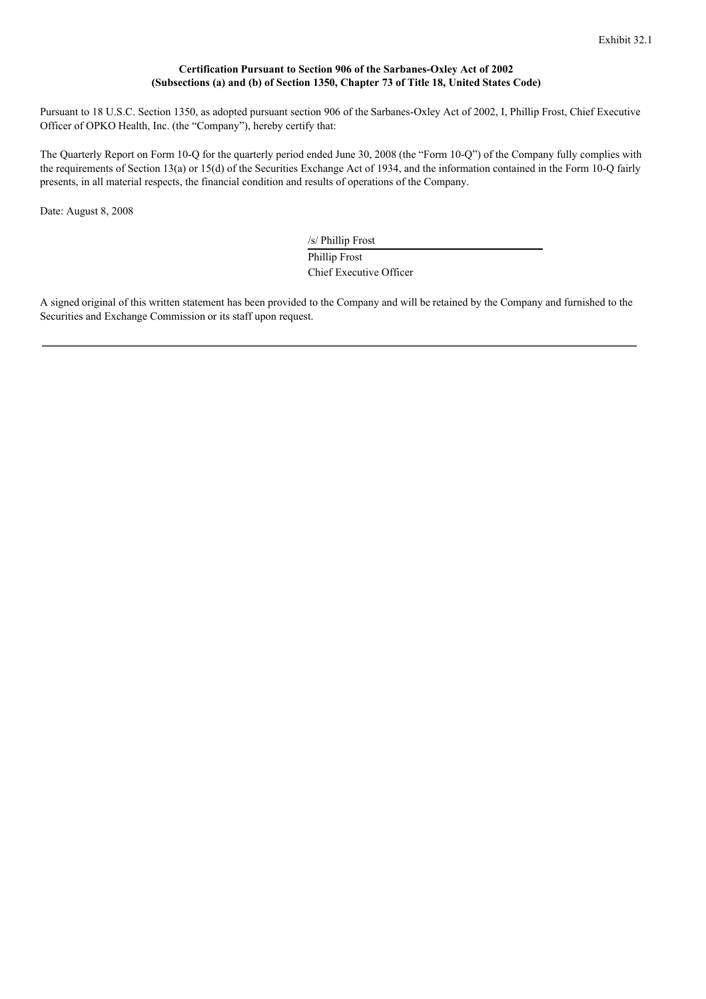### **Certification Pursuant to Section 906 of the Sarbanes-Oxley Act of 2002 (Subsections (a) and (b) of Section 1350, Chapter 73 of Title 18, United States Code)**

Pursuant to 18 U.S.C. Section 1350, as adopted pursuant section 906 of the Sarbanes-Oxley Act of 2002, I, Phillip Frost, Chief Executive Officer of OPKO Health, Inc. (the "Company"), hereby certify that:

The Quarterly Report on Form 10-Q for the quarterly period ended June 30, 2008 (the "Form 10-Q") of the Company fully complies with the requirements of Section 13(a) or 15(d) of the Securities Exchange Act of 1934, and the information contained in the Form 10-Q fairly presents, in all material respects, the financial condition and results of operations of the Company.

Date: August 8, 2008

/s/ Phillip Frost Phillip Frost Chief Executive Officer

A signed original of this written statement has been provided to the Company and will be retained by the Company and furnished to the Securities and Exchange Commission or its staff upon request.